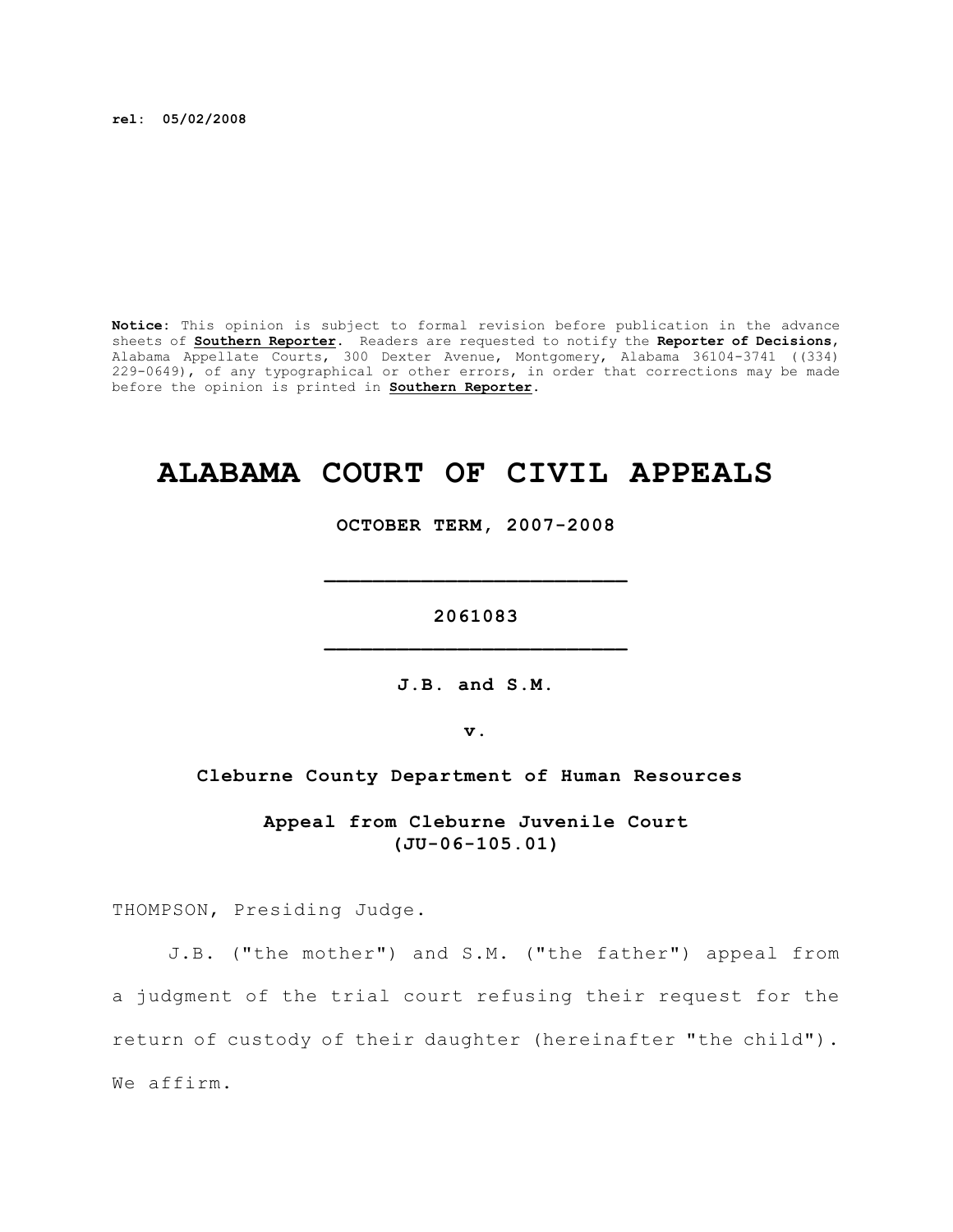**rel: 05/02/2008**

**Notice:** This opinion is subject to formal revision before publication in the advance sheets of **Southern Reporter**. Readers are requested to notify the **Reporter of Decisions**, Alabama Appellate Courts, 300 Dexter Avenue, Montgomery, Alabama 36104-3741 ((334) 229-0649), of any typographical or other errors, in order that corrections may be made before the opinion is printed in **Southern Reporter**.

# **ALABAMA COURT OF CIVIL APPEALS**

**OCTOBER TERM, 2007-2008**

**\_\_\_\_\_\_\_\_\_\_\_\_\_\_\_\_\_\_\_\_\_\_\_\_\_**

**2061083 \_\_\_\_\_\_\_\_\_\_\_\_\_\_\_\_\_\_\_\_\_\_\_\_\_**

**J.B. and S.M.**

**v.**

#### **Cleburne County Department of Human Resources**

**Appeal from Cleburne Juvenile Court (JU-06-105.01)**

THOMPSON, Presiding Judge.

J.B. ("the mother") and S.M. ("the father") appeal from a judgment of the trial court refusing their request for the return of custody of their daughter (hereinafter "the child"). We affirm.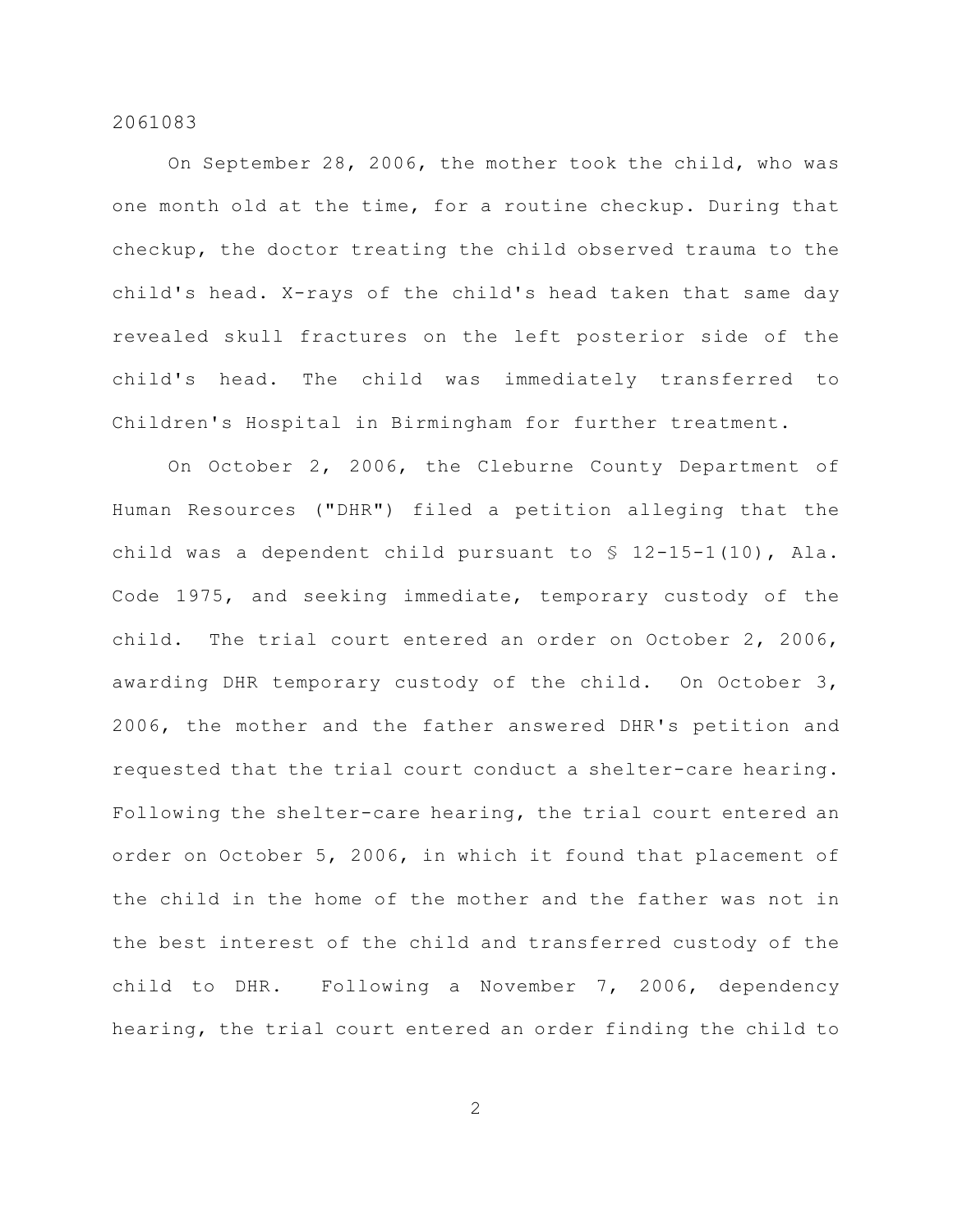On September 28, 2006, the mother took the child, who was one month old at the time, for a routine checkup. During that checkup, the doctor treating the child observed trauma to the child's head. X-rays of the child's head taken that same day revealed skull fractures on the left posterior side of the child's head. The child was immediately transferred to Children's Hospital in Birmingham for further treatment.

On October 2, 2006, the Cleburne County Department of Human Resources ("DHR") filed a petition alleging that the child was a dependent child pursuant to § 12-15-1(10), Ala. Code 1975, and seeking immediate, temporary custody of the child. The trial court entered an order on October 2, 2006, awarding DHR temporary custody of the child. On October 3, 2006, the mother and the father answered DHR's petition and requested that the trial court conduct a shelter-care hearing. Following the shelter-care hearing, the trial court entered an order on October 5, 2006, in which it found that placement of the child in the home of the mother and the father was not in the best interest of the child and transferred custody of the child to DHR. Following a November 7, 2006, dependency hearing, the trial court entered an order finding the child to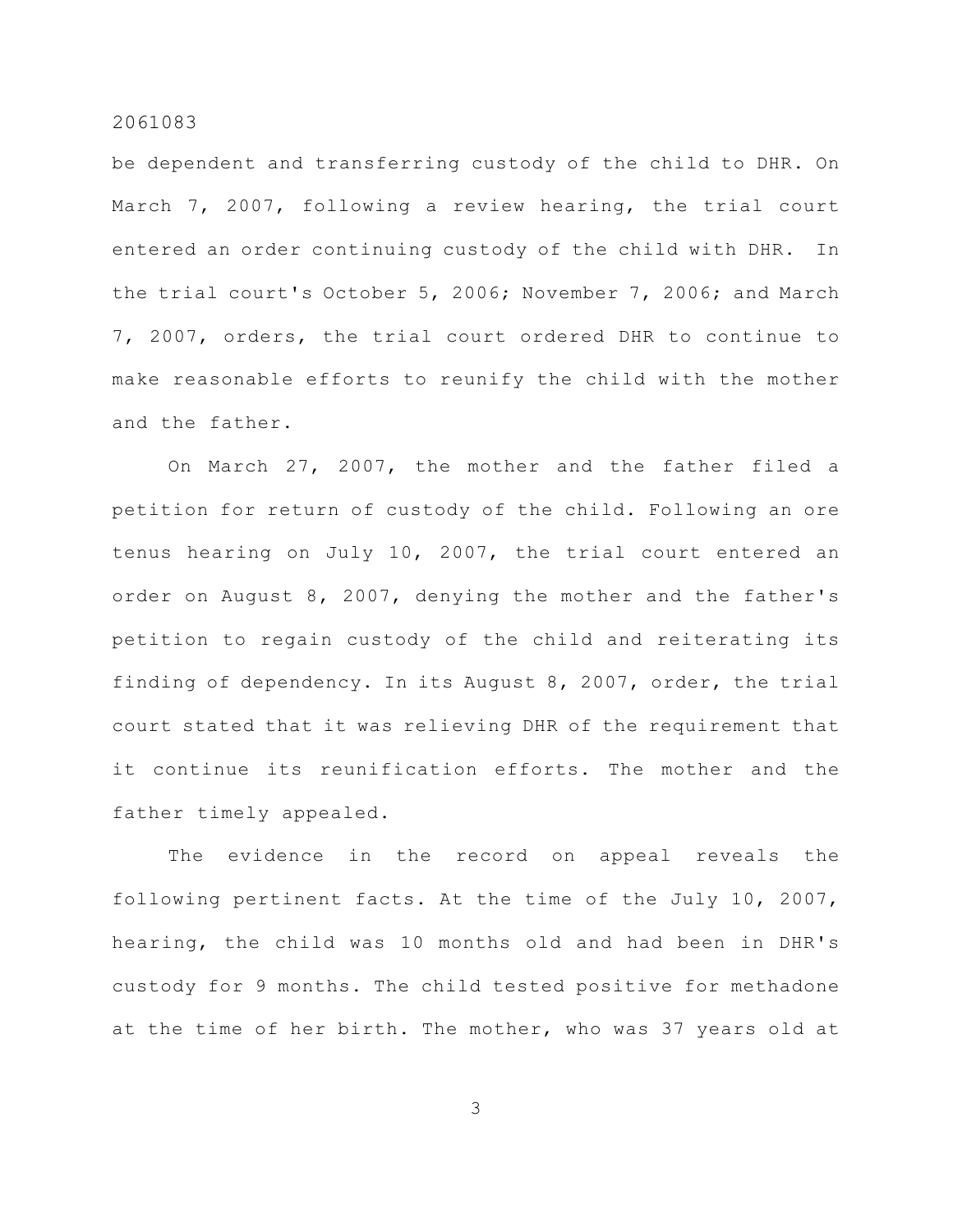be dependent and transferring custody of the child to DHR. On March 7, 2007, following a review hearing, the trial court entered an order continuing custody of the child with DHR. In the trial court's October 5, 2006; November 7, 2006; and March 7, 2007, orders, the trial court ordered DHR to continue to make reasonable efforts to reunify the child with the mother and the father.

On March 27, 2007, the mother and the father filed a petition for return of custody of the child. Following an ore tenus hearing on July 10, 2007, the trial court entered an order on August 8, 2007, denying the mother and the father's petition to regain custody of the child and reiterating its finding of dependency. In its August 8, 2007, order, the trial court stated that it was relieving DHR of the requirement that it continue its reunification efforts. The mother and the father timely appealed.

The evidence in the record on appeal reveals the following pertinent facts. At the time of the July 10, 2007, hearing, the child was 10 months old and had been in DHR's custody for 9 months. The child tested positive for methadone at the time of her birth. The mother, who was 37 years old at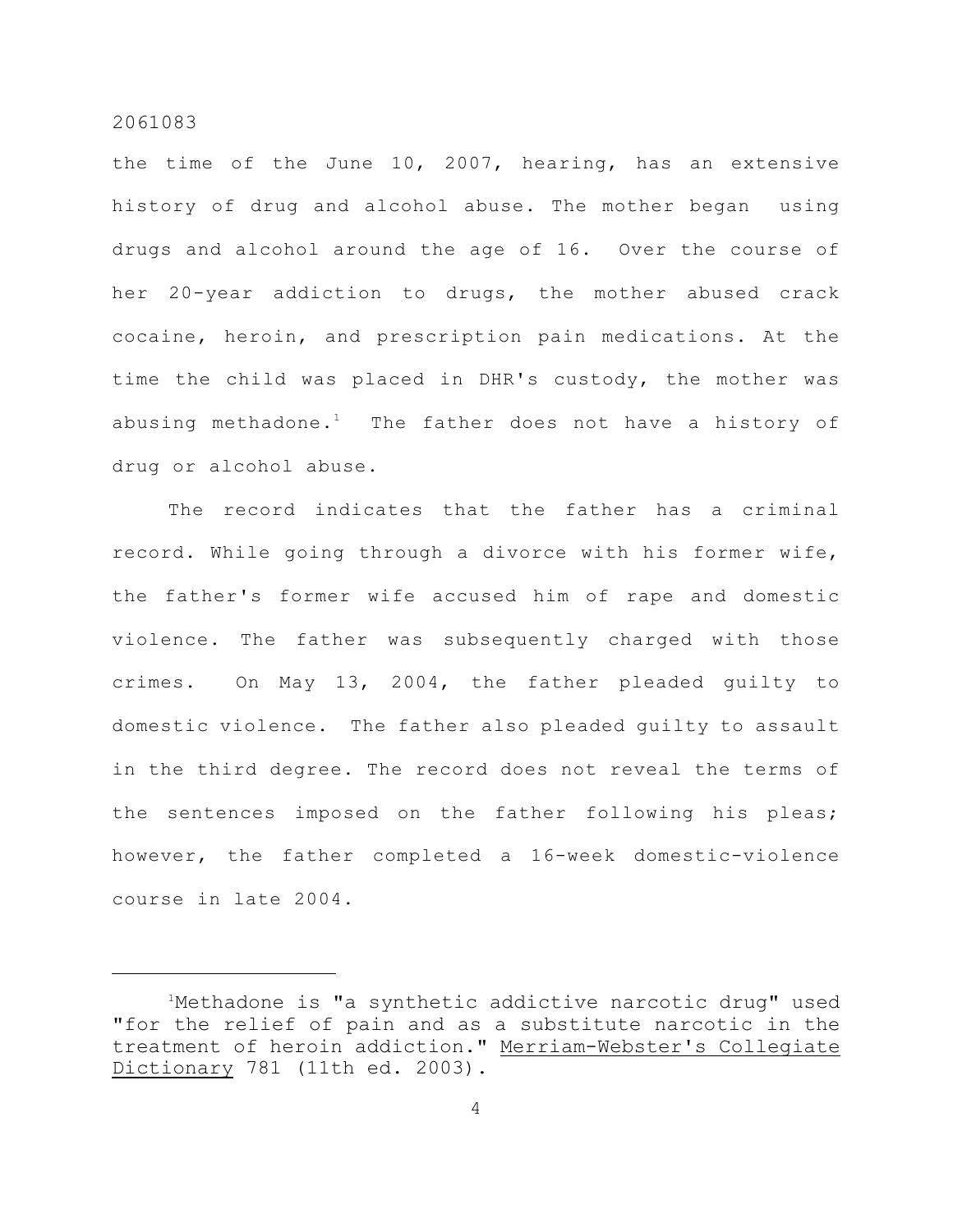the time of the June 10, 2007, hearing, has an extensive history of drug and alcohol abuse. The mother began using drugs and alcohol around the age of 16. Over the course of her 20-year addiction to drugs, the mother abused crack cocaine, heroin, and prescription pain medications. At the time the child was placed in DHR's custody, the mother was abusing methadone.<sup>1</sup> The father does not have a history of drug or alcohol abuse.

The record indicates that the father has a criminal record. While going through a divorce with his former wife, the father's former wife accused him of rape and domestic violence. The father was subsequently charged with those crimes. On May 13, 2004, the father pleaded guilty to domestic violence. The father also pleaded guilty to assault in the third degree. The record does not reveal the terms of the sentences imposed on the father following his pleas; however, the father completed a 16-week domestic-violence course in late 2004.

<sup>&</sup>lt;sup>1</sup>Methadone is "a synthetic addictive narcotic drug" used "for the relief of pain and as a substitute narcotic in the treatment of heroin addiction." Merriam-Webster's Collegiate Dictionary 781 (11th ed. 2003).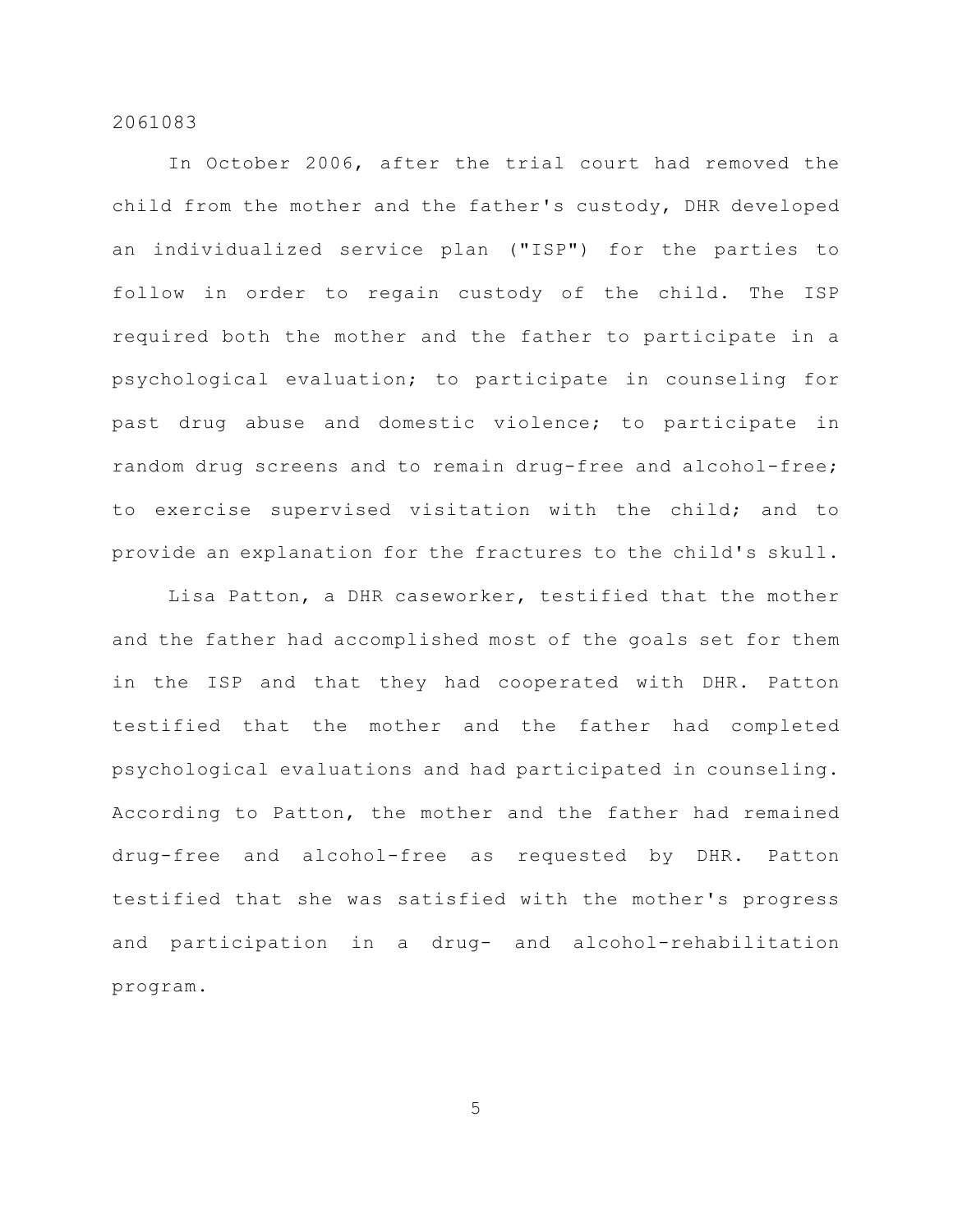In October 2006, after the trial court had removed the child from the mother and the father's custody, DHR developed an individualized service plan ("ISP") for the parties to follow in order to regain custody of the child. The ISP required both the mother and the father to participate in a psychological evaluation; to participate in counseling for past drug abuse and domestic violence; to participate in random drug screens and to remain drug-free and alcohol-free; to exercise supervised visitation with the child; and to provide an explanation for the fractures to the child's skull.

Lisa Patton, a DHR caseworker, testified that the mother and the father had accomplished most of the goals set for them in the ISP and that they had cooperated with DHR. Patton testified that the mother and the father had completed psychological evaluations and had participated in counseling. According to Patton, the mother and the father had remained drug-free and alcohol-free as requested by DHR. Patton testified that she was satisfied with the mother's progress and participation in a drug- and alcohol-rehabilitation program.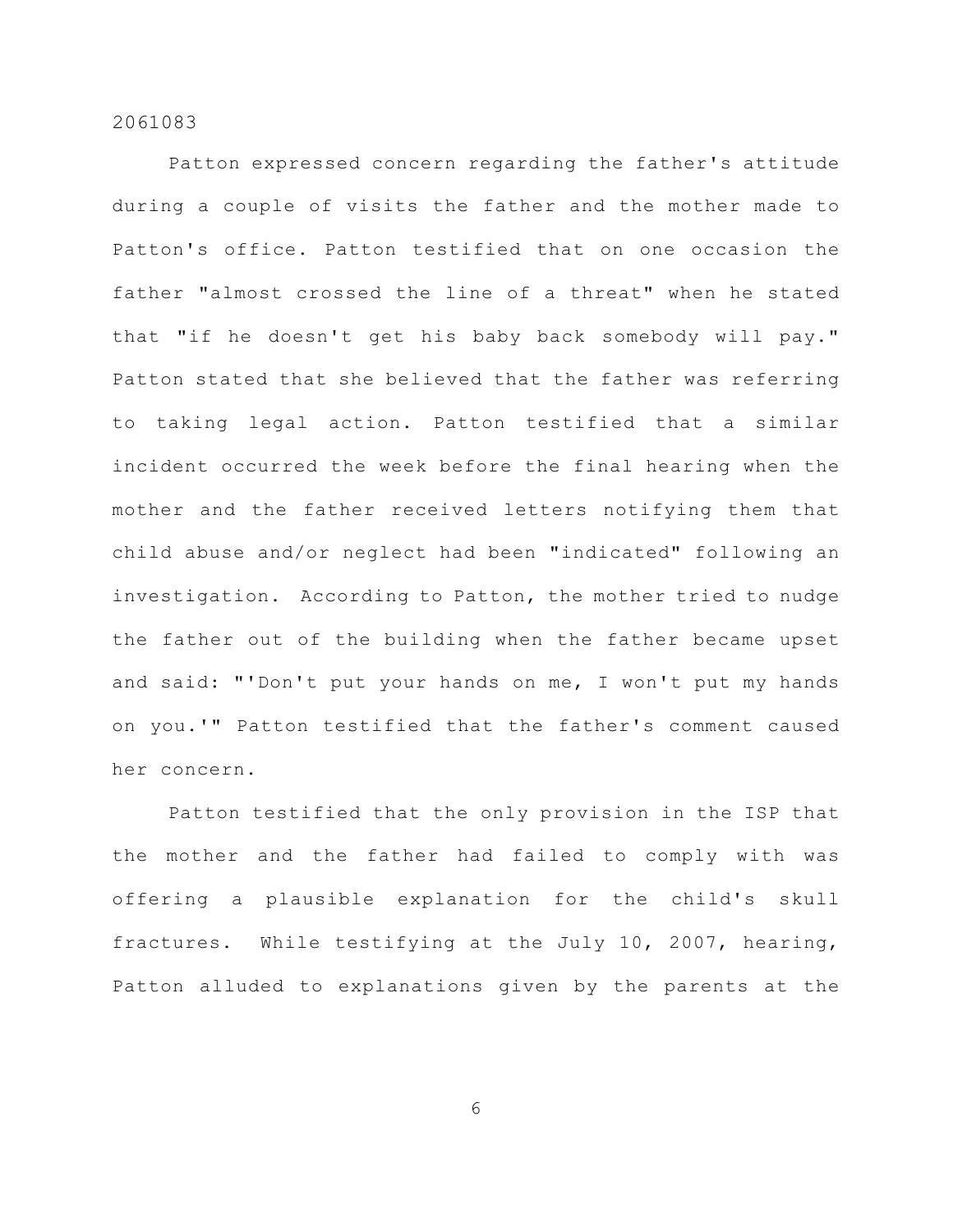Patton expressed concern regarding the father's attitude during a couple of visits the father and the mother made to Patton's office. Patton testified that on one occasion the father "almost crossed the line of a threat" when he stated that "if he doesn't get his baby back somebody will pay." Patton stated that she believed that the father was referring to taking legal action. Patton testified that a similar incident occurred the week before the final hearing when the mother and the father received letters notifying them that child abuse and/or neglect had been "indicated" following an investigation. According to Patton, the mother tried to nudge the father out of the building when the father became upset and said: "'Don't put your hands on me, I won't put my hands on you.'" Patton testified that the father's comment caused her concern.

Patton testified that the only provision in the ISP that the mother and the father had failed to comply with was offering a plausible explanation for the child's skull fractures. While testifying at the July 10, 2007, hearing, Patton alluded to explanations given by the parents at the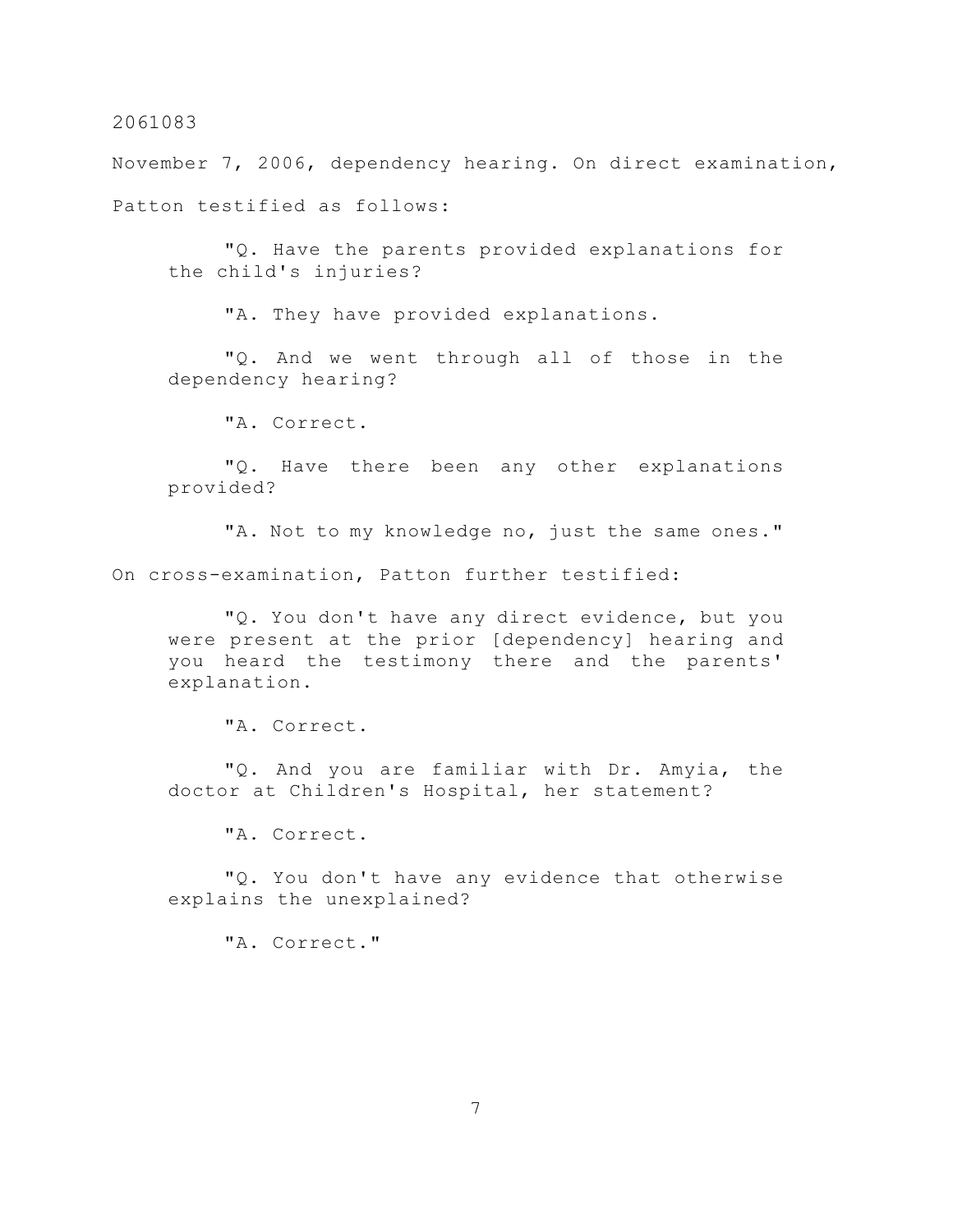November 7, 2006, dependency hearing. On direct examination, Patton testified as follows:

"Q. Have the parents provided explanations for the child's injuries?

"A. They have provided explanations.

"Q. And we went through all of those in the dependency hearing?

"A. Correct.

"Q. Have there been any other explanations provided?

"A. Not to my knowledge no, just the same ones." On cross-examination, Patton further testified:

"Q. You don't have any direct evidence, but you were present at the prior [dependency] hearing and you heard the testimony there and the parents' explanation.

"A. Correct.

"Q. And you are familiar with Dr. Amyia, the doctor at Children's Hospital, her statement?

"A. Correct.

"Q. You don't have any evidence that otherwise explains the unexplained?

"A. Correct."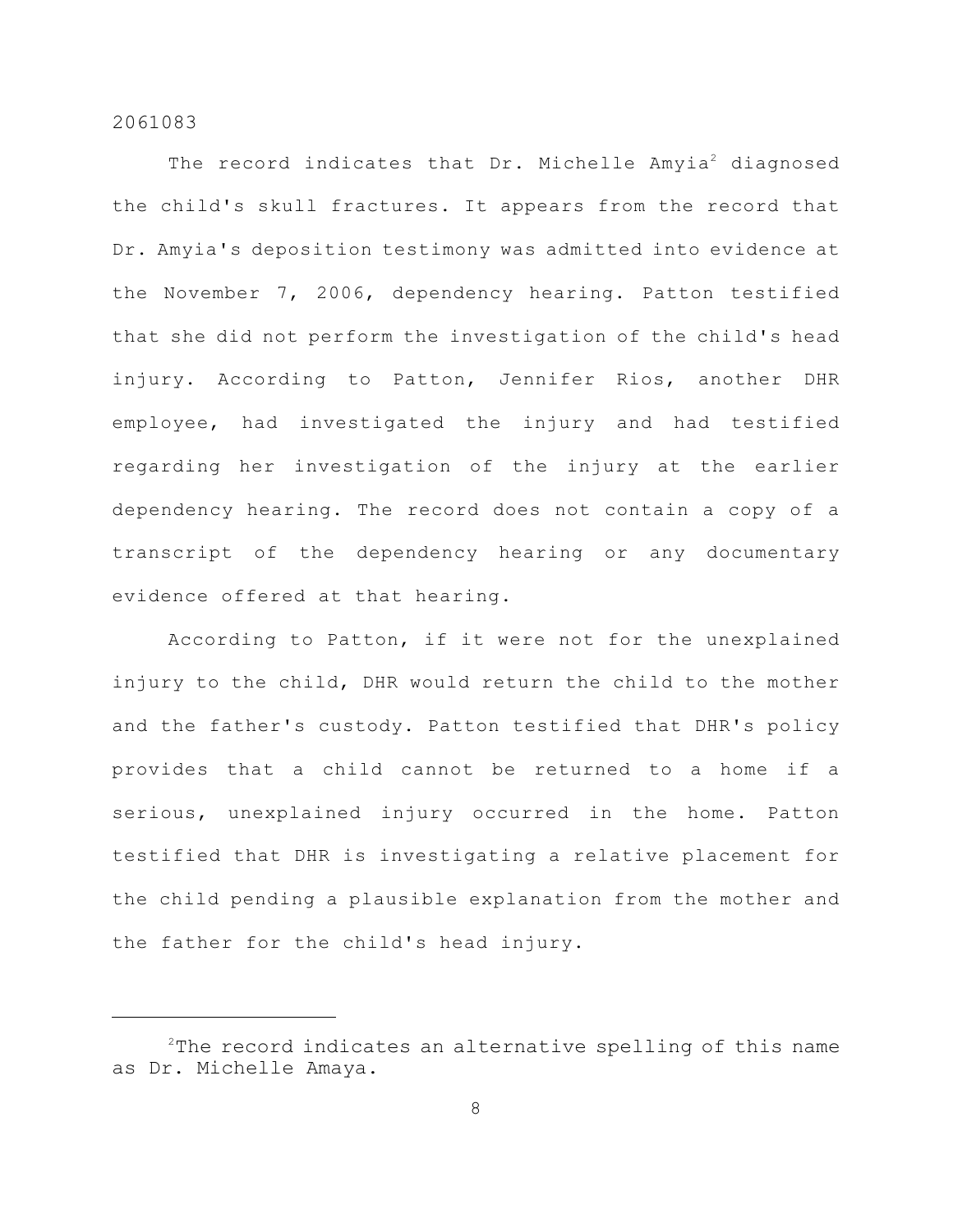The record indicates that  $Dr.$  Michelle Amyia<sup>2</sup> diagnosed the child's skull fractures. It appears from the record that Dr. Amyia's deposition testimony was admitted into evidence at the November 7, 2006, dependency hearing. Patton testified that she did not perform the investigation of the child's head injury. According to Patton, Jennifer Rios, another DHR employee, had investigated the injury and had testified regarding her investigation of the injury at the earlier dependency hearing. The record does not contain a copy of a transcript of the dependency hearing or any documentary evidence offered at that hearing.

According to Patton, if it were not for the unexplained injury to the child, DHR would return the child to the mother and the father's custody. Patton testified that DHR's policy provides that a child cannot be returned to a home if a serious, unexplained injury occurred in the home. Patton testified that DHR is investigating a relative placement for the child pending a plausible explanation from the mother and the father for the child's head injury.

 $2$ The record indicates an alternative spelling of this name as Dr. Michelle Amaya.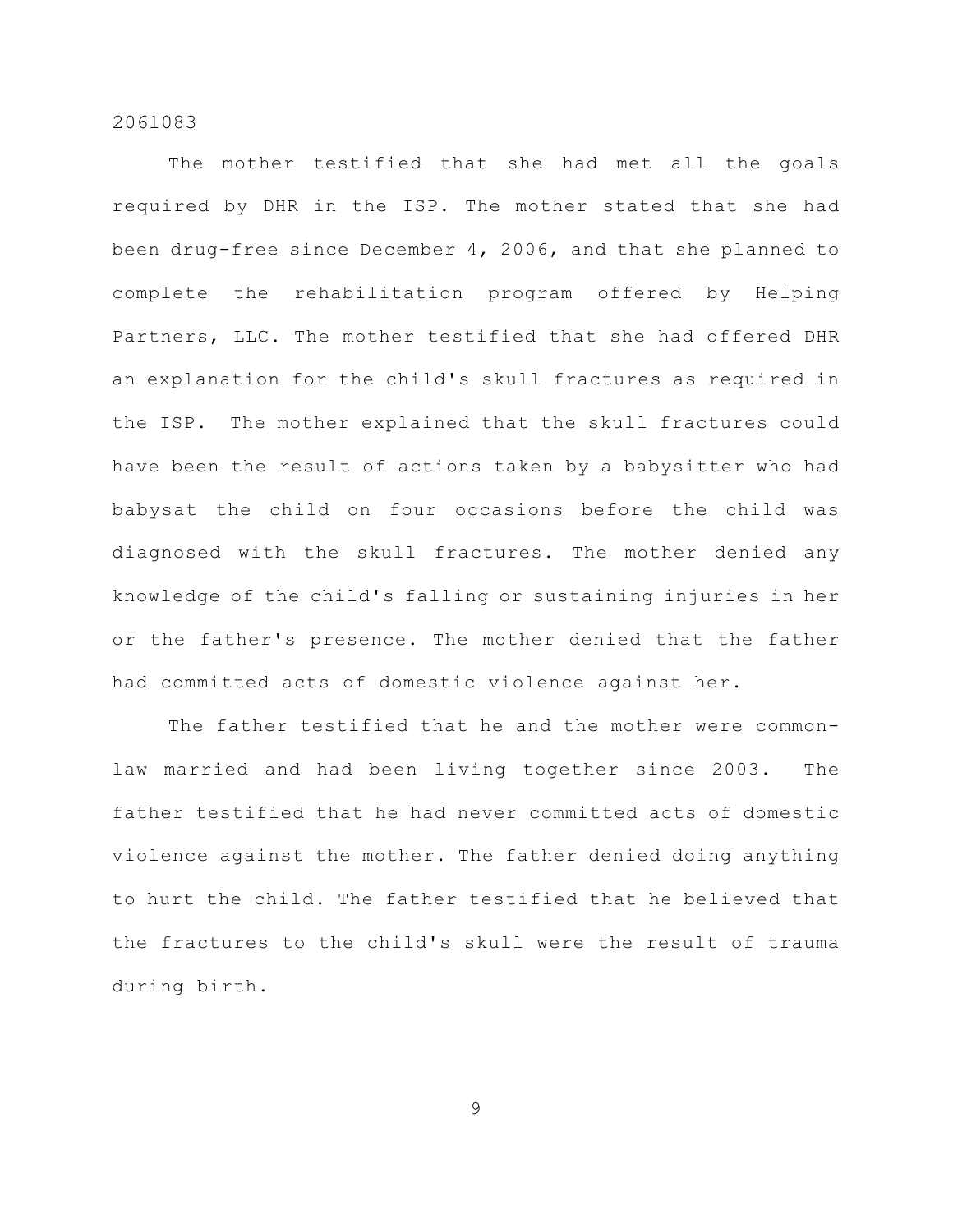The mother testified that she had met all the goals required by DHR in the ISP. The mother stated that she had been drug-free since December 4, 2006, and that she planned to complete the rehabilitation program offered by Helping Partners, LLC. The mother testified that she had offered DHR an explanation for the child's skull fractures as required in the ISP. The mother explained that the skull fractures could have been the result of actions taken by a babysitter who had babysat the child on four occasions before the child was diagnosed with the skull fractures. The mother denied any knowledge of the child's falling or sustaining injuries in her or the father's presence. The mother denied that the father had committed acts of domestic violence against her.

The father testified that he and the mother were commonlaw married and had been living together since 2003. The father testified that he had never committed acts of domestic violence against the mother. The father denied doing anything to hurt the child. The father testified that he believed that the fractures to the child's skull were the result of trauma during birth.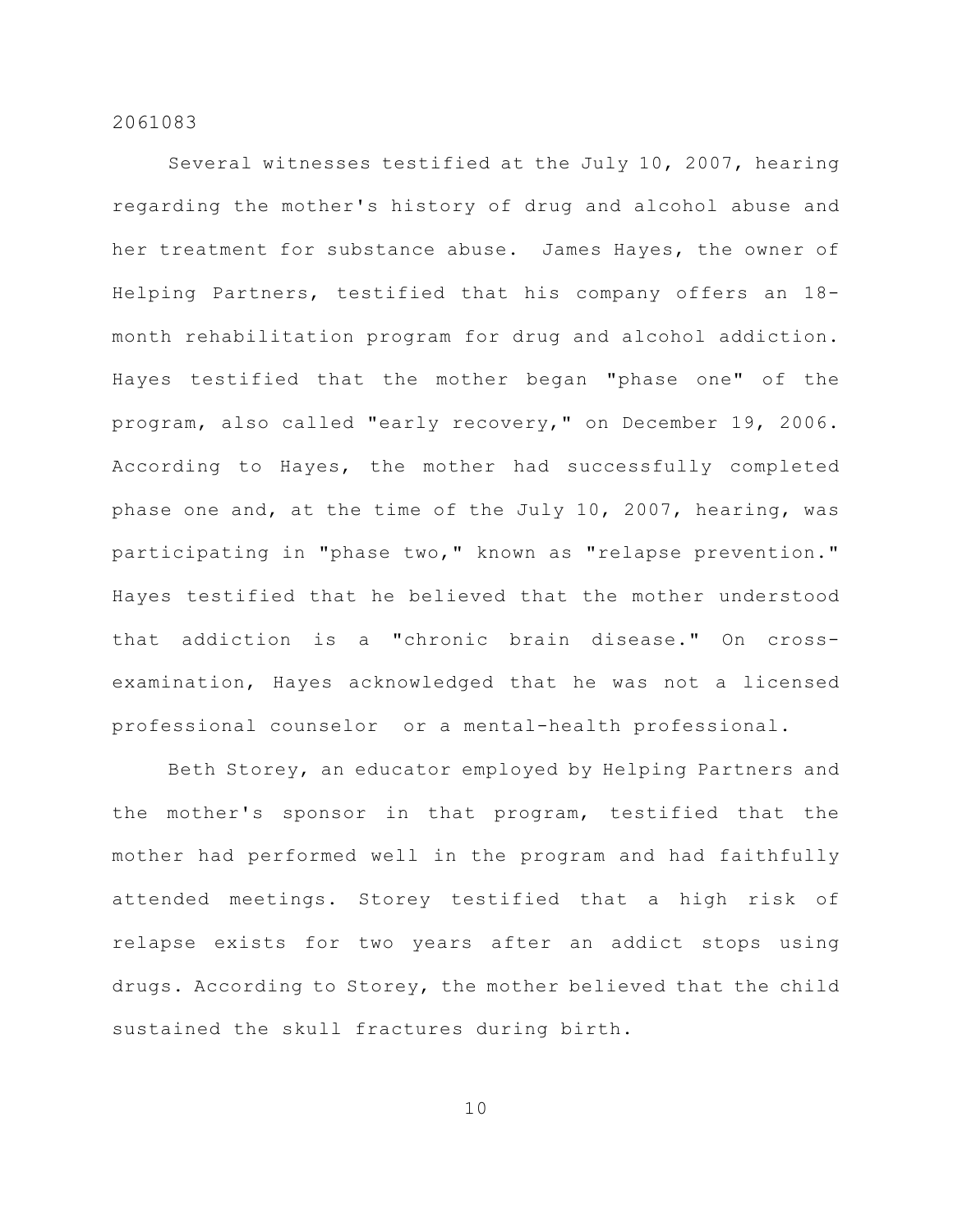Several witnesses testified at the July 10, 2007, hearing regarding the mother's history of drug and alcohol abuse and her treatment for substance abuse. James Hayes, the owner of Helping Partners, testified that his company offers an 18 month rehabilitation program for drug and alcohol addiction. Hayes testified that the mother began "phase one" of the program, also called "early recovery," on December 19, 2006. According to Hayes, the mother had successfully completed phase one and, at the time of the July 10, 2007, hearing, was participating in "phase two," known as "relapse prevention." Hayes testified that he believed that the mother understood that addiction is a "chronic brain disease." On crossexamination, Hayes acknowledged that he was not a licensed professional counselor or a mental-health professional.

Beth Storey, an educator employed by Helping Partners and the mother's sponsor in that program, testified that the mother had performed well in the program and had faithfully attended meetings. Storey testified that a high risk of relapse exists for two years after an addict stops using drugs. According to Storey, the mother believed that the child sustained the skull fractures during birth.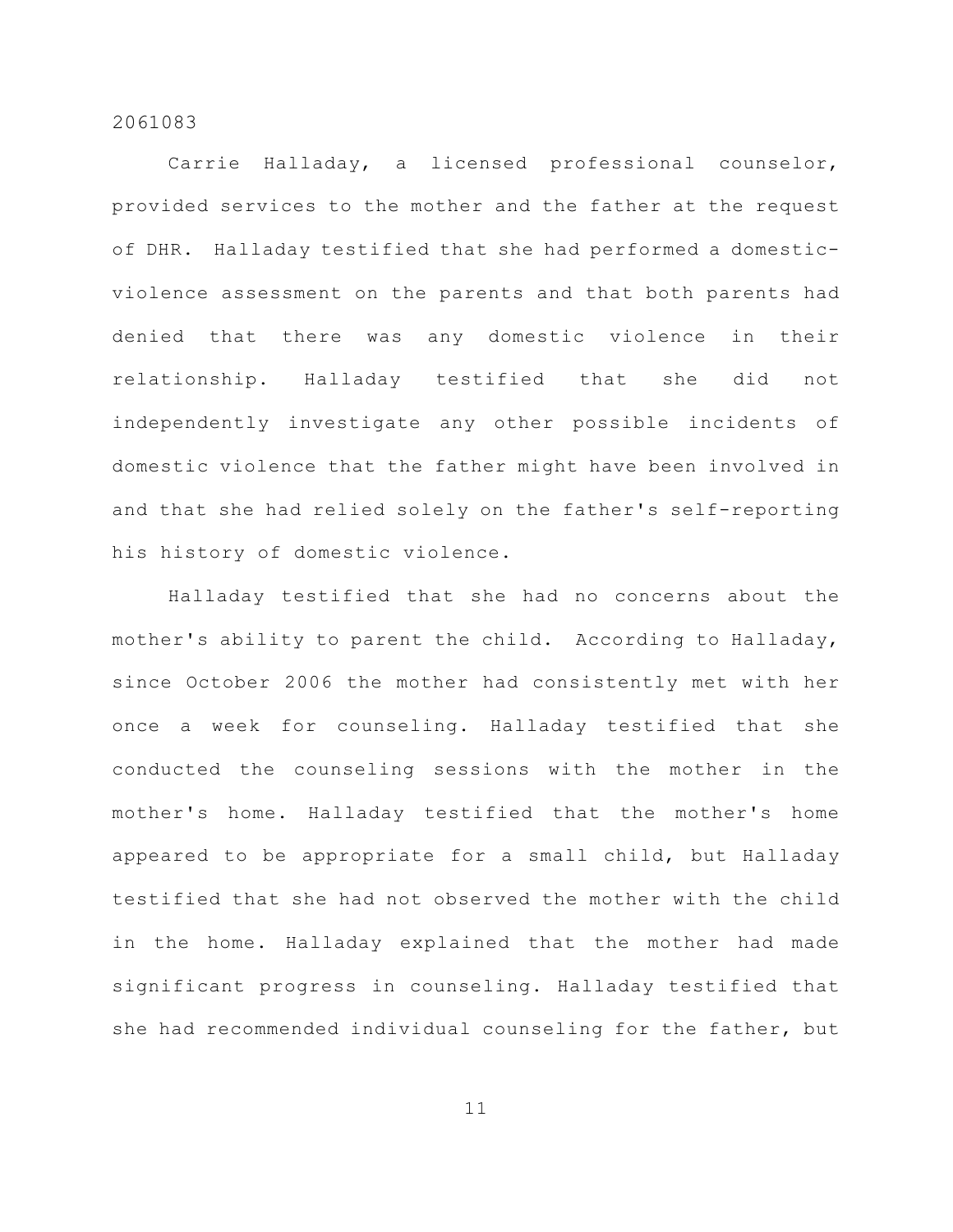Carrie Halladay, a licensed professional counselor, provided services to the mother and the father at the request of DHR. Halladay testified that she had performed a domesticviolence assessment on the parents and that both parents had denied that there was any domestic violence in their relationship. Halladay testified that she did not independently investigate any other possible incidents of domestic violence that the father might have been involved in and that she had relied solely on the father's self-reporting his history of domestic violence.

Halladay testified that she had no concerns about the mother's ability to parent the child. According to Halladay, since October 2006 the mother had consistently met with her once a week for counseling. Halladay testified that she conducted the counseling sessions with the mother in the mother's home. Halladay testified that the mother's home appeared to be appropriate for a small child, but Halladay testified that she had not observed the mother with the child in the home. Halladay explained that the mother had made significant progress in counseling. Halladay testified that she had recommended individual counseling for the father, but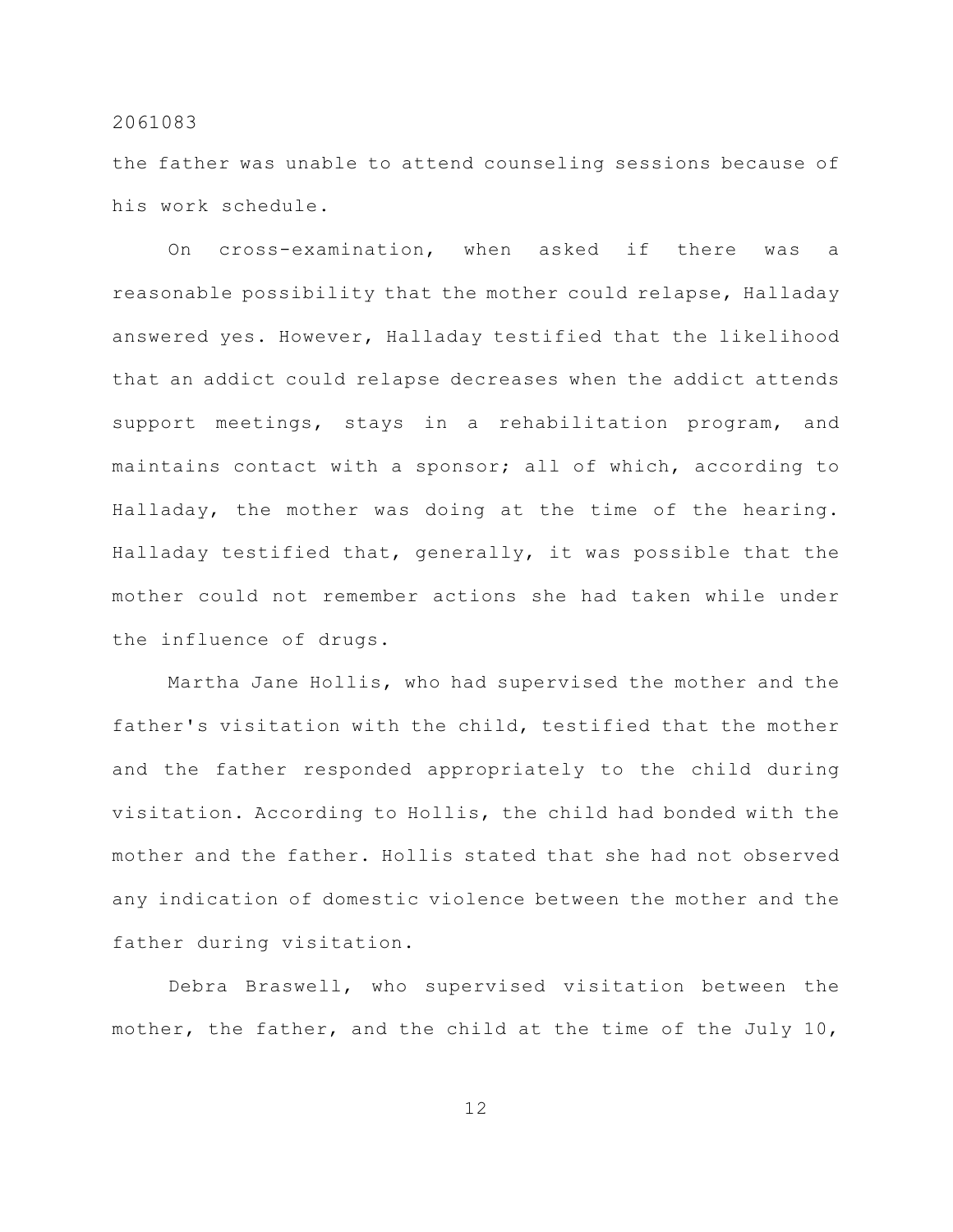the father was unable to attend counseling sessions because of his work schedule.

On cross-examination, when asked if there was a reasonable possibility that the mother could relapse, Halladay answered yes. However, Halladay testified that the likelihood that an addict could relapse decreases when the addict attends support meetings, stays in a rehabilitation program, and maintains contact with a sponsor; all of which, according to Halladay, the mother was doing at the time of the hearing. Halladay testified that, generally, it was possible that the mother could not remember actions she had taken while under the influence of drugs.

Martha Jane Hollis, who had supervised the mother and the father's visitation with the child, testified that the mother and the father responded appropriately to the child during visitation. According to Hollis, the child had bonded with the mother and the father. Hollis stated that she had not observed any indication of domestic violence between the mother and the father during visitation.

Debra Braswell, who supervised visitation between the mother, the father, and the child at the time of the July 10,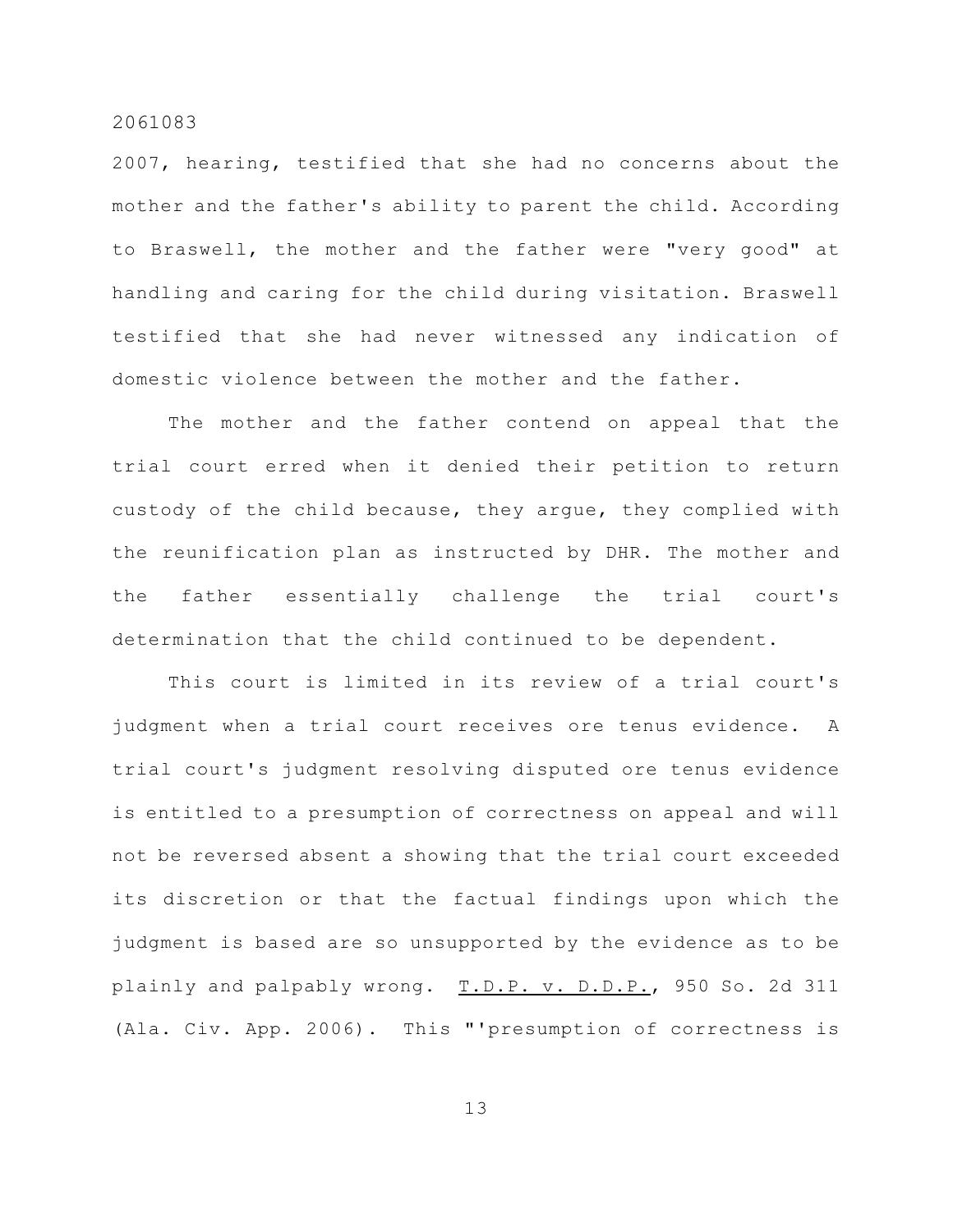2007, hearing, testified that she had no concerns about the mother and the father's ability to parent the child. According to Braswell, the mother and the father were "very good" at handling and caring for the child during visitation. Braswell testified that she had never witnessed any indication of domestic violence between the mother and the father.

The mother and the father contend on appeal that the trial court erred when it denied their petition to return custody of the child because, they argue, they complied with the reunification plan as instructed by DHR. The mother and the father essentially challenge the trial court's determination that the child continued to be dependent.

This court is limited in its review of a trial court's judgment when a trial court receives ore tenus evidence. A trial court's judgment resolving disputed ore tenus evidence is entitled to a presumption of correctness on appeal and will not be reversed absent a showing that the trial court exceeded its discretion or that the factual findings upon which the judgment is based are so unsupported by the evidence as to be plainly and palpably wrong. T.D.P. v. D.D.P., 950 So. 2d 311 (Ala. Civ. App. 2006). This "'presumption of correctness is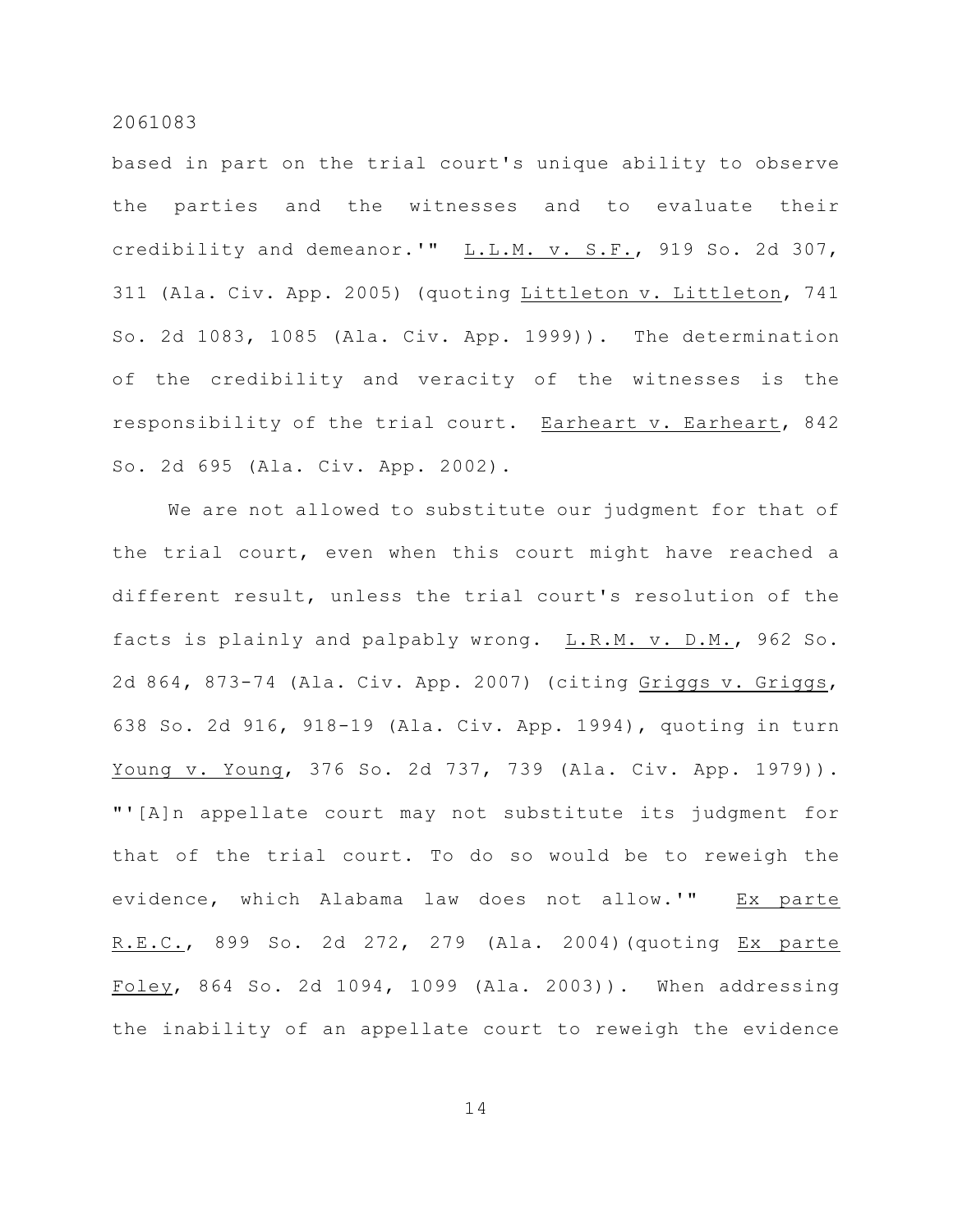based in part on the trial court's unique ability to observe the parties and the witnesses and to evaluate their credibility and demeanor.'" L.L.M. v. S.F., 919 So. 2d 307, 311 (Ala. Civ. App. 2005) (quoting Littleton v. Littleton, 741 So. 2d 1083, 1085 (Ala. Civ. App. 1999)). The determination of the credibility and veracity of the witnesses is the responsibility of the trial court. Earheart v. Earheart, 842 So. 2d 695 (Ala. Civ. App. 2002).

We are not allowed to substitute our judgment for that of the trial court, even when this court might have reached a different result, unless the trial court's resolution of the facts is plainly and palpably wrong. L.R.M. v. D.M., 962 So. 2d 864, 873-74 (Ala. Civ. App. 2007) (citing Griggs v. Griggs, 638 So. 2d 916, 918-19 (Ala. Civ. App. 1994), quoting in turn Young v. Young, 376 So. 2d 737, 739 (Ala. Civ. App. 1979)). "'[A]n appellate court may not substitute its judgment for that of the trial court. To do so would be to reweigh the evidence, which Alabama law does not allow.'" Ex parte R.E.C., 899 So. 2d 272, 279 (Ala. 2004)(quoting Ex parte Foley, 864 So. 2d 1094, 1099 (Ala. 2003)). When addressing the inability of an appellate court to reweigh the evidence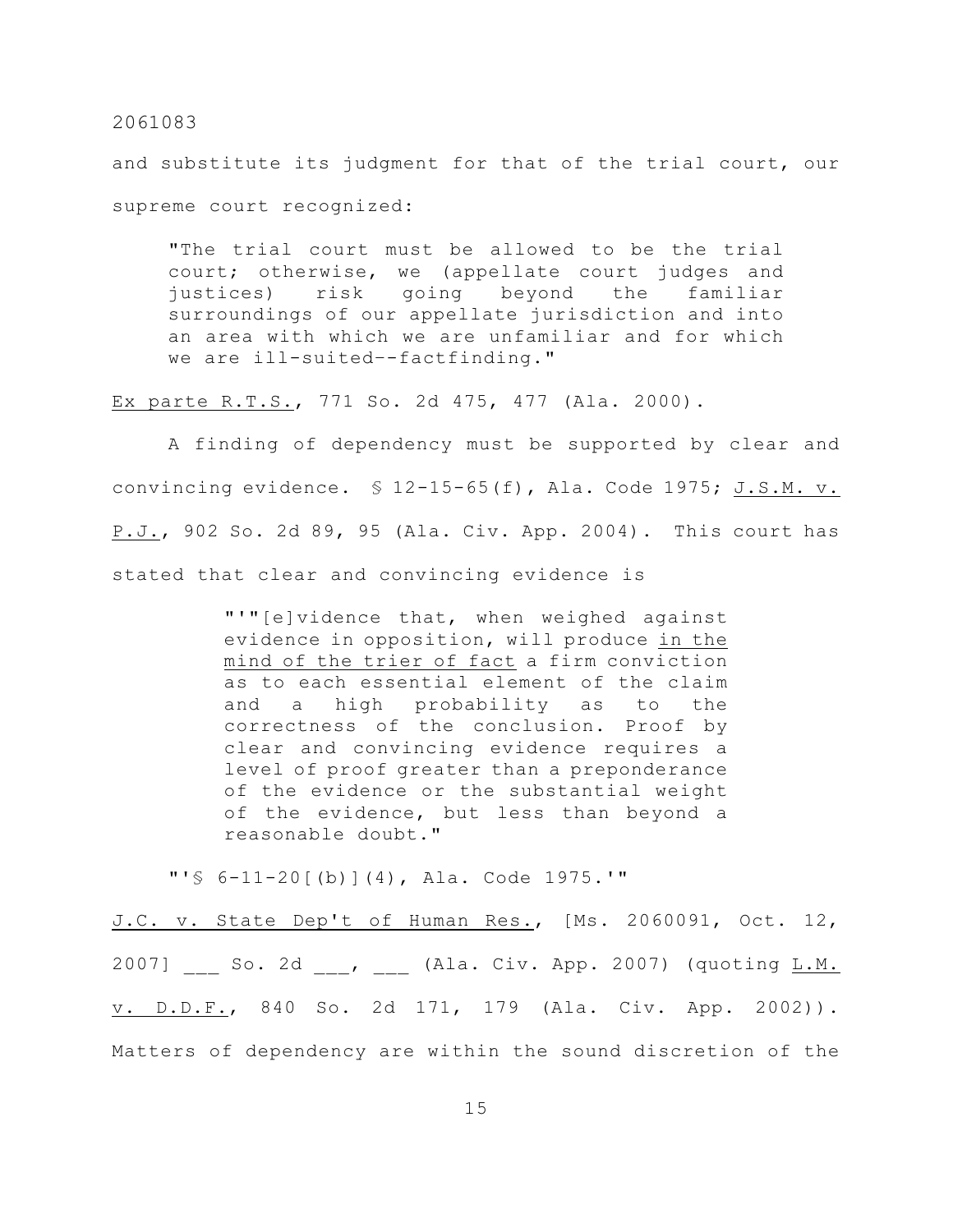and substitute its judgment for that of the trial court, our supreme court recognized:

"The trial court must be allowed to be the trial court; otherwise, we (appellate court judges and justices) risk going beyond the familiar surroundings of our appellate jurisdiction and into an area with which we are unfamiliar and for which we are ill-suited–-factfinding."

Ex parte R.T.S., 771 So. 2d 475, 477 (Ala. 2000).

A finding of dependency must be supported by clear and convincing evidence. § 12-15-65(f), Ala. Code 1975; J.S.M. v. P.J., 902 So. 2d 89, 95 (Ala. Civ. App. 2004). This court has stated that clear and convincing evidence is

> "'"[e]vidence that, when weighed against evidence in opposition, will produce in the mind of the trier of fact a firm conviction as to each essential element of the claim and a high probability as to the correctness of the conclusion. Proof by clear and convincing evidence requires a level of proof greater than a preponderance of the evidence or the substantial weight of the evidence, but less than beyond a reasonable doubt."

"'§ 6-11-20[(b)](4), Ala. Code 1975.'"

J.C. v. State Dep't of Human Res., [Ms. 2060091, Oct. 12,  $2007$ ] \_\_\_ So. 2d \_\_\_, \_\_\_ (Ala. Civ. App. 2007) (quoting  $L.M.$ v. D.D.F., 840 So. 2d 171, 179 (Ala. Civ. App. 2002)). Matters of dependency are within the sound discretion of the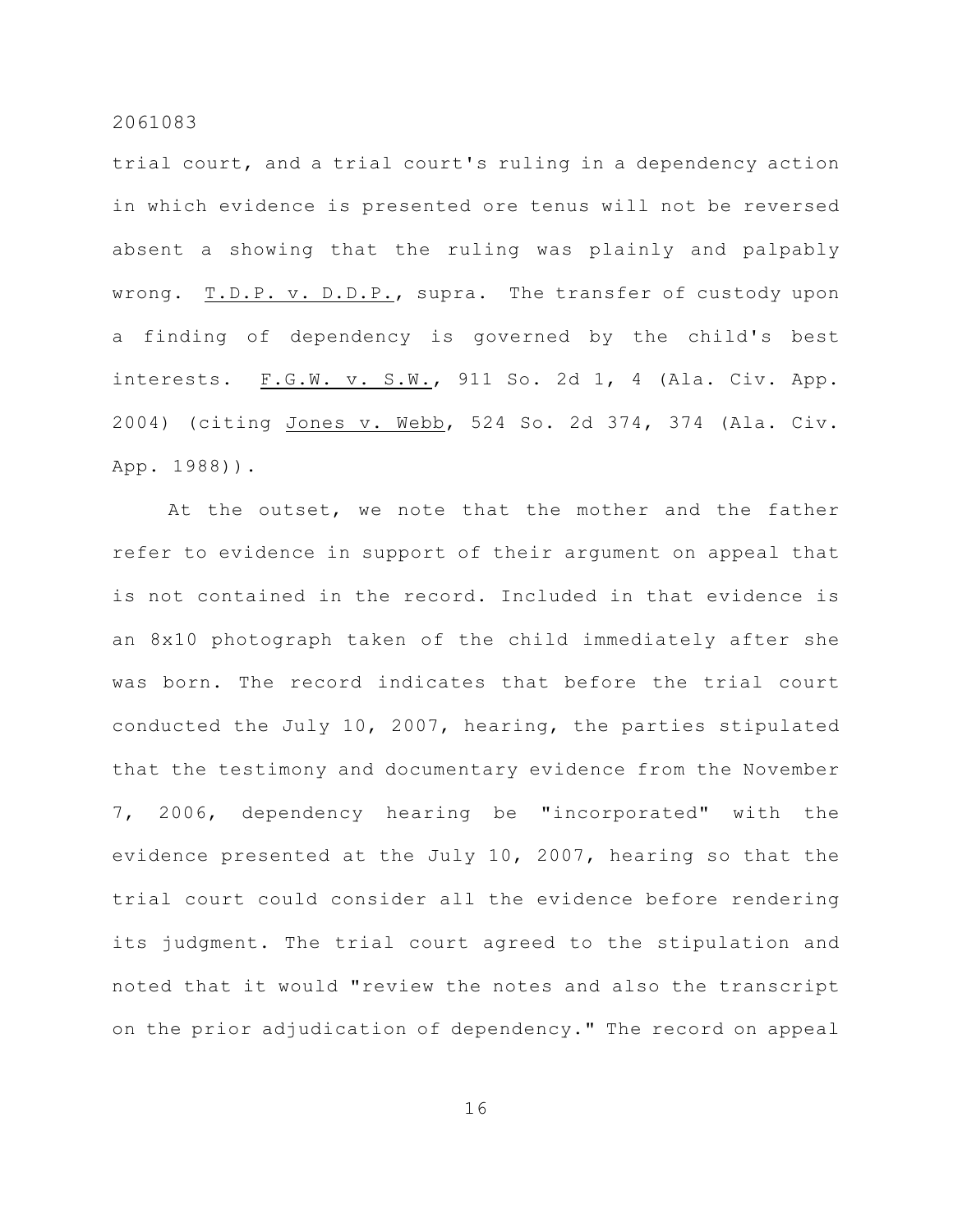trial court, and a trial court's ruling in a dependency action in which evidence is presented ore tenus will not be reversed absent a showing that the ruling was plainly and palpably wrong. T.D.P. v. D.D.P., supra. The transfer of custody upon a finding of dependency is governed by the child's best interests. F.G.W. v. S.W., 911 So. 2d 1, 4 (Ala. Civ. App. 2004) (citing Jones v. Webb, 524 So. 2d 374, 374 (Ala. Civ. App. 1988)).

At the outset, we note that the mother and the father refer to evidence in support of their argument on appeal that is not contained in the record. Included in that evidence is an 8x10 photograph taken of the child immediately after she was born. The record indicates that before the trial court conducted the July 10, 2007, hearing, the parties stipulated that the testimony and documentary evidence from the November 7, 2006, dependency hearing be "incorporated" with the evidence presented at the July 10, 2007, hearing so that the trial court could consider all the evidence before rendering its judgment. The trial court agreed to the stipulation and noted that it would "review the notes and also the transcript on the prior adjudication of dependency." The record on appeal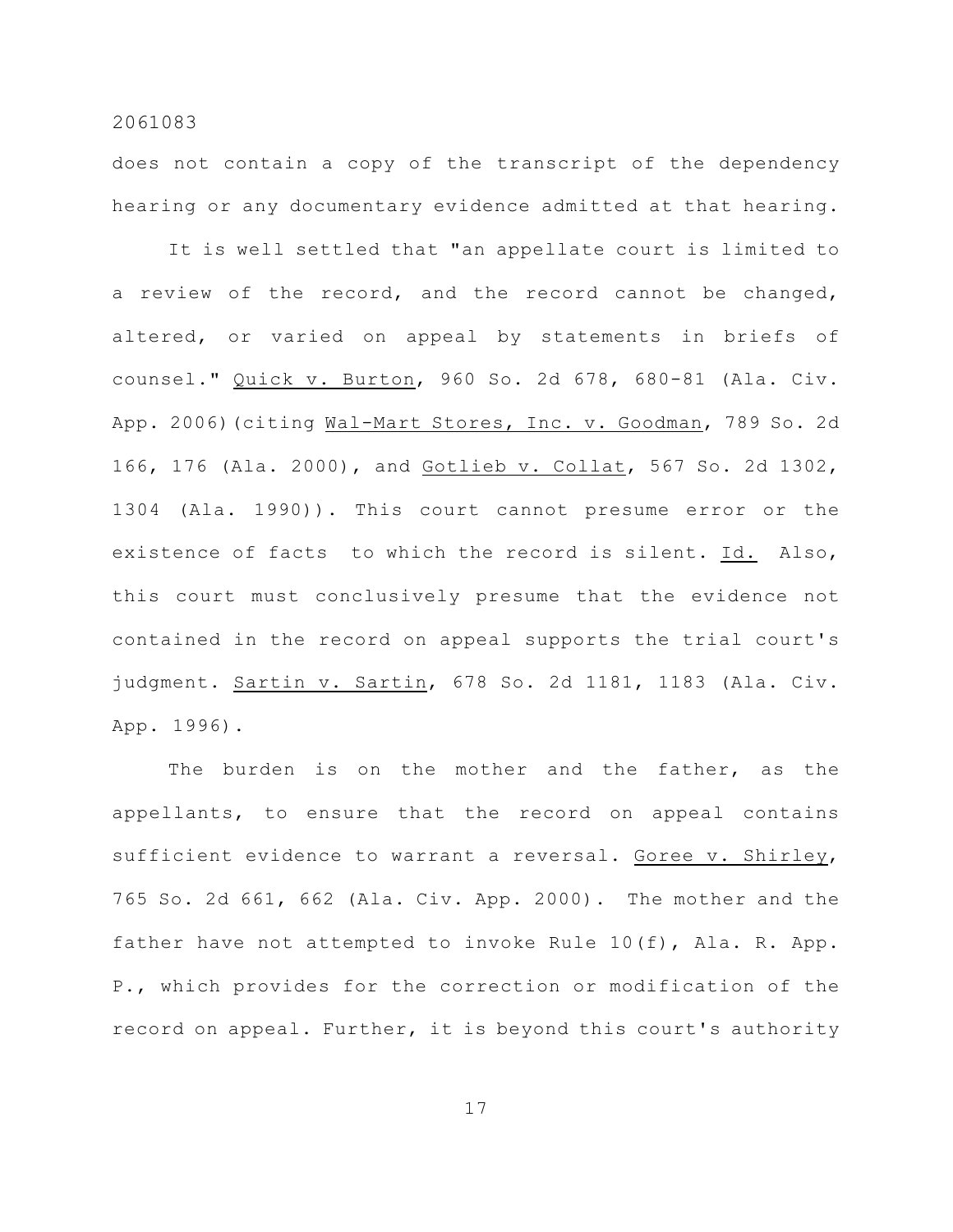does not contain a copy of the transcript of the dependency hearing or any documentary evidence admitted at that hearing.

It is well settled that "an appellate court is limited to a review of the record, and the record cannot be changed, altered, or varied on appeal by statements in briefs of counsel." Quick v. Burton, 960 So. 2d 678, 680-81 (Ala. Civ. App. 2006) (citing Wal-Mart Stores, Inc. v. Goodman, 789 So. 2d 166, 176 (Ala. 2000), and Gotlieb v. Collat, 567 So. 2d 1302, 1304 (Ala. 1990)). This court cannot presume error or the existence of facts to which the record is silent. Id. Also, this court must conclusively presume that the evidence not contained in the record on appeal supports the trial court's judgment. Sartin v. Sartin, 678 So. 2d 1181, 1183 (Ala. Civ. App. 1996).

The burden is on the mother and the father, as the appellants, to ensure that the record on appeal contains sufficient evidence to warrant a reversal. Goree v. Shirley, 765 So. 2d 661, 662 (Ala. Civ. App. 2000). The mother and the father have not attempted to invoke Rule 10(f), Ala. R. App. P., which provides for the correction or modification of the record on appeal. Further, it is beyond this court's authority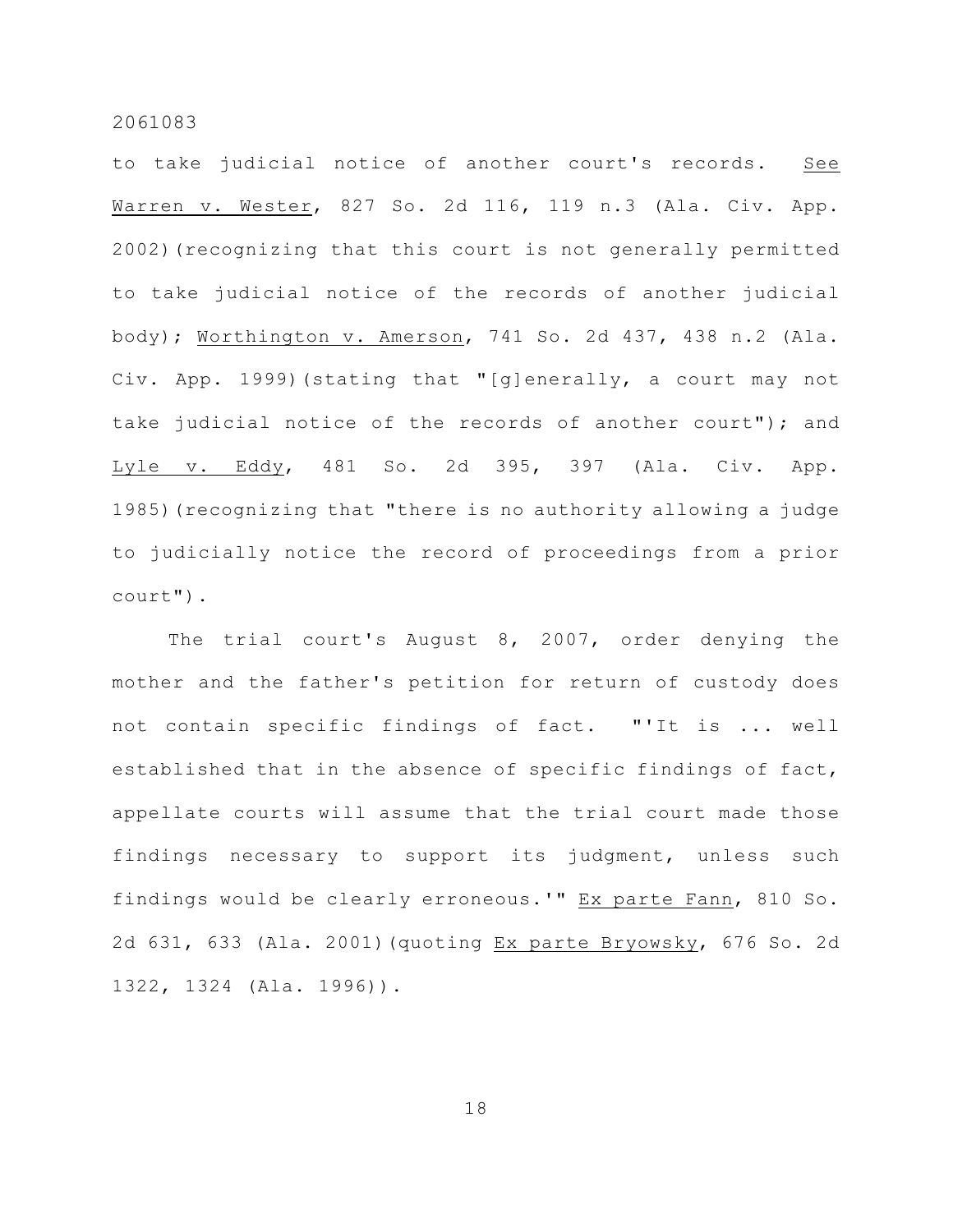to take judicial notice of another court's records. See Warren v. Wester, 827 So. 2d 116, 119 n.3 (Ala. Civ. App. 2002)(recognizing that this court is not generally permitted to take judicial notice of the records of another judicial body); Worthington v. Amerson, 741 So. 2d 437, 438 n.2 (Ala. Civ. App. 1999)(stating that "[g]enerally, a court may not take judicial notice of the records of another court"); and Lyle v. Eddy, 481 So. 2d 395, 397 (Ala. Civ. App. 1985)(recognizing that "there is no authority allowing a judge to judicially notice the record of proceedings from a prior court").

The trial court's August 8, 2007, order denying the mother and the father's petition for return of custody does not contain specific findings of fact. "'It is ... well established that in the absence of specific findings of fact, appellate courts will assume that the trial court made those findings necessary to support its judgment, unless such findings would be clearly erroneous.'" Ex parte Fann, 810 So. 2d 631, 633 (Ala. 2001)(quoting Ex parte Bryowsky, 676 So. 2d 1322, 1324 (Ala. 1996)).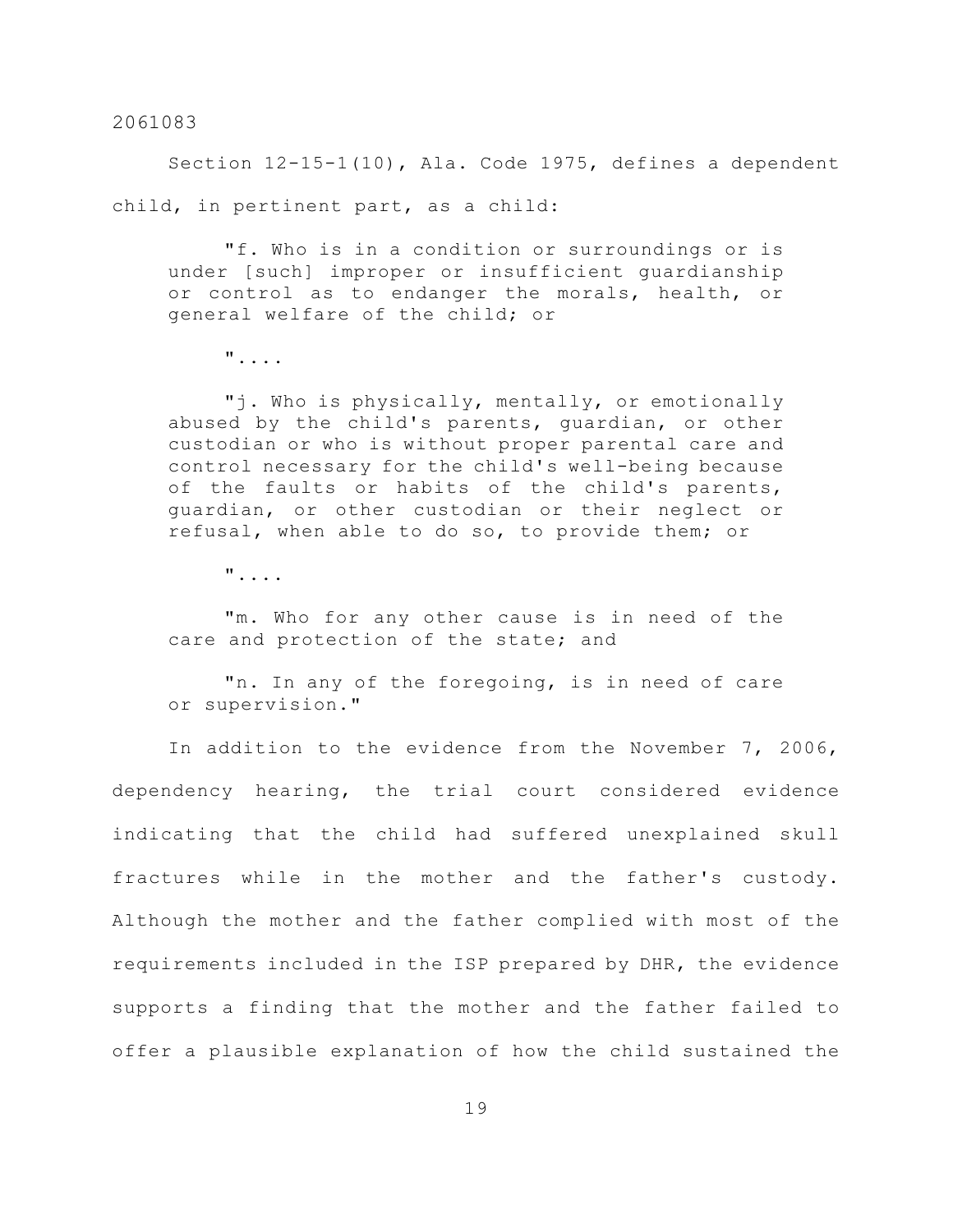Section 12-15-1(10), Ala. Code 1975, defines a dependent child, in pertinent part, as a child:

"f. Who is in a condition or surroundings or is under [such] improper or insufficient guardianship or control as to endanger the morals, health, or general welfare of the child; or

"....

"j. Who is physically, mentally, or emotionally abused by the child's parents, guardian, or other custodian or who is without proper parental care and control necessary for the child's well-being because of the faults or habits of the child's parents, guardian, or other custodian or their neglect or refusal, when able to do so, to provide them; or

"....

"m. Who for any other cause is in need of the care and protection of the state; and

"n. In any of the foregoing, is in need of care or supervision."

In addition to the evidence from the November 7, 2006, dependency hearing, the trial court considered evidence indicating that the child had suffered unexplained skull fractures while in the mother and the father's custody. Although the mother and the father complied with most of the requirements included in the ISP prepared by DHR, the evidence supports a finding that the mother and the father failed to offer a plausible explanation of how the child sustained the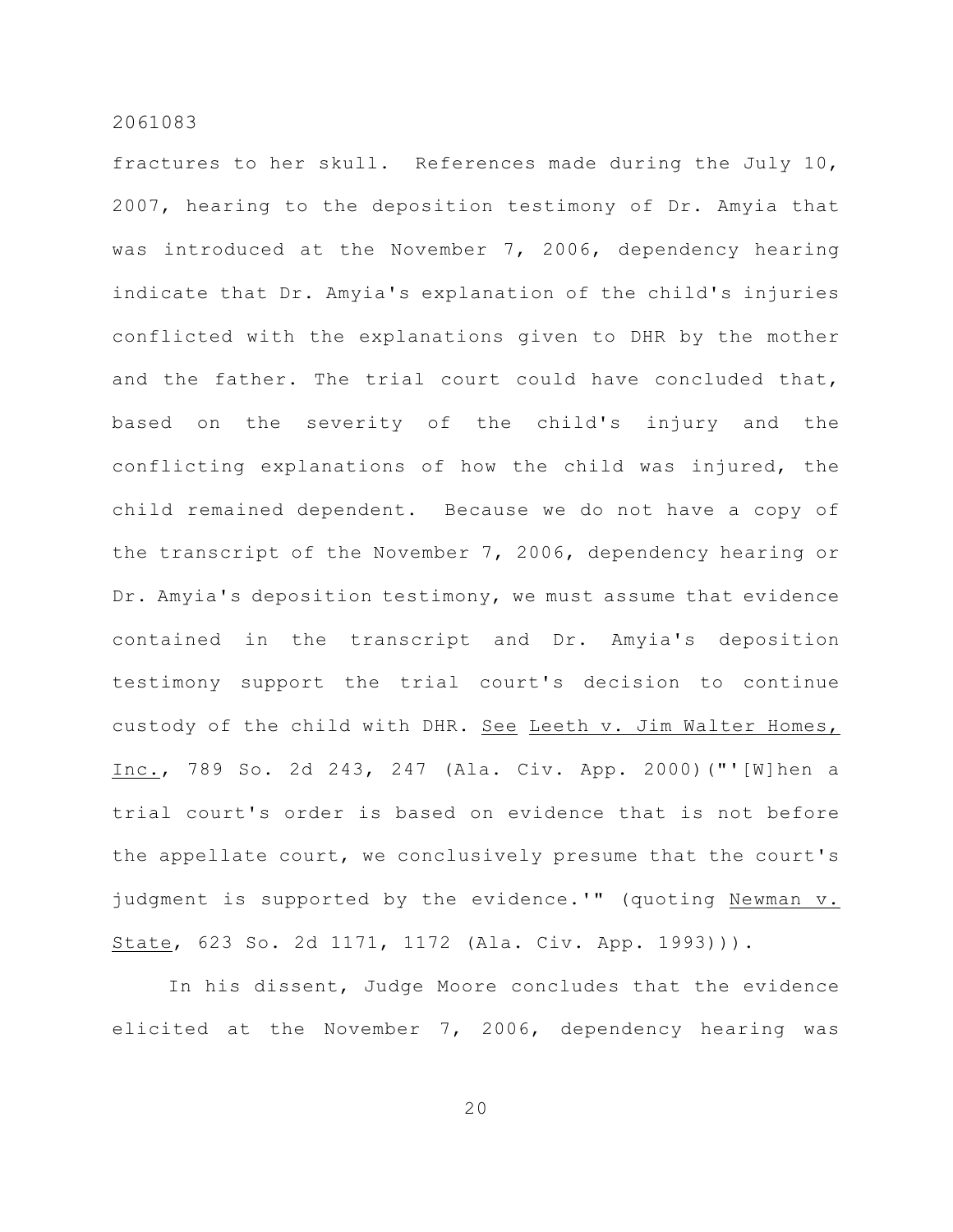fractures to her skull. References made during the July 10, 2007, hearing to the deposition testimony of Dr. Amyia that was introduced at the November 7, 2006, dependency hearing indicate that Dr. Amyia's explanation of the child's injuries conflicted with the explanations given to DHR by the mother and the father. The trial court could have concluded that, based on the severity of the child's injury and the conflicting explanations of how the child was injured, the child remained dependent. Because we do not have a copy of the transcript of the November 7, 2006, dependency hearing or Dr. Amyia's deposition testimony, we must assume that evidence contained in the transcript and Dr. Amyia's deposition testimony support the trial court's decision to continue custody of the child with DHR. See Leeth v. Jim Walter Homes, Inc., 789 So. 2d 243, 247 (Ala. Civ. App. 2000)("'[W]hen a trial court's order is based on evidence that is not before the appellate court, we conclusively presume that the court's judgment is supported by the evidence.'" (quoting Newman v. State, 623 So. 2d 1171, 1172 (Ala. Civ. App. 1993))).

In his dissent, Judge Moore concludes that the evidence elicited at the November 7, 2006, dependency hearing was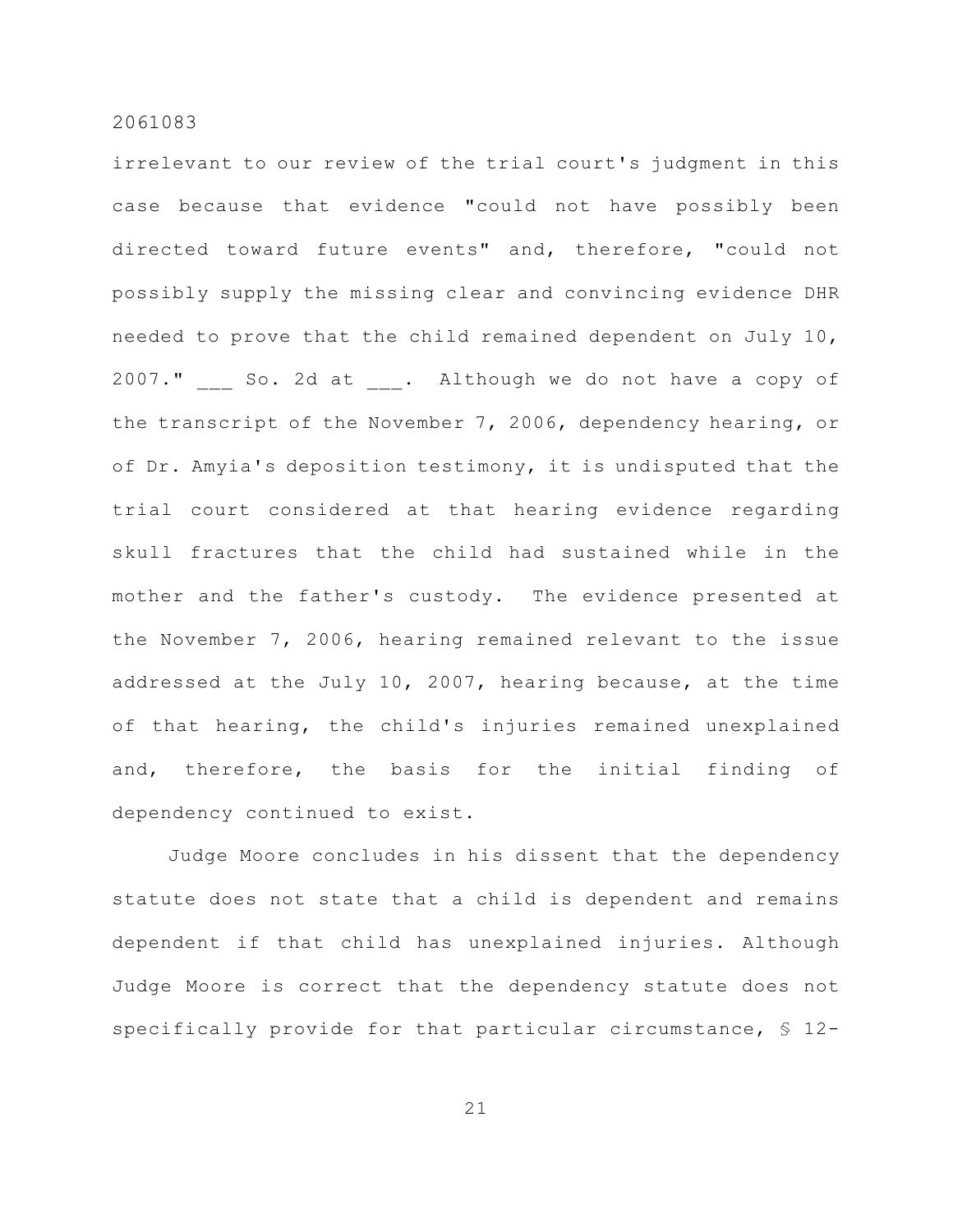irrelevant to our review of the trial court's judgment in this case because that evidence "could not have possibly been directed toward future events" and, therefore, "could not possibly supply the missing clear and convincing evidence DHR needed to prove that the child remained dependent on July 10, 2007." So. 2d at . Although we do not have a copy of the transcript of the November 7, 2006, dependency hearing, or of Dr. Amyia's deposition testimony, it is undisputed that the trial court considered at that hearing evidence regarding skull fractures that the child had sustained while in the mother and the father's custody. The evidence presented at the November 7, 2006, hearing remained relevant to the issue addressed at the July 10, 2007, hearing because, at the time of that hearing, the child's injuries remained unexplained and, therefore, the basis for the initial finding of dependency continued to exist.

Judge Moore concludes in his dissent that the dependency statute does not state that a child is dependent and remains dependent if that child has unexplained injuries. Although Judge Moore is correct that the dependency statute does not specifically provide for that particular circumstance, § 12-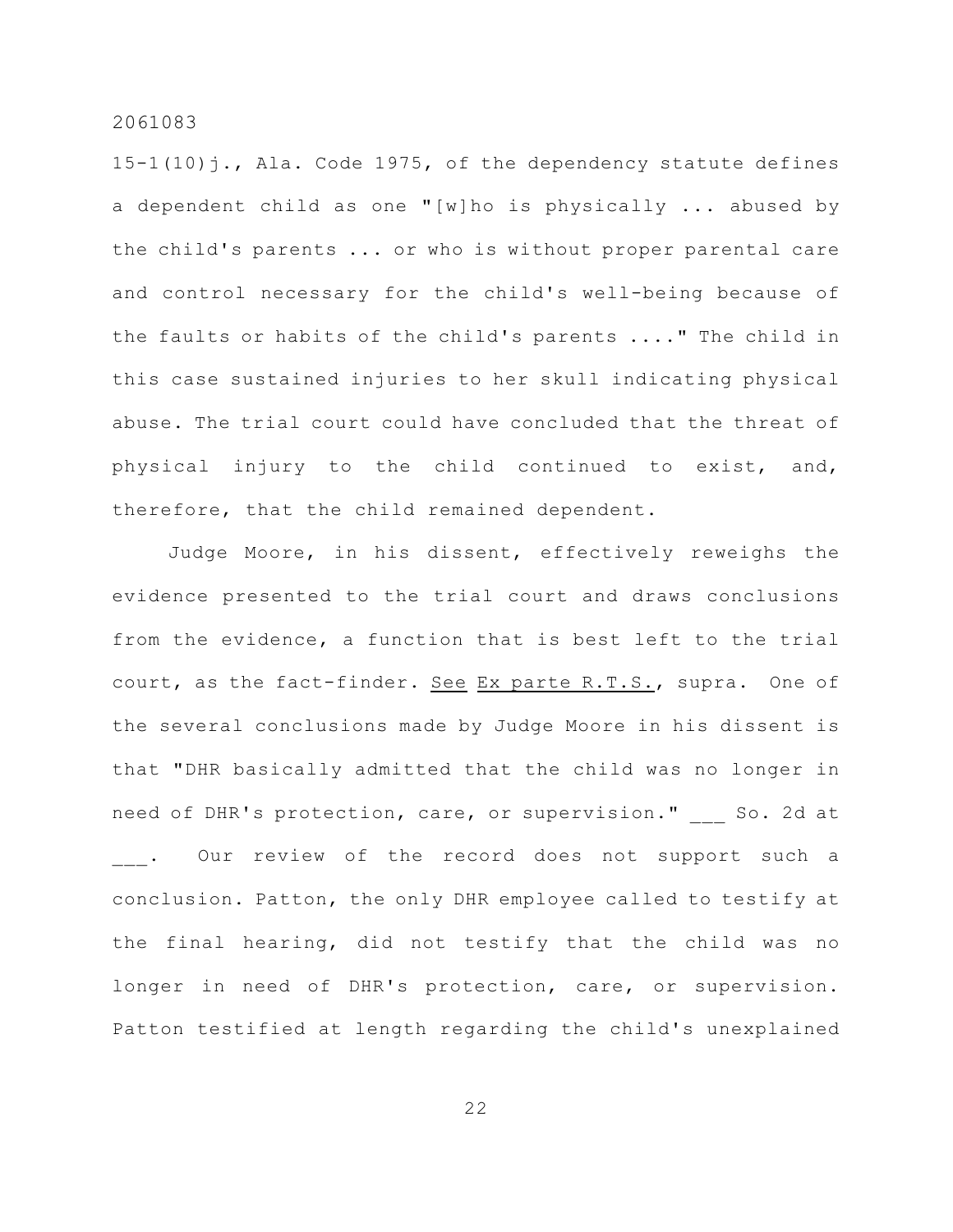15-1(10)j., Ala. Code 1975, of the dependency statute defines a dependent child as one "[w]ho is physically ... abused by the child's parents ... or who is without proper parental care and control necessary for the child's well-being because of the faults or habits of the child's parents ...." The child in this case sustained injuries to her skull indicating physical abuse. The trial court could have concluded that the threat of physical injury to the child continued to exist, and, therefore, that the child remained dependent.

Judge Moore, in his dissent, effectively reweighs the evidence presented to the trial court and draws conclusions from the evidence, a function that is best left to the trial court, as the fact-finder. See Ex parte R.T.S., supra. One of the several conclusions made by Judge Moore in his dissent is that "DHR basically admitted that the child was no longer in need of DHR's protection, care, or supervision." So. 2d at . Our review of the record does not support such a conclusion. Patton, the only DHR employee called to testify at the final hearing, did not testify that the child was no longer in need of DHR's protection, care, or supervision. Patton testified at length regarding the child's unexplained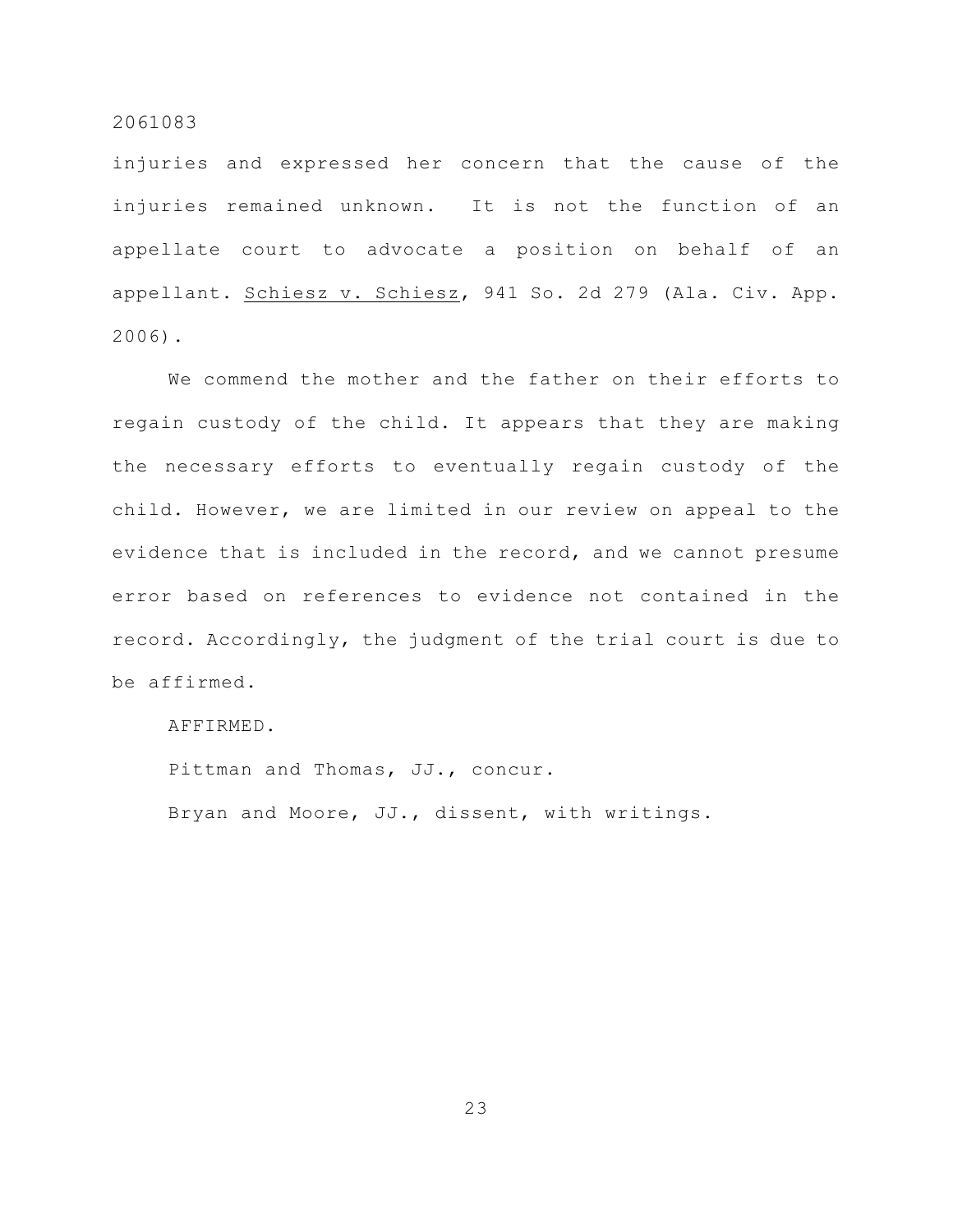injuries and expressed her concern that the cause of the injuries remained unknown. It is not the function of an appellate court to advocate a position on behalf of an appellant. Schiesz v. Schiesz, 941 So. 2d 279 (Ala. Civ. App. 2006).

We commend the mother and the father on their efforts to regain custody of the child. It appears that they are making the necessary efforts to eventually regain custody of the child. However, we are limited in our review on appeal to the evidence that is included in the record, and we cannot presume error based on references to evidence not contained in the record. Accordingly, the judgment of the trial court is due to be affirmed.

AFFIRMED.

Pittman and Thomas, JJ., concur.

Bryan and Moore, JJ., dissent, with writings.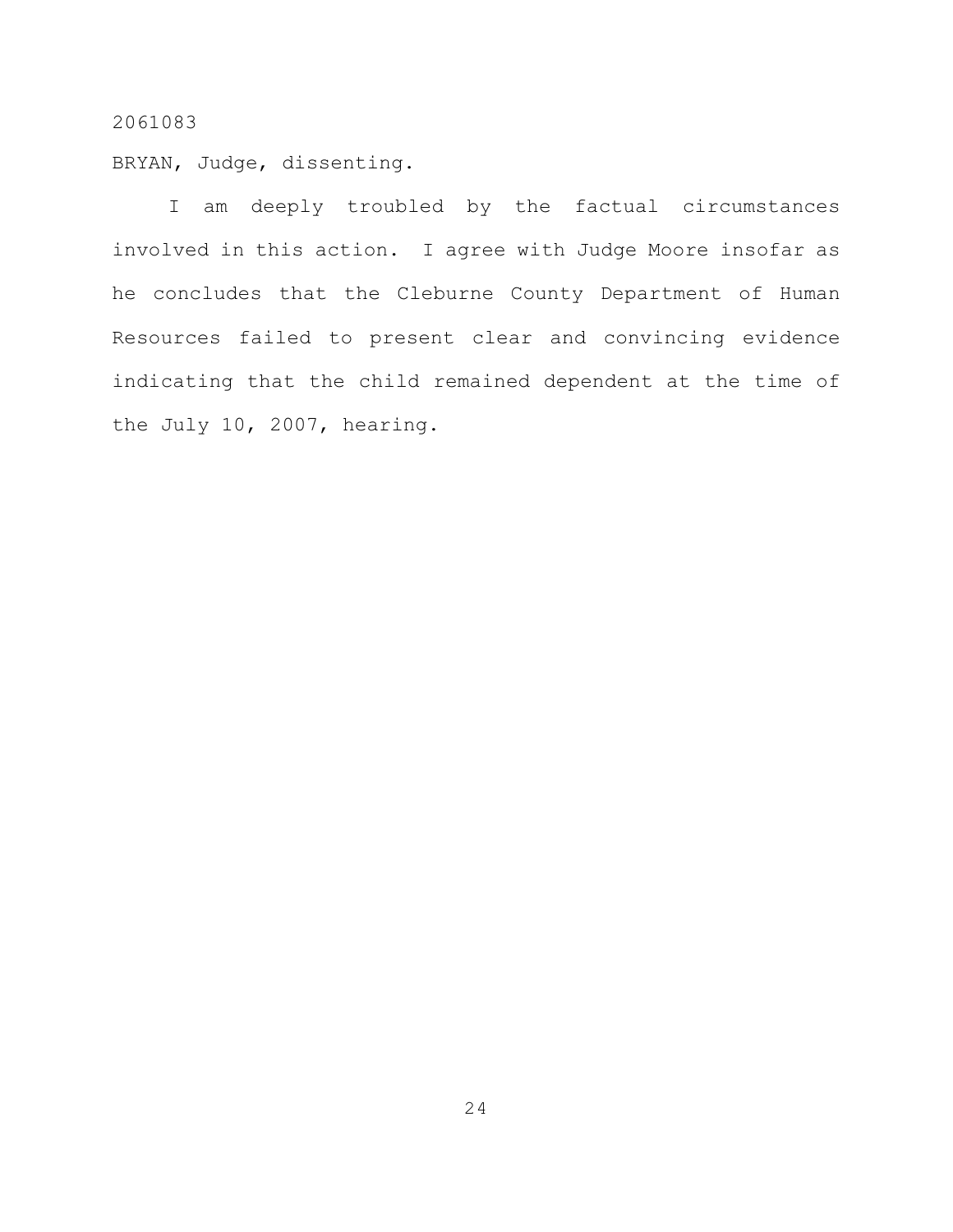BRYAN, Judge, dissenting.

I am deeply troubled by the factual circumstances involved in this action. I agree with Judge Moore insofar as he concludes that the Cleburne County Department of Human Resources failed to present clear and convincing evidence indicating that the child remained dependent at the time of the July 10, 2007, hearing.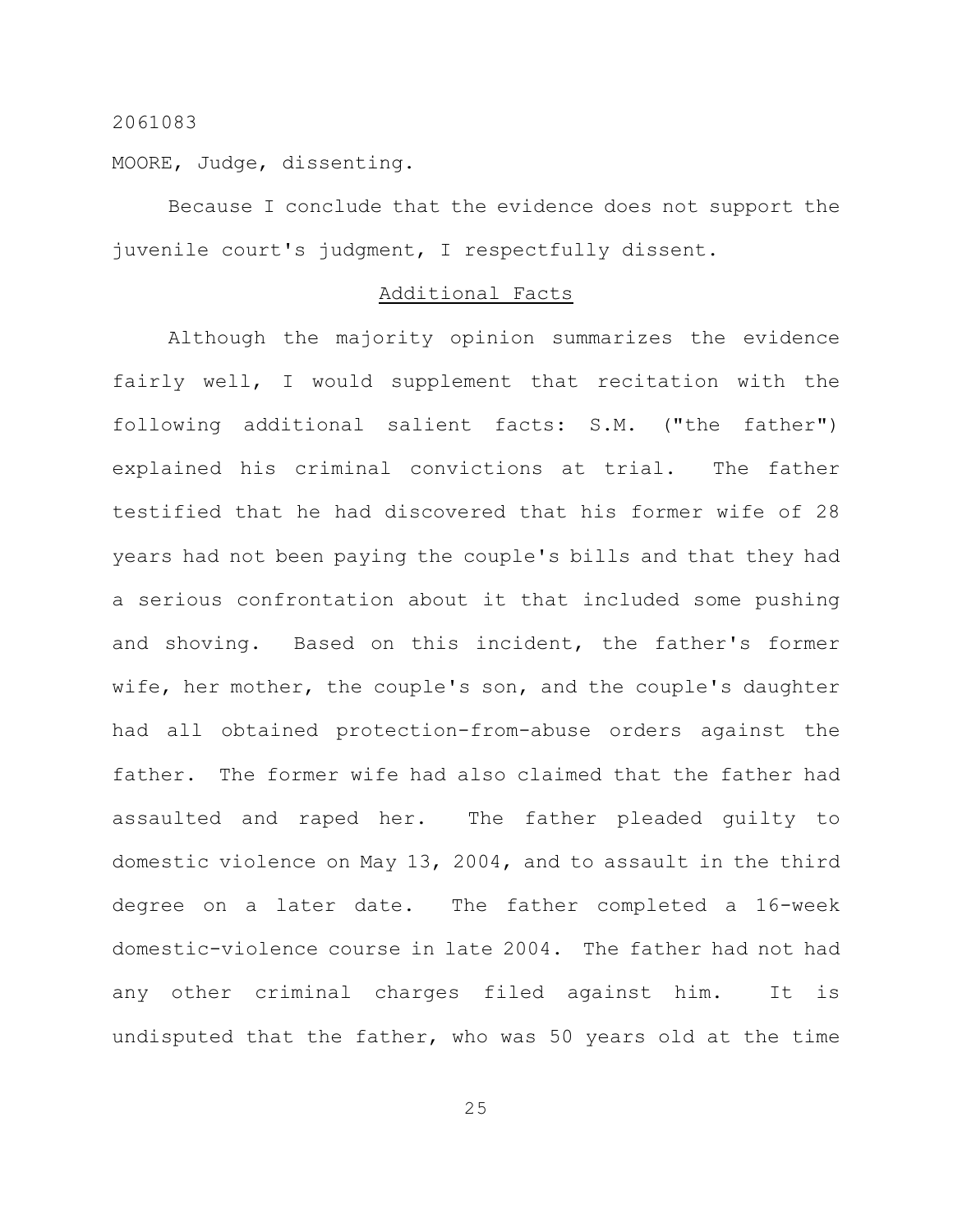MOORE, Judge, dissenting.

Because I conclude that the evidence does not support the juvenile court's judgment, I respectfully dissent.

#### Additional Facts

Although the majority opinion summarizes the evidence fairly well, I would supplement that recitation with the following additional salient facts: S.M. ("the father") explained his criminal convictions at trial. The father testified that he had discovered that his former wife of 28 years had not been paying the couple's bills and that they had a serious confrontation about it that included some pushing and shoving. Based on this incident, the father's former wife, her mother, the couple's son, and the couple's daughter had all obtained protection-from-abuse orders against the father. The former wife had also claimed that the father had assaulted and raped her. The father pleaded guilty to domestic violence on May 13, 2004, and to assault in the third degree on a later date. The father completed a 16-week domestic-violence course in late 2004. The father had not had any other criminal charges filed against him. It is undisputed that the father, who was 50 years old at the time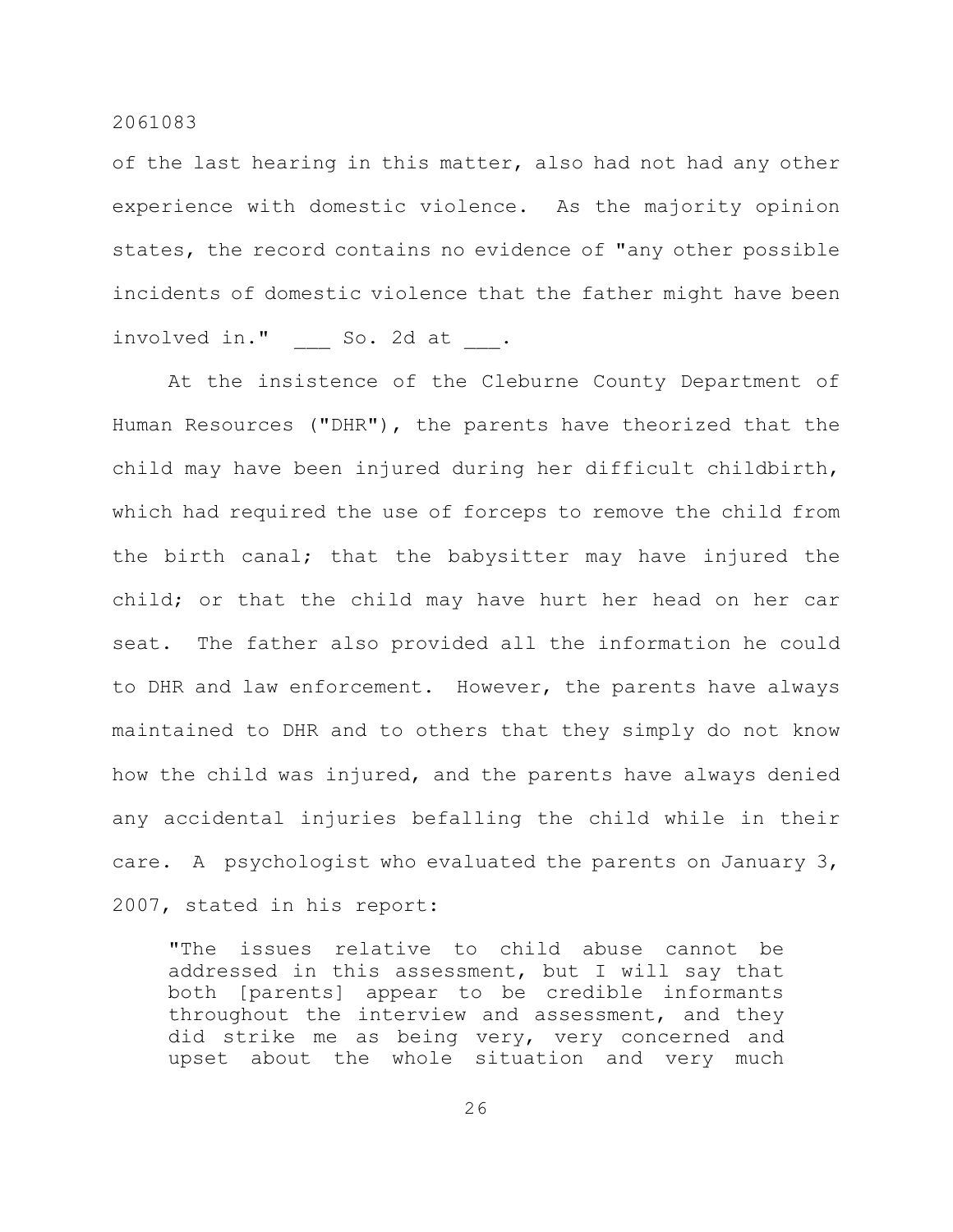of the last hearing in this matter, also had not had any other experience with domestic violence. As the majority opinion states, the record contains no evidence of "any other possible incidents of domestic violence that the father might have been involved in." So. 2d at .

At the insistence of the Cleburne County Department of Human Resources ("DHR"), the parents have theorized that the child may have been injured during her difficult childbirth, which had required the use of forceps to remove the child from the birth canal; that the babysitter may have injured the child; or that the child may have hurt her head on her car seat. The father also provided all the information he could to DHR and law enforcement. However, the parents have always maintained to DHR and to others that they simply do not know how the child was injured, and the parents have always denied any accidental injuries befalling the child while in their care. A psychologist who evaluated the parents on January 3, 2007, stated in his report:

"The issues relative to child abuse cannot be addressed in this assessment, but I will say that both [parents] appear to be credible informants throughout the interview and assessment, and they did strike me as being very, very concerned and upset about the whole situation and very much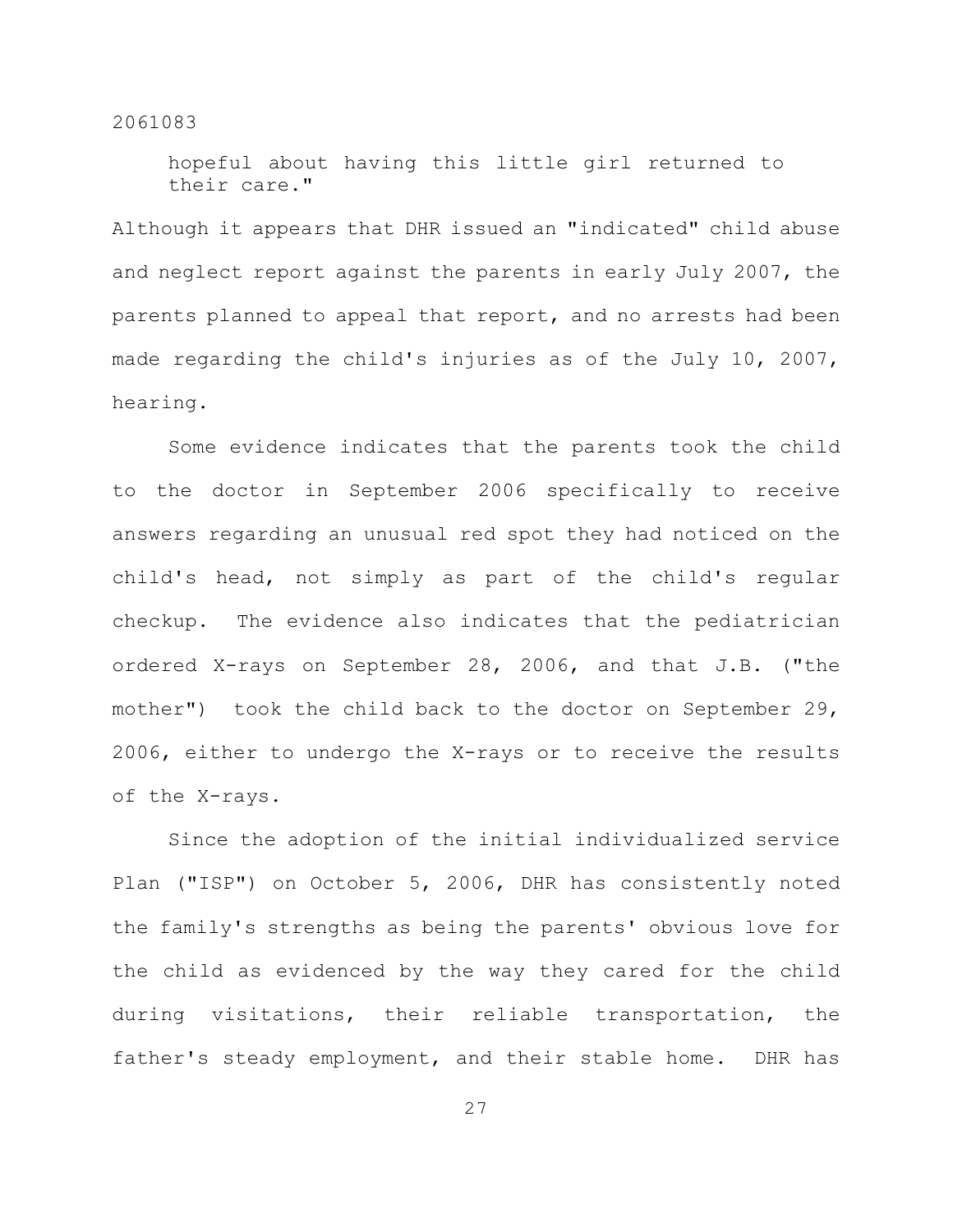hopeful about having this little girl returned to their care."

Although it appears that DHR issued an "indicated" child abuse and neglect report against the parents in early July 2007, the parents planned to appeal that report, and no arrests had been made regarding the child's injuries as of the July 10, 2007, hearing.

Some evidence indicates that the parents took the child to the doctor in September 2006 specifically to receive answers regarding an unusual red spot they had noticed on the child's head, not simply as part of the child's regular checkup. The evidence also indicates that the pediatrician ordered X-rays on September 28, 2006, and that J.B. ("the mother") took the child back to the doctor on September 29, 2006, either to undergo the X-rays or to receive the results of the X-rays.

Since the adoption of the initial individualized service Plan ("ISP") on October 5, 2006, DHR has consistently noted the family's strengths as being the parents' obvious love for the child as evidenced by the way they cared for the child during visitations, their reliable transportation, the father's steady employment, and their stable home. DHR has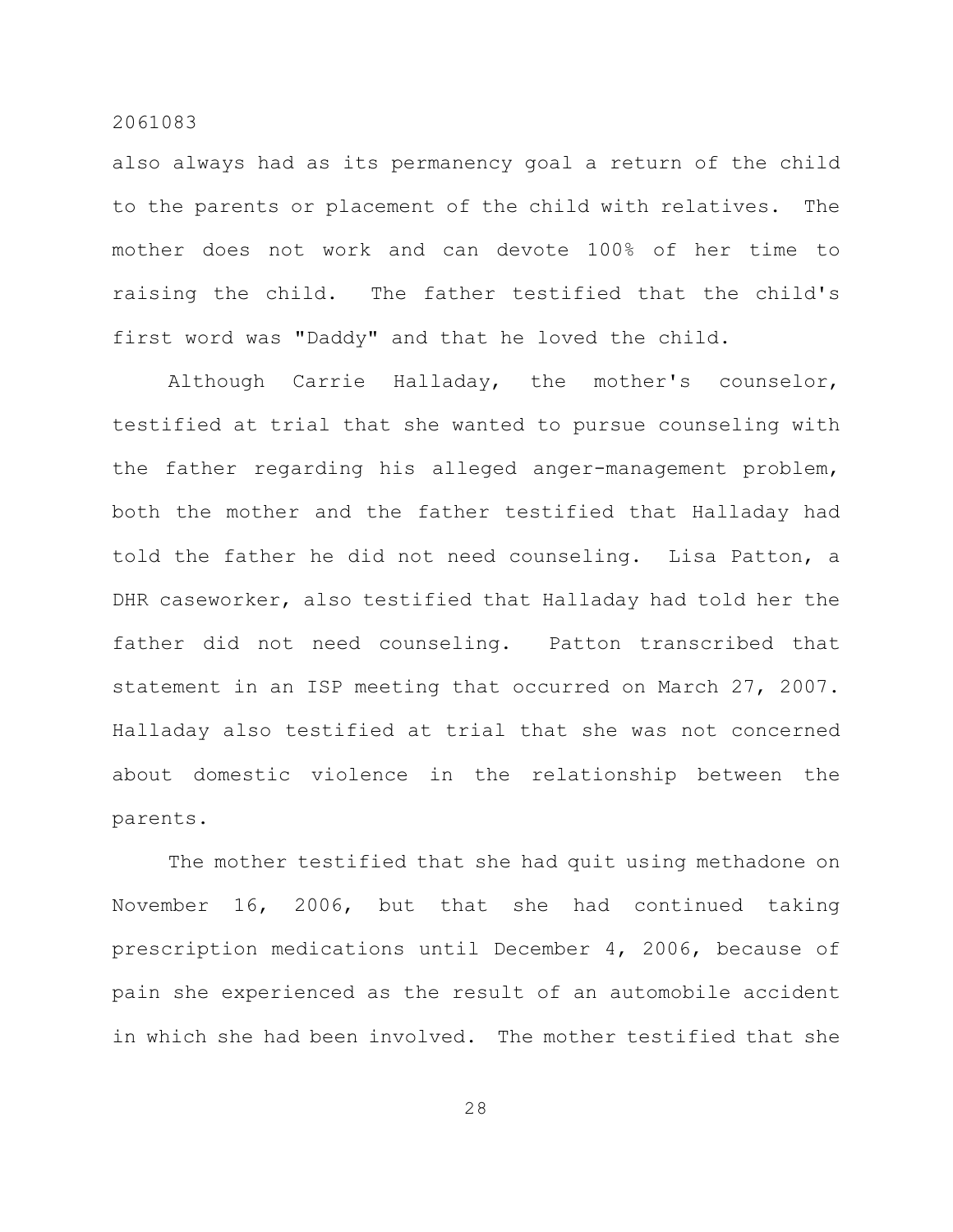also always had as its permanency goal a return of the child to the parents or placement of the child with relatives. The mother does not work and can devote 100% of her time to raising the child. The father testified that the child's first word was "Daddy" and that he loved the child.

Although Carrie Halladay, the mother's counselor, testified at trial that she wanted to pursue counseling with the father regarding his alleged anger-management problem, both the mother and the father testified that Halladay had told the father he did not need counseling. Lisa Patton, a DHR caseworker, also testified that Halladay had told her the father did not need counseling. Patton transcribed that statement in an ISP meeting that occurred on March 27, 2007. Halladay also testified at trial that she was not concerned about domestic violence in the relationship between the parents.

The mother testified that she had quit using methadone on November 16, 2006, but that she had continued taking prescription medications until December 4, 2006, because of pain she experienced as the result of an automobile accident in which she had been involved. The mother testified that she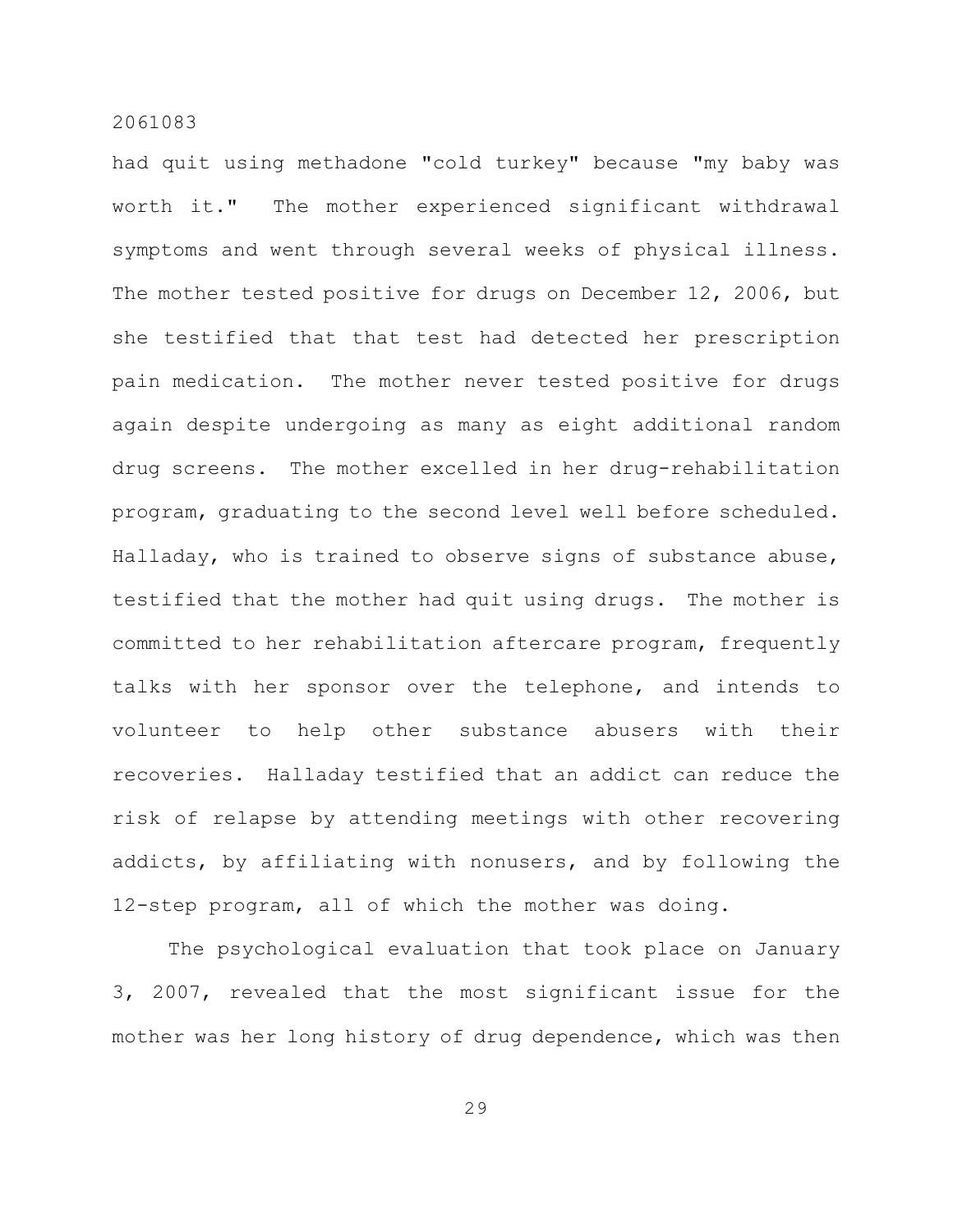had quit using methadone "cold turkey" because "my baby was worth it." The mother experienced significant withdrawal symptoms and went through several weeks of physical illness. The mother tested positive for drugs on December 12, 2006, but she testified that that test had detected her prescription pain medication. The mother never tested positive for drugs again despite undergoing as many as eight additional random drug screens. The mother excelled in her drug-rehabilitation program, graduating to the second level well before scheduled. Halladay, who is trained to observe signs of substance abuse, testified that the mother had quit using drugs. The mother is committed to her rehabilitation aftercare program, frequently talks with her sponsor over the telephone, and intends to volunteer to help other substance abusers with their recoveries. Halladay testified that an addict can reduce the risk of relapse by attending meetings with other recovering addicts, by affiliating with nonusers, and by following the 12-step program, all of which the mother was doing.

The psychological evaluation that took place on January 3, 2007, revealed that the most significant issue for the mother was her long history of drug dependence, which was then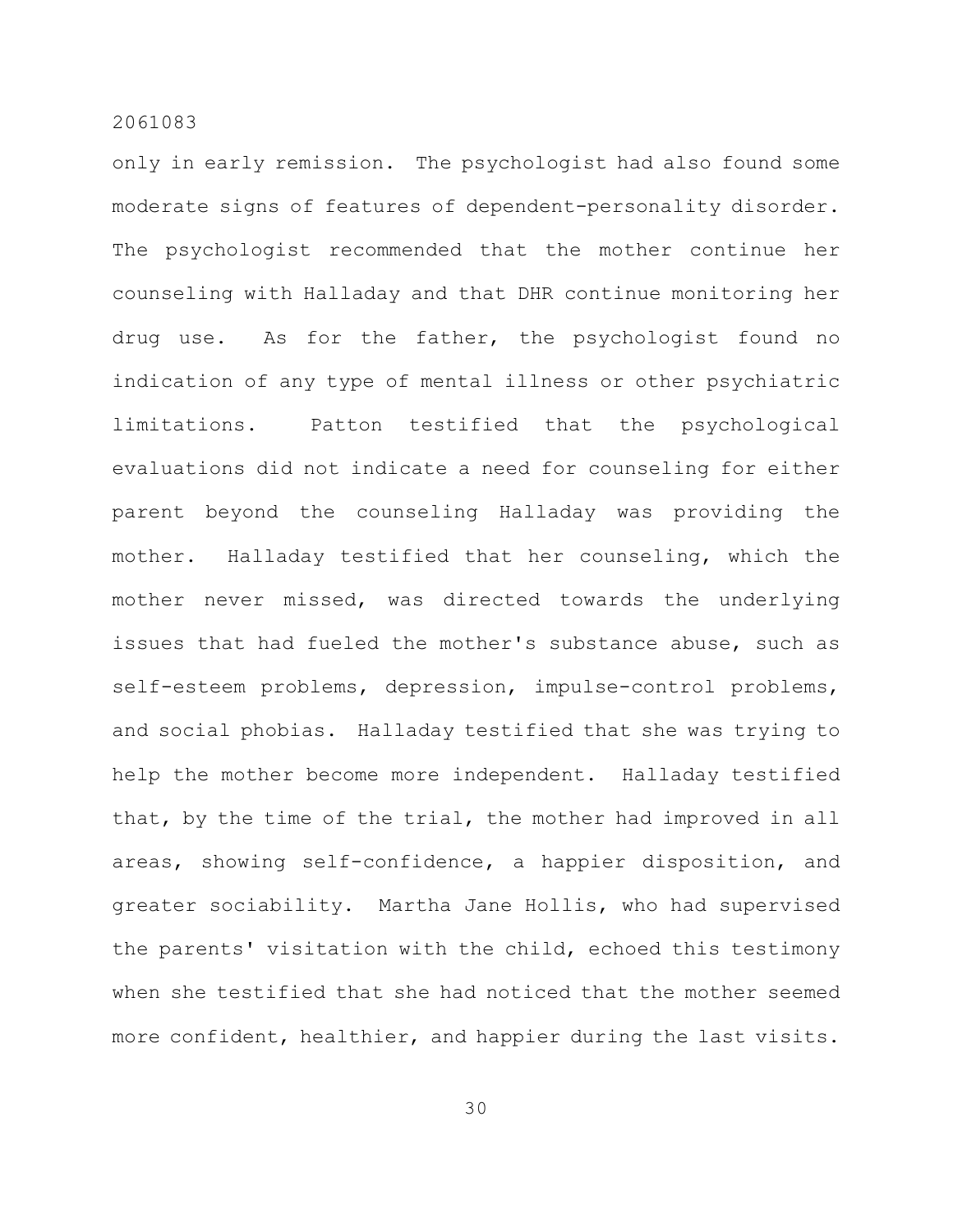only in early remission. The psychologist had also found some moderate signs of features of dependent-personality disorder. The psychologist recommended that the mother continue her counseling with Halladay and that DHR continue monitoring her drug use. As for the father, the psychologist found no indication of any type of mental illness or other psychiatric limitations. Patton testified that the psychological evaluations did not indicate a need for counseling for either parent beyond the counseling Halladay was providing the mother. Halladay testified that her counseling, which the mother never missed, was directed towards the underlying issues that had fueled the mother's substance abuse, such as self-esteem problems, depression, impulse-control problems, and social phobias. Halladay testified that she was trying to help the mother become more independent. Halladay testified that, by the time of the trial, the mother had improved in all areas, showing self-confidence, a happier disposition, and greater sociability. Martha Jane Hollis, who had supervised the parents' visitation with the child, echoed this testimony when she testified that she had noticed that the mother seemed more confident, healthier, and happier during the last visits.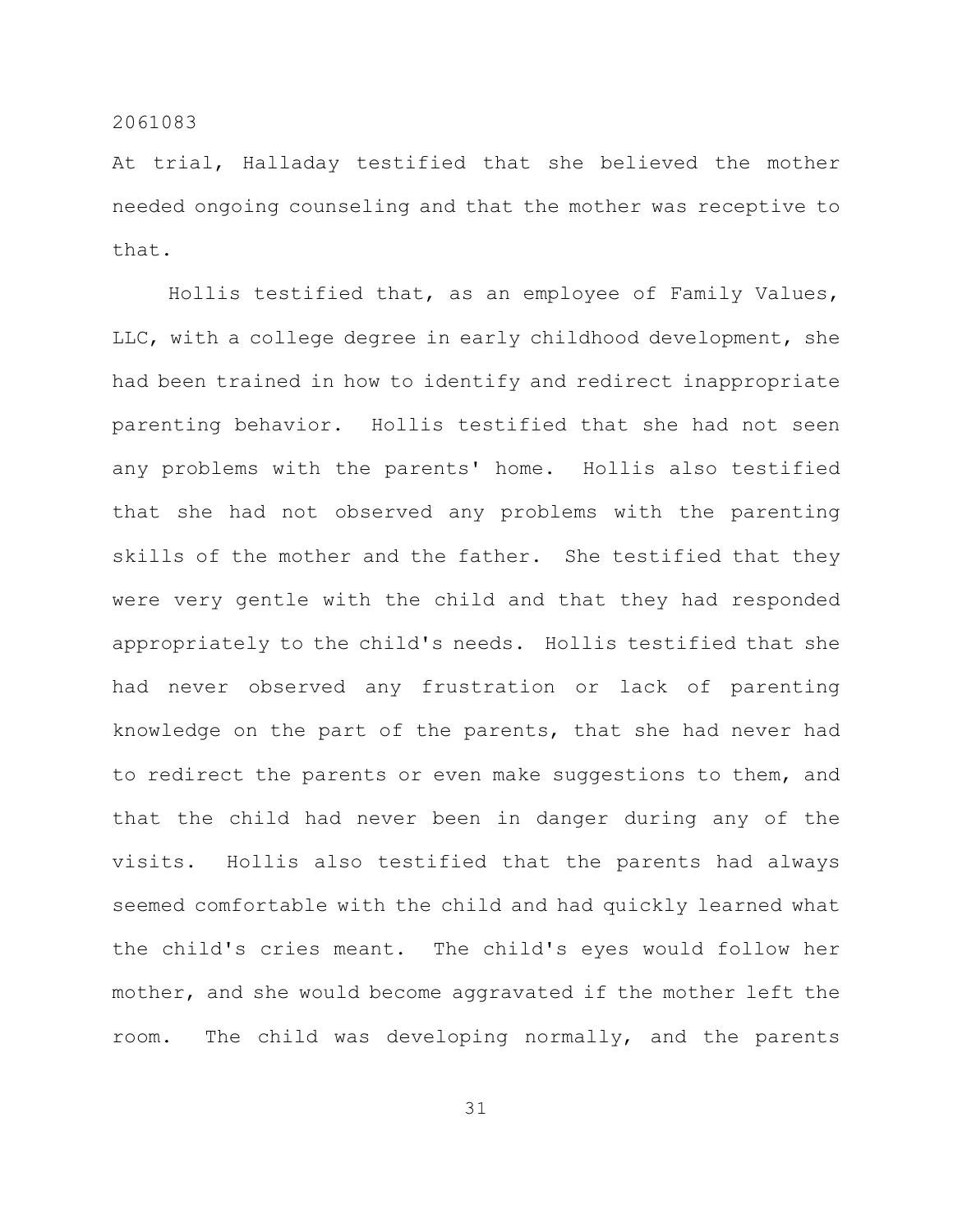At trial, Halladay testified that she believed the mother needed ongoing counseling and that the mother was receptive to that.

Hollis testified that, as an employee of Family Values, LLC, with a college degree in early childhood development, she had been trained in how to identify and redirect inappropriate parenting behavior. Hollis testified that she had not seen any problems with the parents' home. Hollis also testified that she had not observed any problems with the parenting skills of the mother and the father. She testified that they were very gentle with the child and that they had responded appropriately to the child's needs. Hollis testified that she had never observed any frustration or lack of parenting knowledge on the part of the parents, that she had never had to redirect the parents or even make suggestions to them, and that the child had never been in danger during any of the visits. Hollis also testified that the parents had always seemed comfortable with the child and had quickly learned what the child's cries meant. The child's eyes would follow her mother, and she would become aggravated if the mother left the room. The child was developing normally, and the parents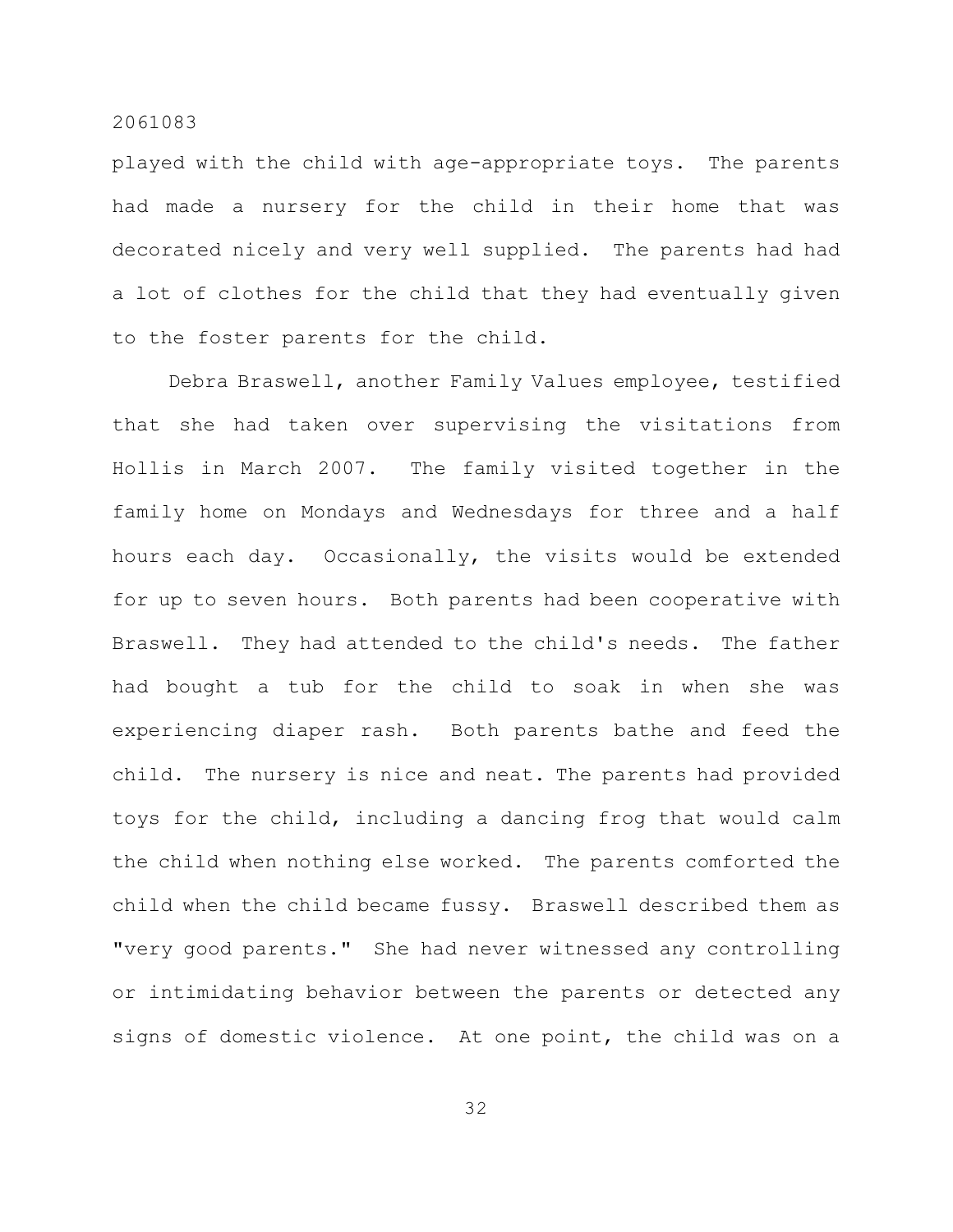played with the child with age-appropriate toys. The parents had made a nursery for the child in their home that was decorated nicely and very well supplied. The parents had had a lot of clothes for the child that they had eventually given to the foster parents for the child.

Debra Braswell, another Family Values employee, testified that she had taken over supervising the visitations from Hollis in March 2007. The family visited together in the family home on Mondays and Wednesdays for three and a half hours each day. Occasionally, the visits would be extended for up to seven hours. Both parents had been cooperative with Braswell. They had attended to the child's needs. The father had bought a tub for the child to soak in when she was experiencing diaper rash. Both parents bathe and feed the child. The nursery is nice and neat. The parents had provided toys for the child, including a dancing frog that would calm the child when nothing else worked. The parents comforted the child when the child became fussy. Braswell described them as "very good parents." She had never witnessed any controlling or intimidating behavior between the parents or detected any signs of domestic violence. At one point, the child was on a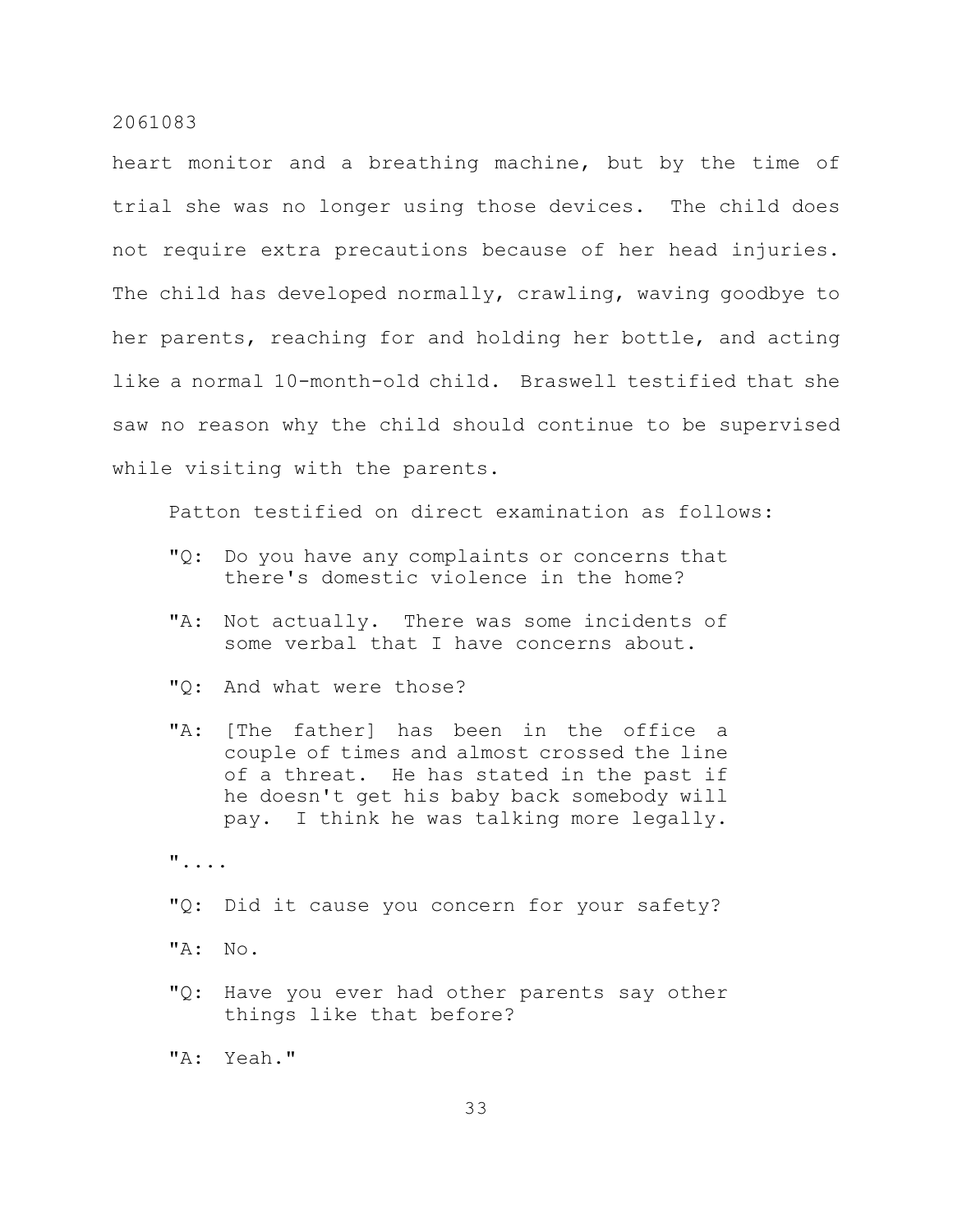heart monitor and a breathing machine, but by the time of trial she was no longer using those devices. The child does not require extra precautions because of her head injuries. The child has developed normally, crawling, waving goodbye to her parents, reaching for and holding her bottle, and acting like a normal 10-month-old child. Braswell testified that she saw no reason why the child should continue to be supervised while visiting with the parents.

Patton testified on direct examination as follows:

- "Q: Do you have any complaints or concerns that there's domestic violence in the home?
- "A: Not actually. There was some incidents of some verbal that I have concerns about.
- "Q: And what were those?
- "A: [The father] has been in the office a couple of times and almost crossed the line of a threat. He has stated in the past if he doesn't get his baby back somebody will pay. I think he was talking more legally.

"....

- "Q: Did it cause you concern for your safety?
- "A: No.
- "Q: Have you ever had other parents say other things like that before?

"A: Yeah."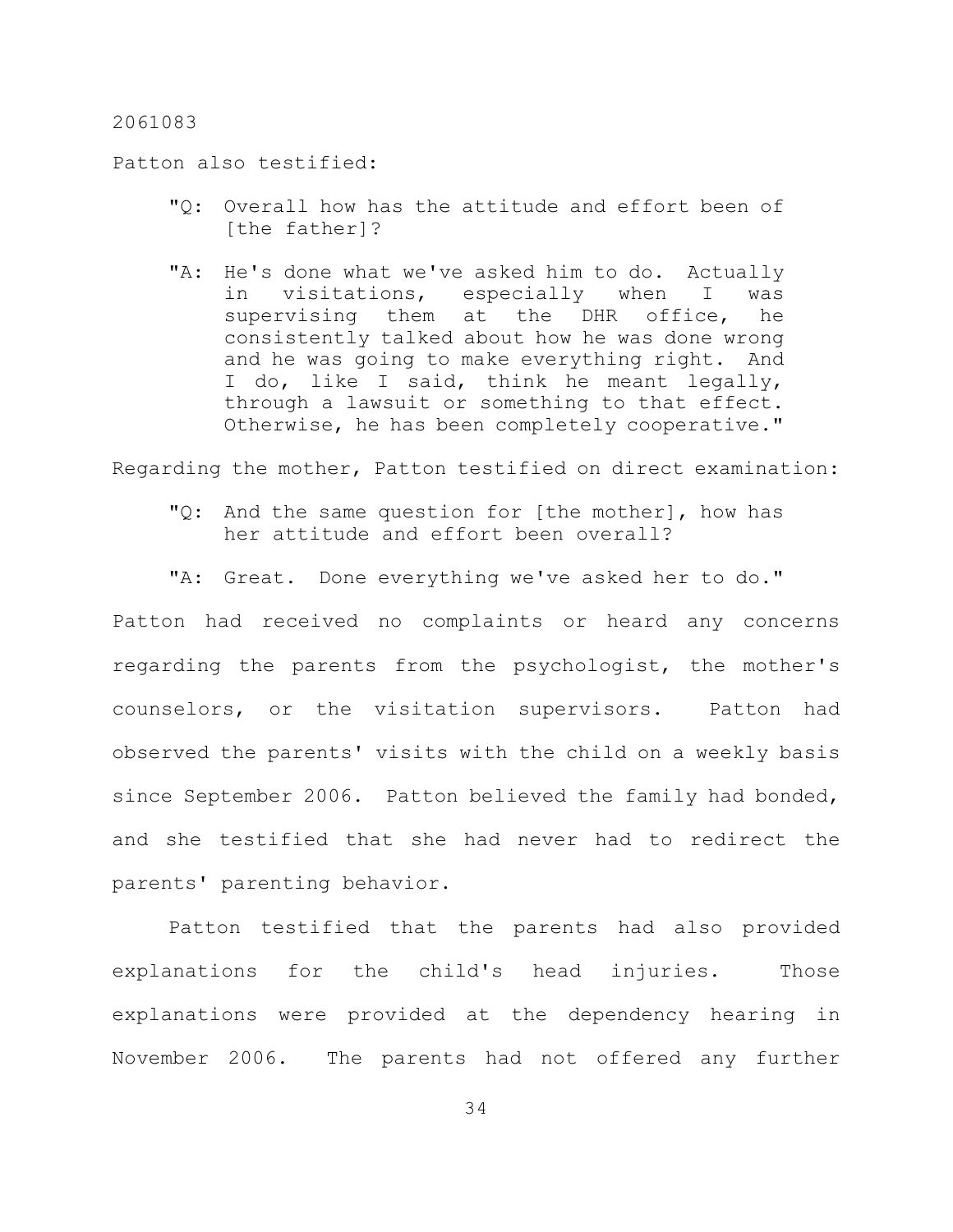Patton also testified:

- "Q: Overall how has the attitude and effort been of [the father]?
- "A: He's done what we've asked him to do. Actually in visitations, especially when I was supervising them at the DHR office, he consistently talked about how he was done wrong and he was going to make everything right. And I do, like I said, think he meant legally, through a lawsuit or something to that effect. Otherwise, he has been completely cooperative."

Regarding the mother, Patton testified on direct examination:

- "Q: And the same question for [the mother], how has her attitude and effort been overall?
- "A: Great. Done everything we've asked her to do."

Patton had received no complaints or heard any concerns regarding the parents from the psychologist, the mother's counselors, or the visitation supervisors. Patton had observed the parents' visits with the child on a weekly basis since September 2006. Patton believed the family had bonded, and she testified that she had never had to redirect the parents' parenting behavior.

Patton testified that the parents had also provided explanations for the child's head injuries. Those explanations were provided at the dependency hearing in November 2006. The parents had not offered any further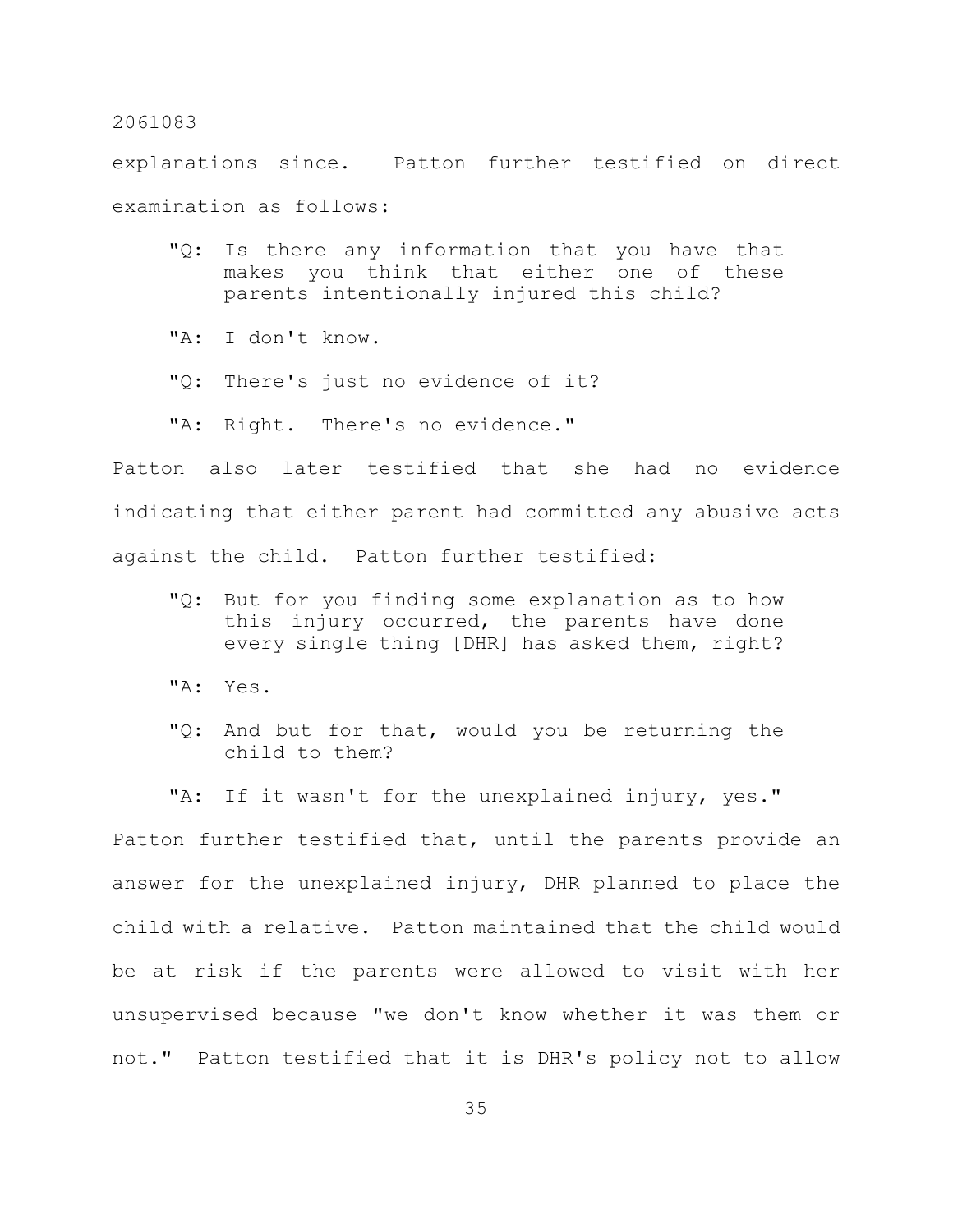explanations since. Patton further testified on direct examination as follows:

- "Q: Is there any information that you have that makes you think that either one of these parents intentionally injured this child?
- "A: I don't know.
- "Q: There's just no evidence of it?
- "A: Right. There's no evidence."

Patton also later testified that she had no evidence indicating that either parent had committed any abusive acts against the child. Patton further testified:

- "Q: But for you finding some explanation as to how this injury occurred, the parents have done every single thing [DHR] has asked them, right?
- "A: Yes.
- "Q: And but for that, would you be returning the child to them?

"A: If it wasn't for the unexplained injury, yes." Patton further testified that, until the parents provide an answer for the unexplained injury, DHR planned to place the child with a relative. Patton maintained that the child would be at risk if the parents were allowed to visit with her unsupervised because "we don't know whether it was them or not." Patton testified that it is DHR's policy not to allow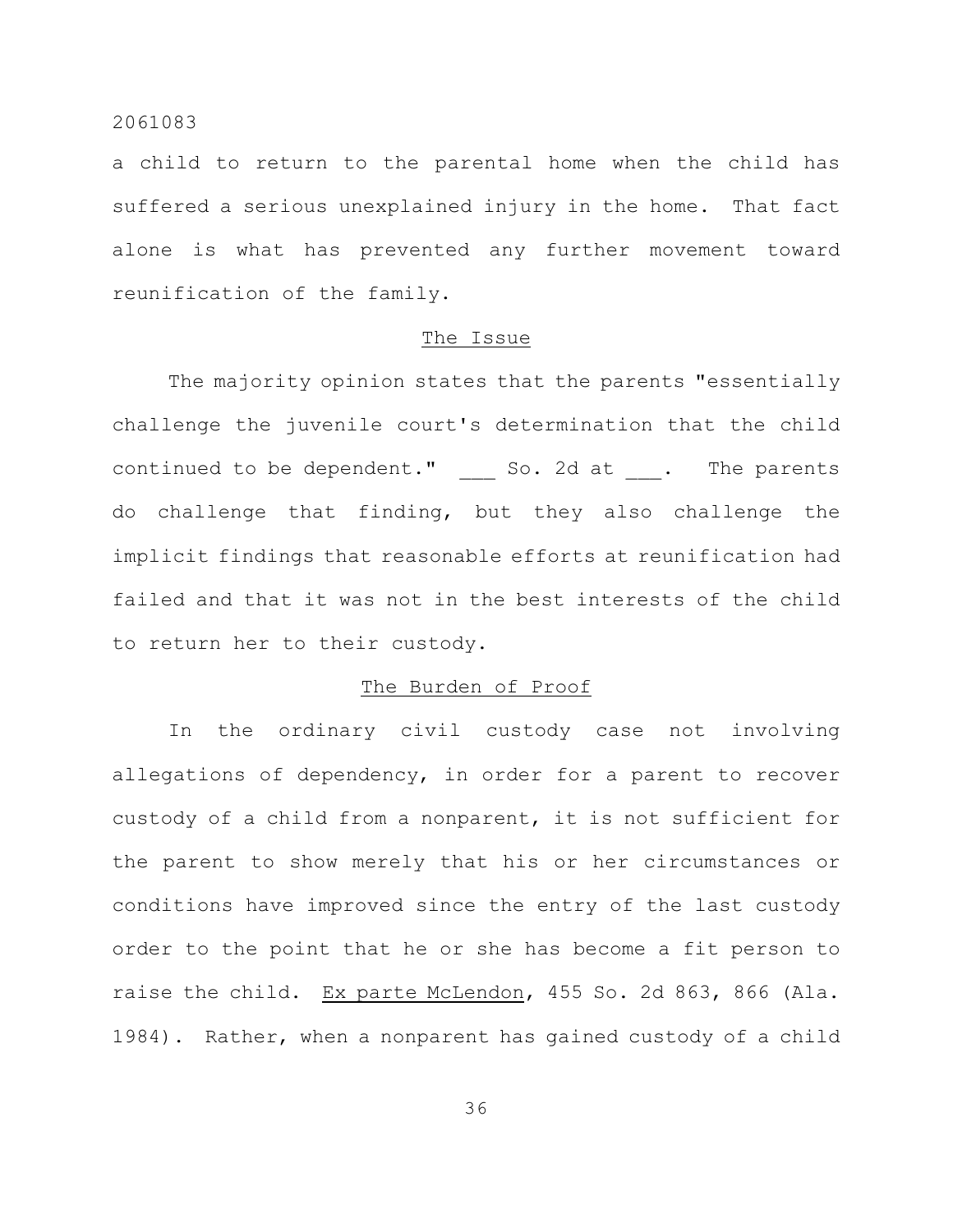a child to return to the parental home when the child has suffered a serious unexplained injury in the home. That fact alone is what has prevented any further movement toward reunification of the family.

#### The Issue

The majority opinion states that the parents "essentially challenge the juvenile court's determination that the child continued to be dependent." So. 2d at . The parents do challenge that finding, but they also challenge the implicit findings that reasonable efforts at reunification had failed and that it was not in the best interests of the child to return her to their custody.

## The Burden of Proof

In the ordinary civil custody case not involving allegations of dependency, in order for a parent to recover custody of a child from a nonparent, it is not sufficient for the parent to show merely that his or her circumstances or conditions have improved since the entry of the last custody order to the point that he or she has become a fit person to raise the child. Ex parte McLendon, 455 So. 2d 863, 866 (Ala. 1984). Rather, when a nonparent has gained custody of a child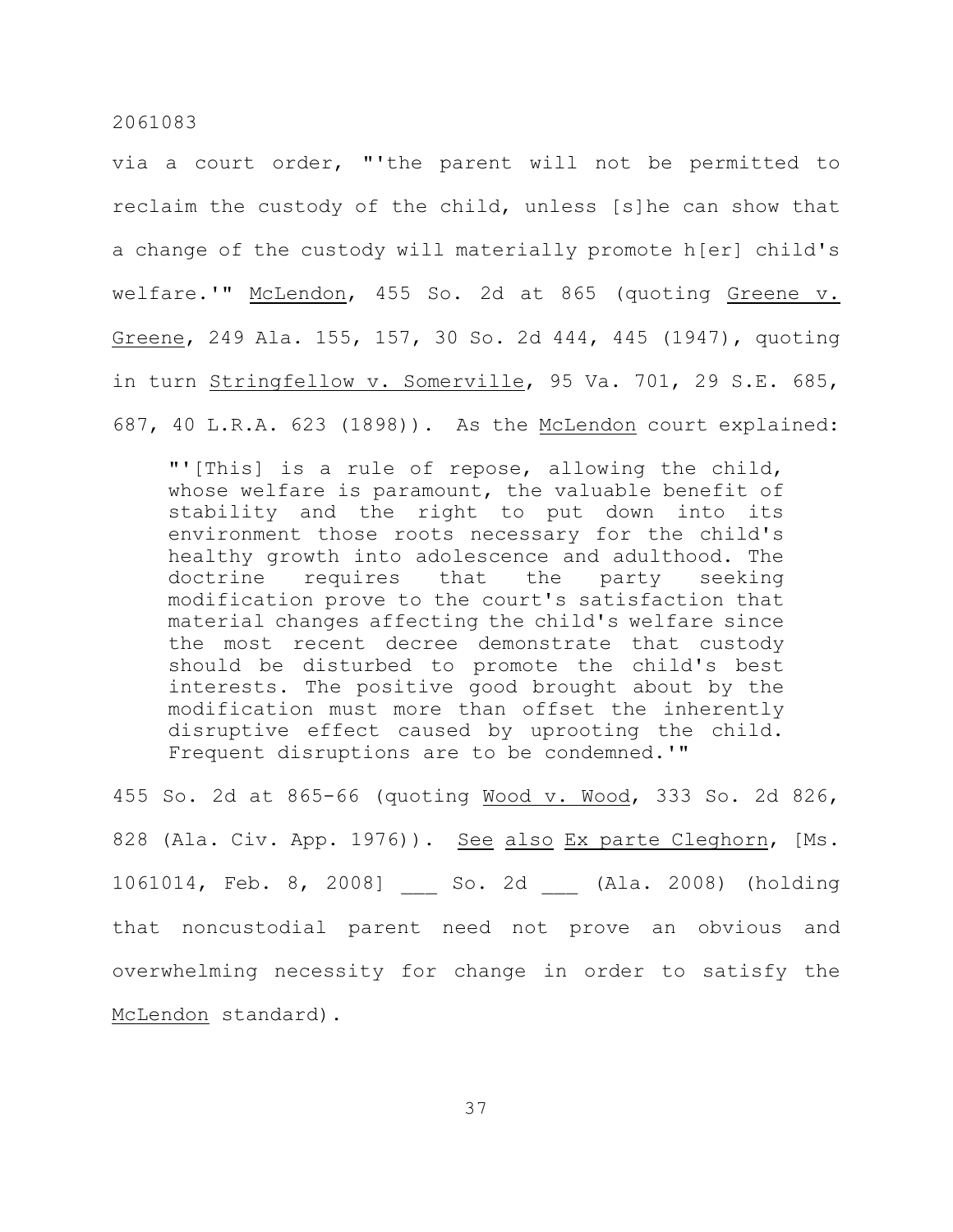via a court order, "'the parent will not be permitted to reclaim the custody of the child, unless [s]he can show that a change of the custody will materially promote h[er] child's welfare.'" McLendon, 455 So. 2d at 865 (quoting Greene v. Greene, 249 Ala. 155, 157, 30 So. 2d 444, 445 (1947), quoting in turn Stringfellow v. Somerville, 95 Va. 701, 29 S.E. 685, 687, 40 L.R.A. 623 (1898)). As the McLendon court explained:

"'[This] is a rule of repose, allowing the child, whose welfare is paramount, the valuable benefit of stability and the right to put down into its environment those roots necessary for the child's healthy growth into adolescence and adulthood. The doctrine requires that the party seeking modification prove to the court's satisfaction that material changes affecting the child's welfare since the most recent decree demonstrate that custody should be disturbed to promote the child's best interests. The positive good brought about by the modification must more than offset the inherently disruptive effect caused by uprooting the child. Frequent disruptions are to be condemned.'"

455 So. 2d at 865-66 (quoting Wood v. Wood, 333 So. 2d 826, 828 (Ala. Civ. App. 1976)). See also Ex parte Cleghorn, [Ms. 1061014, Feb. 8, 2008] \_\_\_ So. 2d \_\_\_ (Ala. 2008) (holding that noncustodial parent need not prove an obvious and overwhelming necessity for change in order to satisfy the McLendon standard).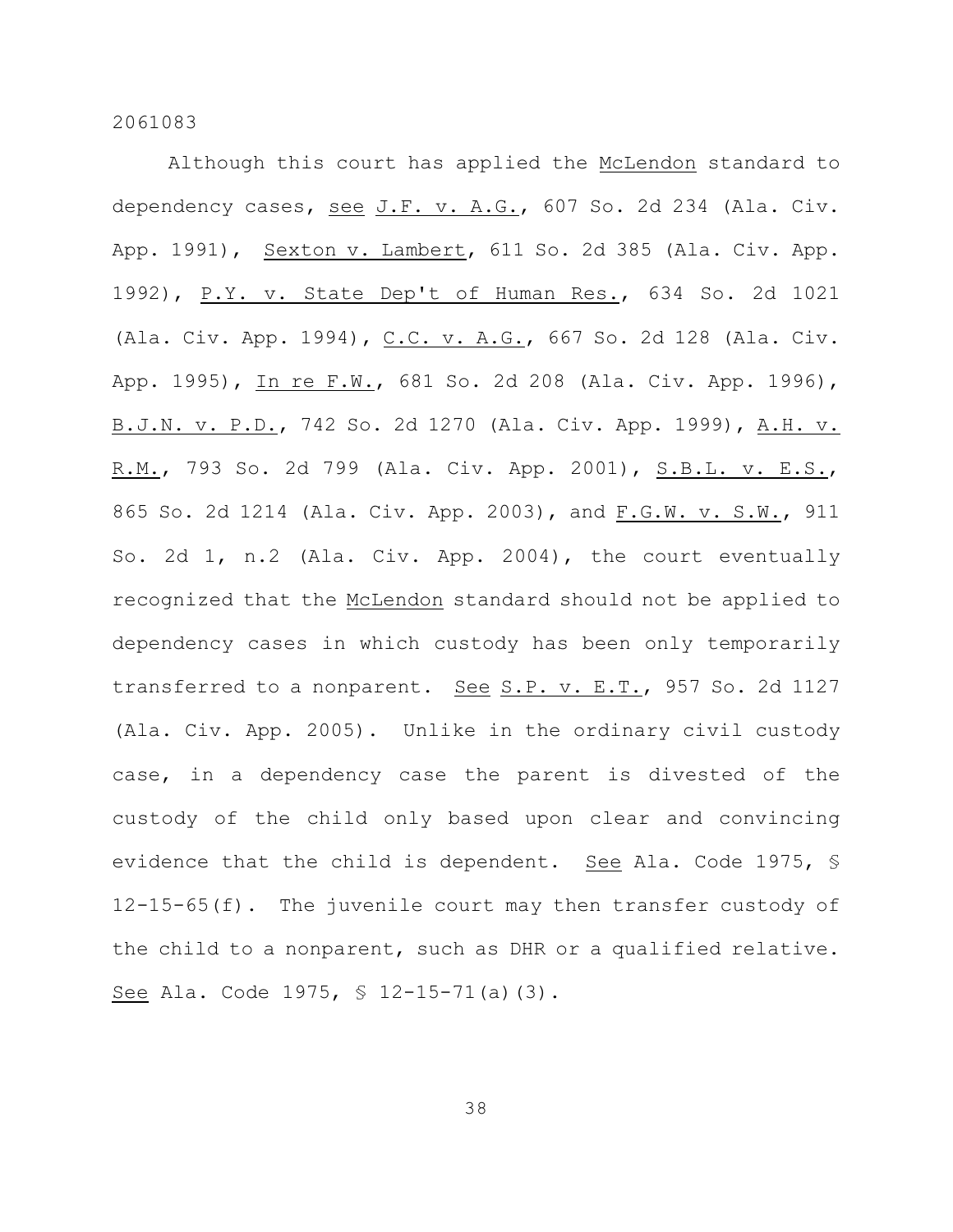Although this court has applied the McLendon standard to dependency cases, see J.F. v. A.G., 607 So. 2d 234 (Ala. Civ. App. 1991), Sexton v. Lambert, 611 So. 2d 385 (Ala. Civ. App. 1992), P.Y. v. State Dep't of Human Res., 634 So. 2d 1021 (Ala. Civ. App. 1994), C.C. v. A.G., 667 So. 2d 128 (Ala. Civ. App. 1995), In re F.W., 681 So. 2d 208 (Ala. Civ. App. 1996), B.J.N. v. P.D., 742 So. 2d 1270 (Ala. Civ. App. 1999), A.H. v. R.M., 793 So. 2d 799 (Ala. Civ. App. 2001), S.B.L. v. E.S., 865 So. 2d 1214 (Ala. Civ. App. 2003), and F.G.W. v. S.W., 911 So. 2d 1, n.2 (Ala. Civ. App. 2004), the court eventually recognized that the McLendon standard should not be applied to dependency cases in which custody has been only temporarily transferred to a nonparent. See S.P. v. E.T., 957 So. 2d 1127 (Ala. Civ. App. 2005). Unlike in the ordinary civil custody case, in a dependency case the parent is divested of the custody of the child only based upon clear and convincing evidence that the child is dependent. See Ala. Code 1975, § 12-15-65(f). The juvenile court may then transfer custody of the child to a nonparent, such as DHR or a qualified relative. See Ala. Code 1975, § 12-15-71(a)(3).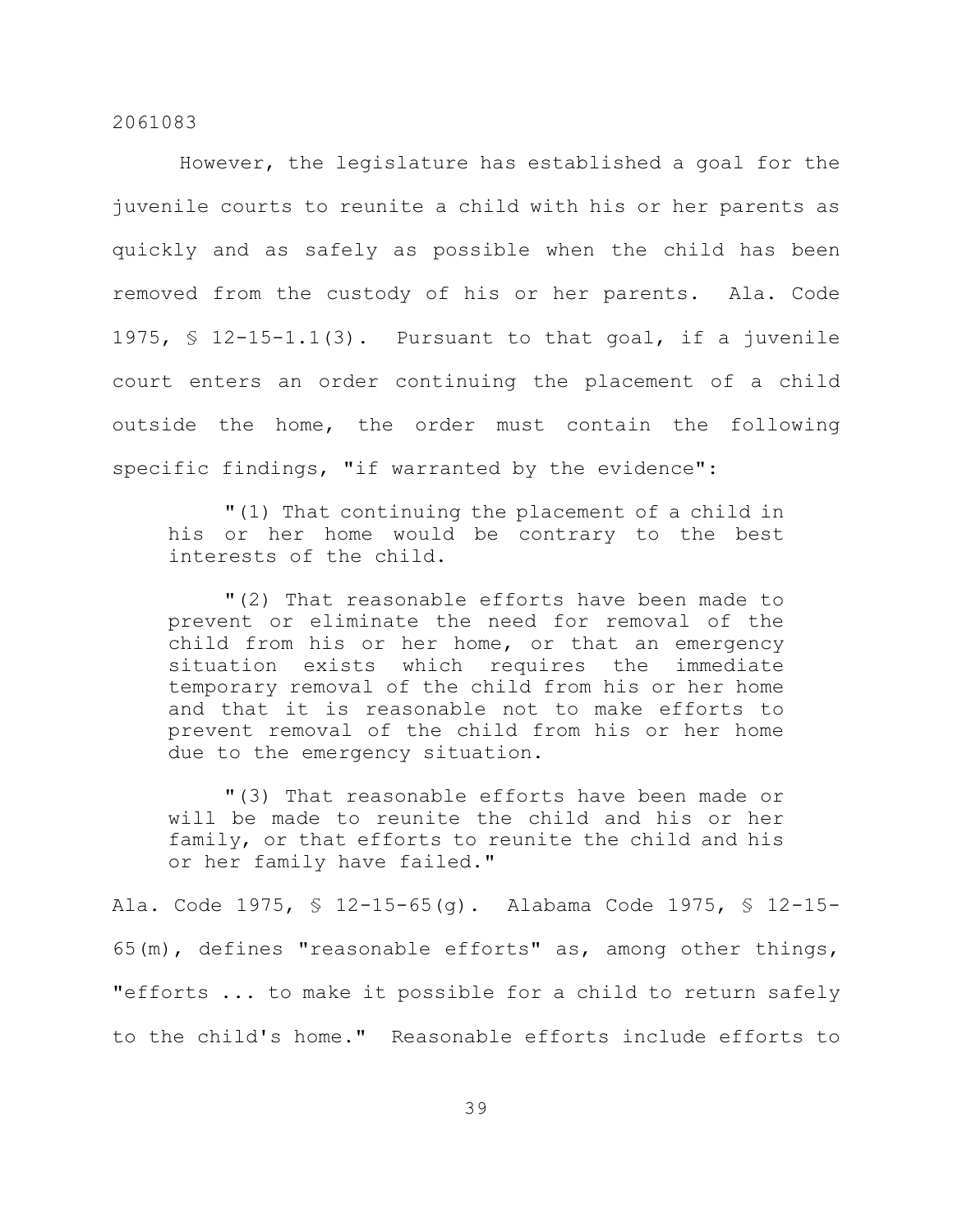However, the legislature has established a goal for the juvenile courts to reunite a child with his or her parents as quickly and as safely as possible when the child has been removed from the custody of his or her parents. Ala. Code 1975,  $\frac{1}{2}$  12-15-1.1(3). Pursuant to that goal, if a juvenile court enters an order continuing the placement of a child outside the home, the order must contain the following specific findings, "if warranted by the evidence":

"(1) That continuing the placement of a child in his or her home would be contrary to the best interests of the child.

"(2) That reasonable efforts have been made to prevent or eliminate the need for removal of the child from his or her home, or that an emergency situation exists which requires the immediate temporary removal of the child from his or her home and that it is reasonable not to make efforts to prevent removal of the child from his or her home due to the emergency situation.

"(3) That reasonable efforts have been made or will be made to reunite the child and his or her family, or that efforts to reunite the child and his or her family have failed."

Ala. Code 1975, § 12-15-65(g). Alabama Code 1975, § 12-15- 65(m), defines "reasonable efforts" as, among other things, "efforts ... to make it possible for a child to return safely to the child's home." Reasonable efforts include efforts to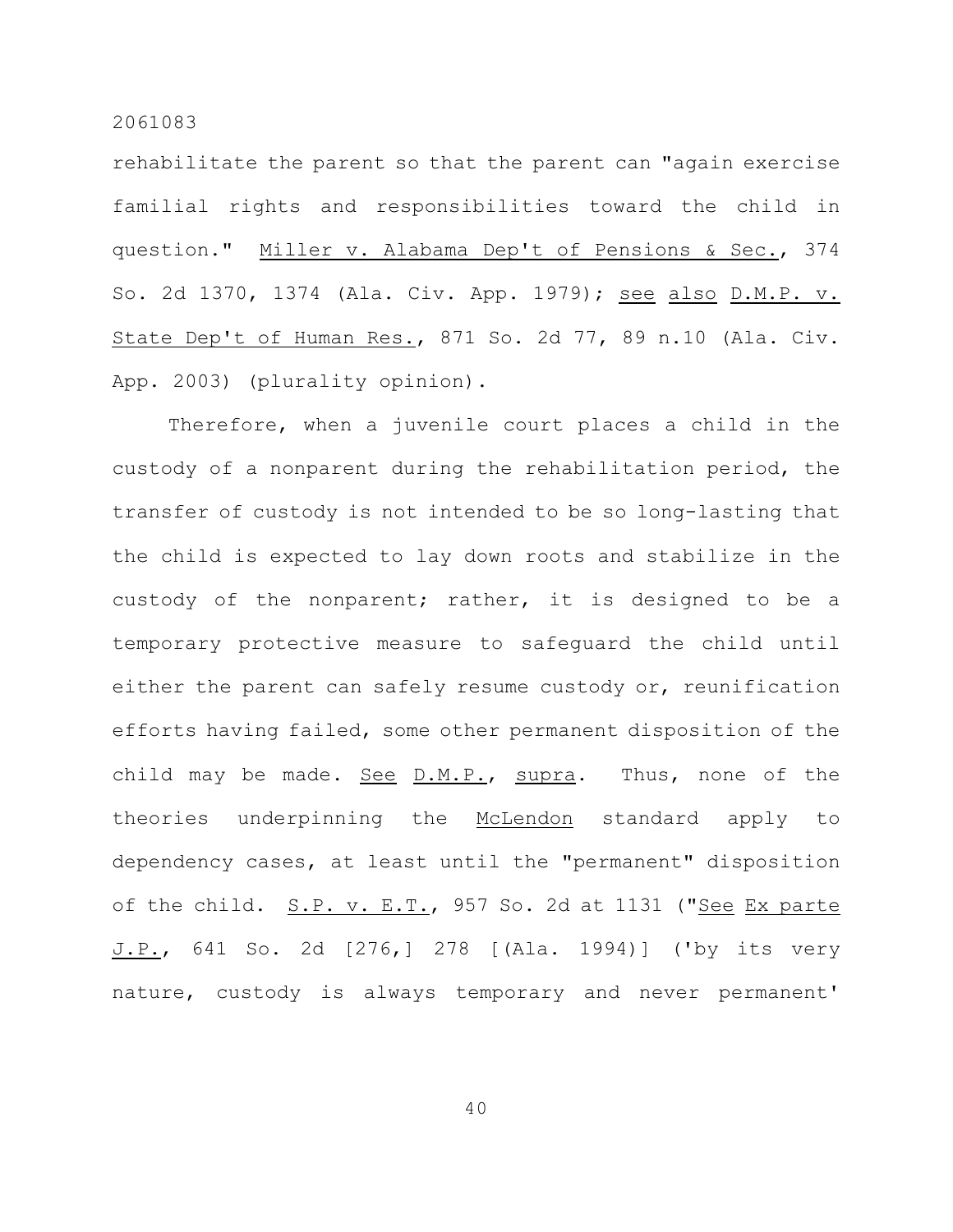rehabilitate the parent so that the parent can "again exercise familial rights and responsibilities toward the child in question." Miller v. Alabama Dep't of Pensions & Sec., 374 So. 2d 1370, 1374 (Ala. Civ. App. 1979); see also D.M.P. v. State Dep't of Human Res., 871 So. 2d 77, 89 n.10 (Ala. Civ. App. 2003) (plurality opinion).

Therefore, when a juvenile court places a child in the custody of a nonparent during the rehabilitation period, the transfer of custody is not intended to be so long-lasting that the child is expected to lay down roots and stabilize in the custody of the nonparent; rather, it is designed to be a temporary protective measure to safeguard the child until either the parent can safely resume custody or, reunification efforts having failed, some other permanent disposition of the child may be made. See D.M.P., supra. Thus, none of the theories underpinning the McLendon standard apply to dependency cases, at least until the "permanent" disposition of the child. S.P. v. E.T., 957 So. 2d at 1131 ("See Ex parte J.P., 641 So. 2d [276,] 278 [(Ala. 1994)] ('by its very nature, custody is always temporary and never permanent'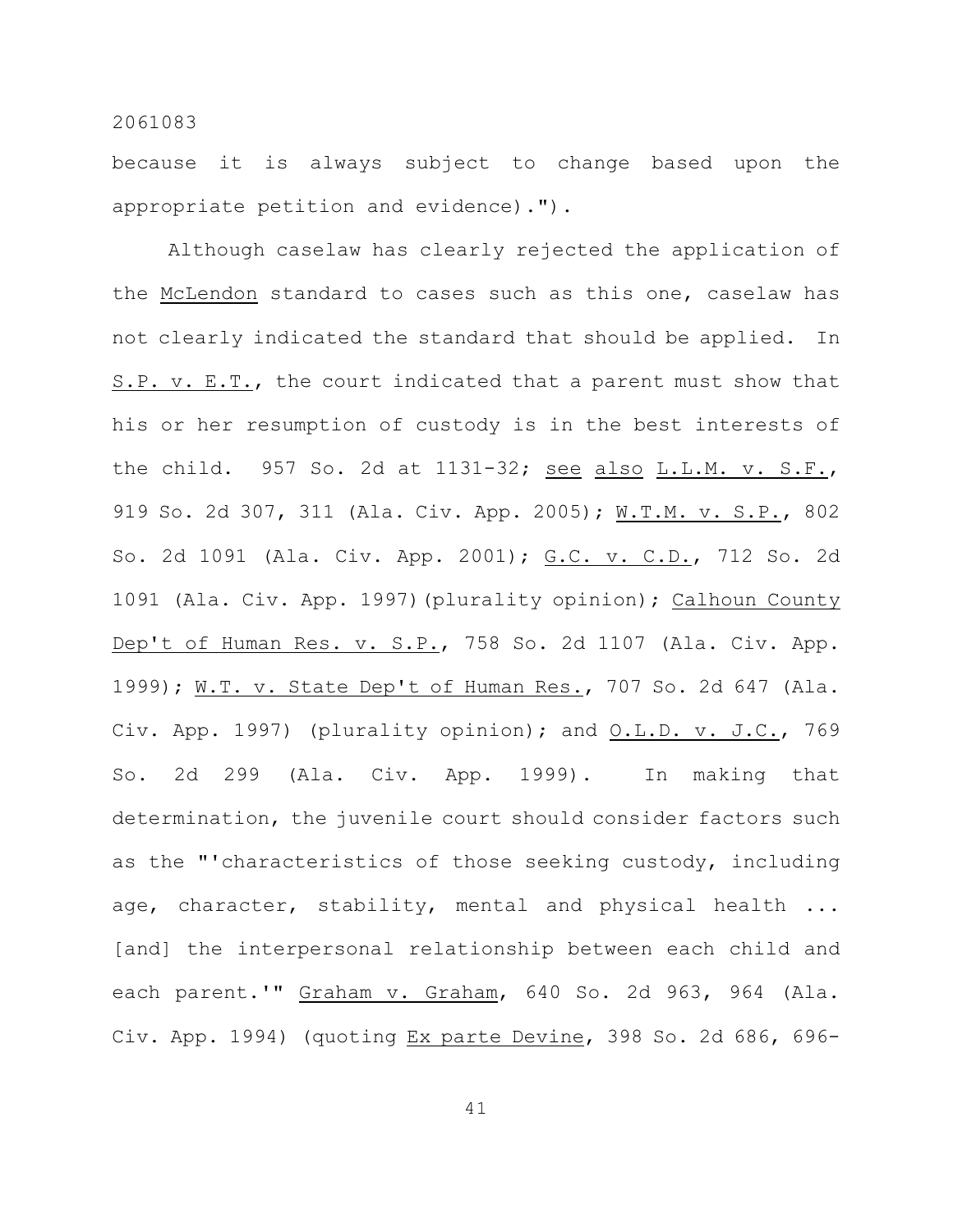because it is always subject to change based upon the appropriate petition and evidence).").

Although caselaw has clearly rejected the application of the McLendon standard to cases such as this one, caselaw has not clearly indicated the standard that should be applied. In S.P. v. E.T., the court indicated that a parent must show that his or her resumption of custody is in the best interests of the child. 957 So. 2d at 1131-32; see also L.L.M. v. S.F., 919 So. 2d 307, 311 (Ala. Civ. App. 2005); W.T.M. v. S.P., 802 So. 2d 1091 (Ala. Civ. App. 2001); G.C. v. C.D., 712 So. 2d 1091 (Ala. Civ. App. 1997)(plurality opinion); Calhoun County Dep't of Human Res. v. S.P., 758 So. 2d 1107 (Ala. Civ. App. 1999); W.T. v. State Dep't of Human Res., 707 So. 2d 647 (Ala. Civ. App. 1997) (plurality opinion); and O.L.D. v. J.C., 769 So. 2d 299 (Ala. Civ. App. 1999). In making that determination, the juvenile court should consider factors such as the "'characteristics of those seeking custody, including age, character, stability, mental and physical health ... [and] the interpersonal relationship between each child and each parent.'" Graham v. Graham, 640 So. 2d 963, 964 (Ala. Civ. App. 1994) (quoting Ex parte Devine, 398 So. 2d 686, 696-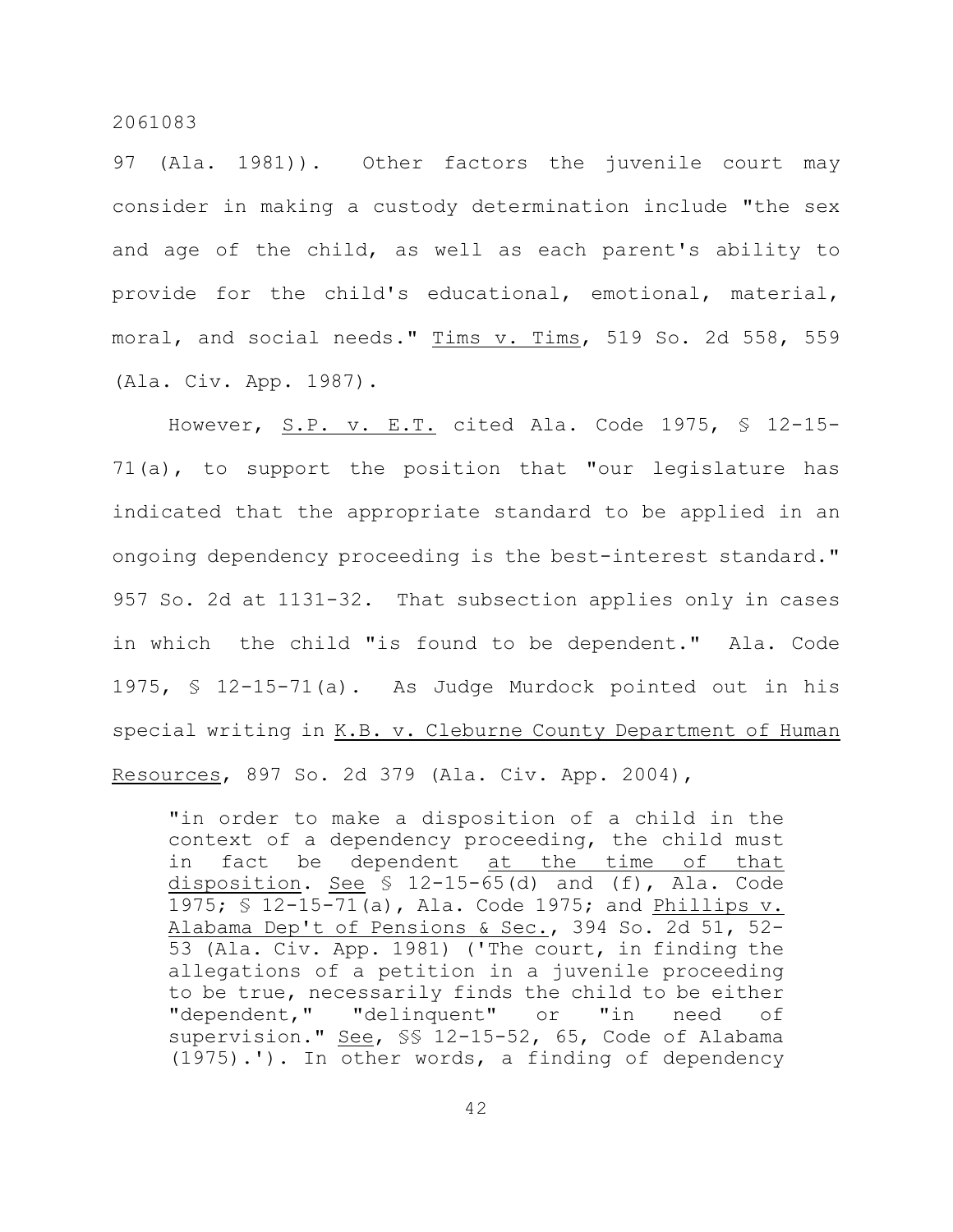97 (Ala. 1981)). Other factors the juvenile court may consider in making a custody determination include "the sex and age of the child, as well as each parent's ability to provide for the child's educational, emotional, material, moral, and social needs." Tims v. Tims, 519 So. 2d 558, 559 (Ala. Civ. App. 1987).

However, S.P. v. E.T. cited Ala. Code 1975, § 12-15- 71(a), to support the position that "our legislature has indicated that the appropriate standard to be applied in an ongoing dependency proceeding is the best-interest standard." 957 So. 2d at 1131-32. That subsection applies only in cases in which the child "is found to be dependent." Ala. Code 1975, § 12-15-71(a). As Judge Murdock pointed out in his special writing in K.B. v. Cleburne County Department of Human Resources, 897 So. 2d 379 (Ala. Civ. App. 2004),

"in order to make a disposition of a child in the context of a dependency proceeding, the child must in fact be dependent at the time of that disposition. See  $\frac{12-15-65}{d}$  and (f), Ala. Code 1975; § 12-15-71(a), Ala. Code 1975; and Phillips v. Alabama Dep't of Pensions & Sec., 394 So. 2d 51, 52- 53 (Ala. Civ. App. 1981) ('The court, in finding the allegations of a petition in a juvenile proceeding to be true, necessarily finds the child to be either "dependent," "delinquent" or "in need of supervision." See, §§ 12-15-52, 65, Code of Alabama (1975).'). In other words, a finding of dependency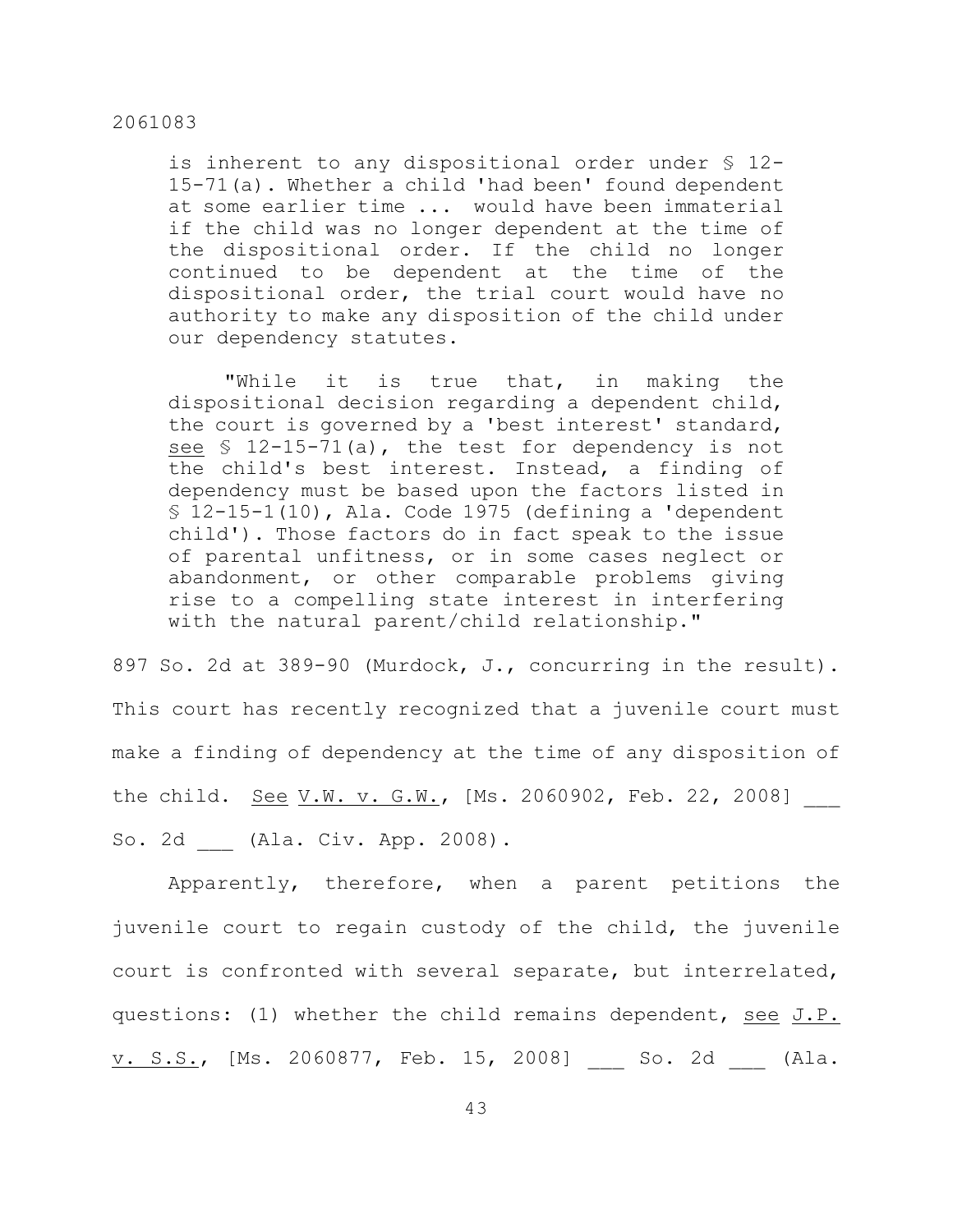is inherent to any dispositional order under § 12- 15-71(a). Whether a child 'had been' found dependent at some earlier time ... would have been immaterial if the child was no longer dependent at the time of the dispositional order. If the child no longer continued to be dependent at the time of the dispositional order, the trial court would have no authority to make any disposition of the child under our dependency statutes.

"While it is true that, in making the dispositional decision regarding a dependent child, the court is governed by a 'best interest' standard, see  $\frac{12-15-71}{a}$ , the test for dependency is not the child's best interest. Instead, a finding of dependency must be based upon the factors listed in  $$ 12-15-1(10)$ , Ala. Code 1975 (defining a 'dependent child'). Those factors do in fact speak to the issue of parental unfitness, or in some cases neglect or abandonment, or other comparable problems giving rise to a compelling state interest in interfering with the natural parent/child relationship."

897 So. 2d at 389-90 (Murdock, J., concurring in the result). This court has recently recognized that a juvenile court must make a finding of dependency at the time of any disposition of the child. <u>See V.W. v. G.W.</u>, [Ms. 2060902, Feb. 22, 2008] So. 2d \_\_\_ (Ala. Civ. App. 2008).

Apparently, therefore, when a parent petitions the juvenile court to regain custody of the child, the juvenile court is confronted with several separate, but interrelated, questions: (1) whether the child remains dependent, see J.P. v. S.S., [Ms. 2060877, Feb. 15, 2008] So. 2d (Ala.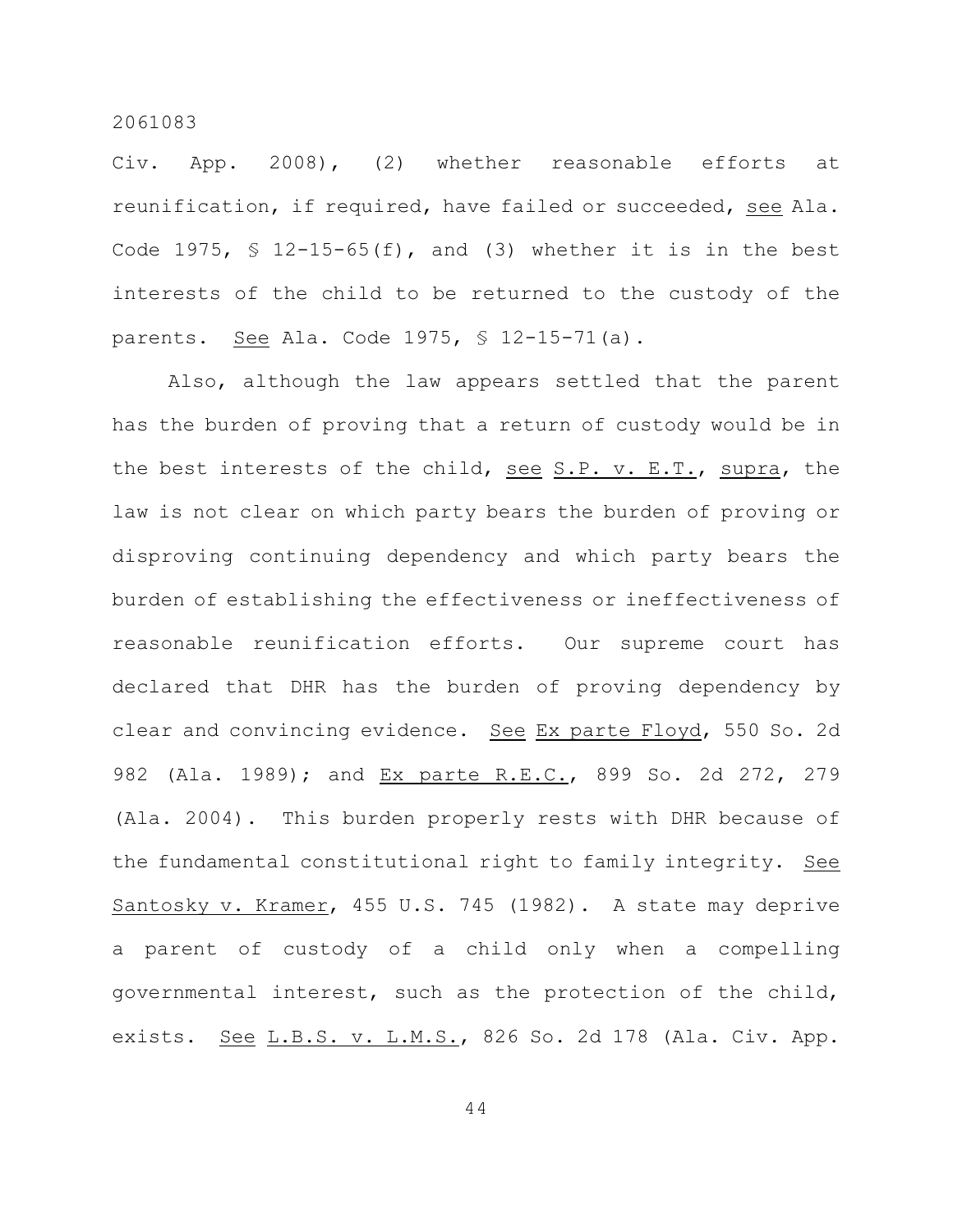Civ. App. 2008), (2) whether reasonable efforts at reunification, if required, have failed or succeeded, see Ala. Code 1975,  $\frac{12-15-65(f)}{f}$ , and (3) whether it is in the best interests of the child to be returned to the custody of the parents. See Ala. Code 1975, § 12-15-71(a).

Also, although the law appears settled that the parent has the burden of proving that a return of custody would be in the best interests of the child, see S.P. v. E.T., supra, the law is not clear on which party bears the burden of proving or disproving continuing dependency and which party bears the burden of establishing the effectiveness or ineffectiveness of reasonable reunification efforts. Our supreme court has declared that DHR has the burden of proving dependency by clear and convincing evidence. See Ex parte Floyd, 550 So. 2d 982 (Ala. 1989); and Ex parte R.E.C., 899 So. 2d 272, 279 (Ala. 2004). This burden properly rests with DHR because of the fundamental constitutional right to family integrity. See Santosky v. Kramer, 455 U.S. 745 (1982). A state may deprive a parent of custody of a child only when a compelling governmental interest, such as the protection of the child, exists. See L.B.S. v. L.M.S., 826 So. 2d 178 (Ala. Civ. App.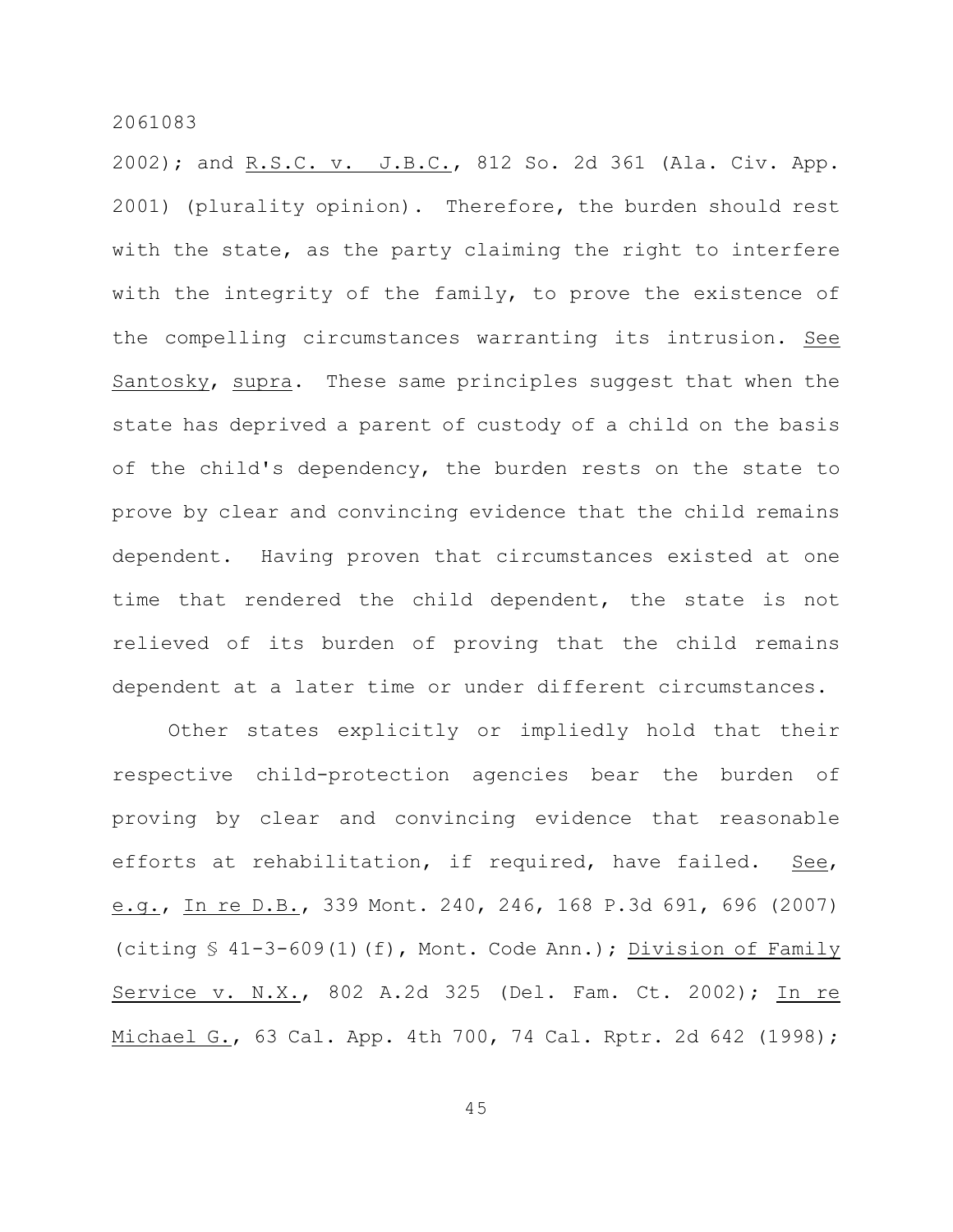2002); and R.S.C. v. J.B.C., 812 So. 2d 361 (Ala. Civ. App. 2001) (plurality opinion). Therefore, the burden should rest with the state, as the party claiming the right to interfere with the integrity of the family, to prove the existence of the compelling circumstances warranting its intrusion. See Santosky, supra. These same principles suggest that when the state has deprived a parent of custody of a child on the basis of the child's dependency, the burden rests on the state to prove by clear and convincing evidence that the child remains dependent. Having proven that circumstances existed at one time that rendered the child dependent, the state is not relieved of its burden of proving that the child remains dependent at a later time or under different circumstances.

Other states explicitly or impliedly hold that their respective child-protection agencies bear the burden of proving by clear and convincing evidence that reasonable efforts at rehabilitation, if required, have failed. See, e.g., In re D.B., 339 Mont. 240, 246, 168 P.3d 691, 696 (2007) (citing § 41-3-609(1)(f), Mont. Code Ann.); Division of Family Service v. N.X., 802 A.2d 325 (Del. Fam. Ct. 2002); In re Michael G., 63 Cal. App. 4th 700, 74 Cal. Rptr. 2d 642 (1998);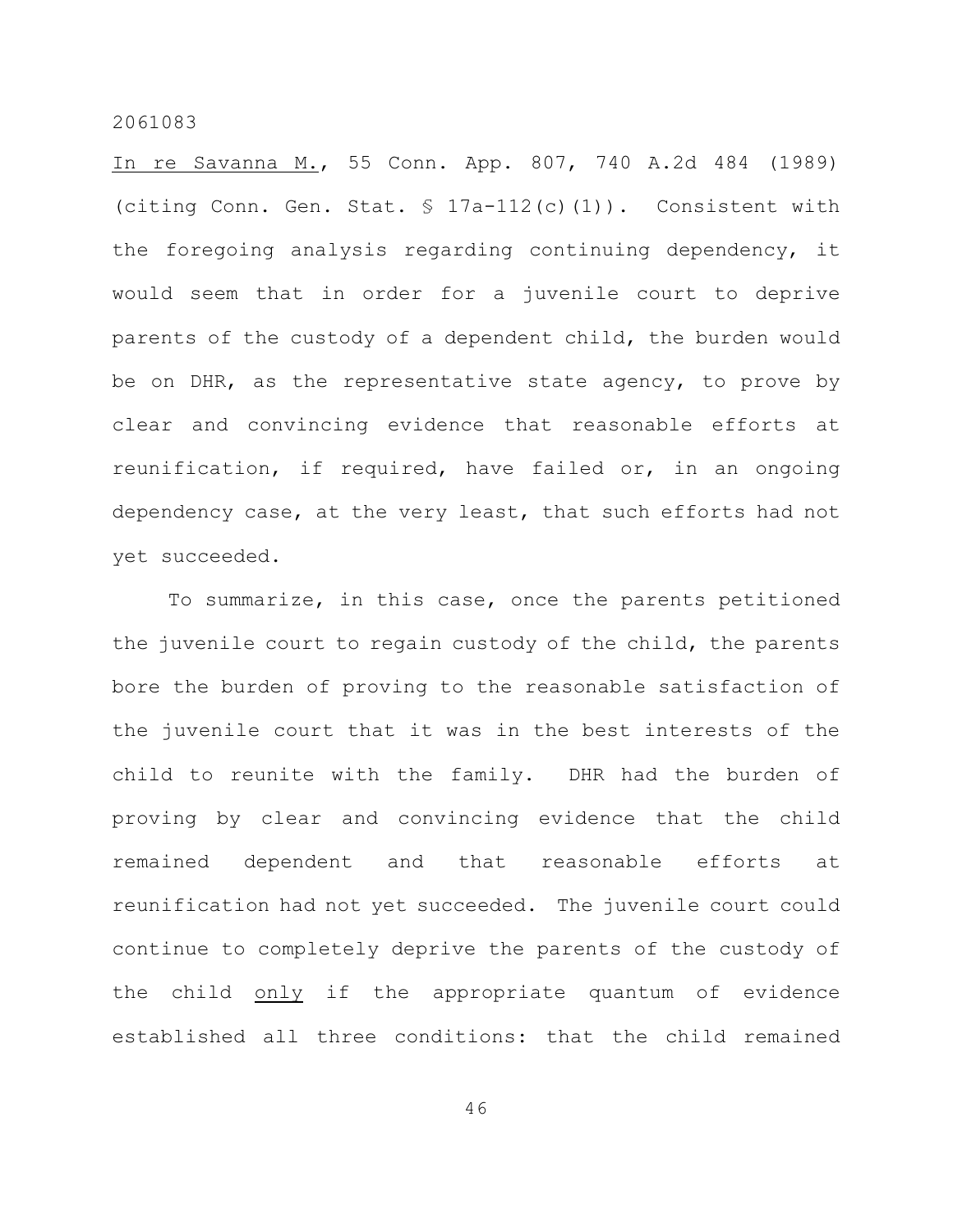In re Savanna M., 55 Conn. App. 807, 740 A.2d 484 (1989) (citing Conn. Gen. Stat. § 17a-112(c)(1)). Consistent with the foregoing analysis regarding continuing dependency, it would seem that in order for a juvenile court to deprive parents of the custody of a dependent child, the burden would be on DHR, as the representative state agency, to prove by clear and convincing evidence that reasonable efforts at reunification, if required, have failed or, in an ongoing dependency case, at the very least, that such efforts had not yet succeeded.

To summarize, in this case, once the parents petitioned the juvenile court to regain custody of the child, the parents bore the burden of proving to the reasonable satisfaction of the juvenile court that it was in the best interests of the child to reunite with the family. DHR had the burden of proving by clear and convincing evidence that the child remained dependent and that reasonable efforts at reunification had not yet succeeded. The juvenile court could continue to completely deprive the parents of the custody of the child only if the appropriate quantum of evidence established all three conditions: that the child remained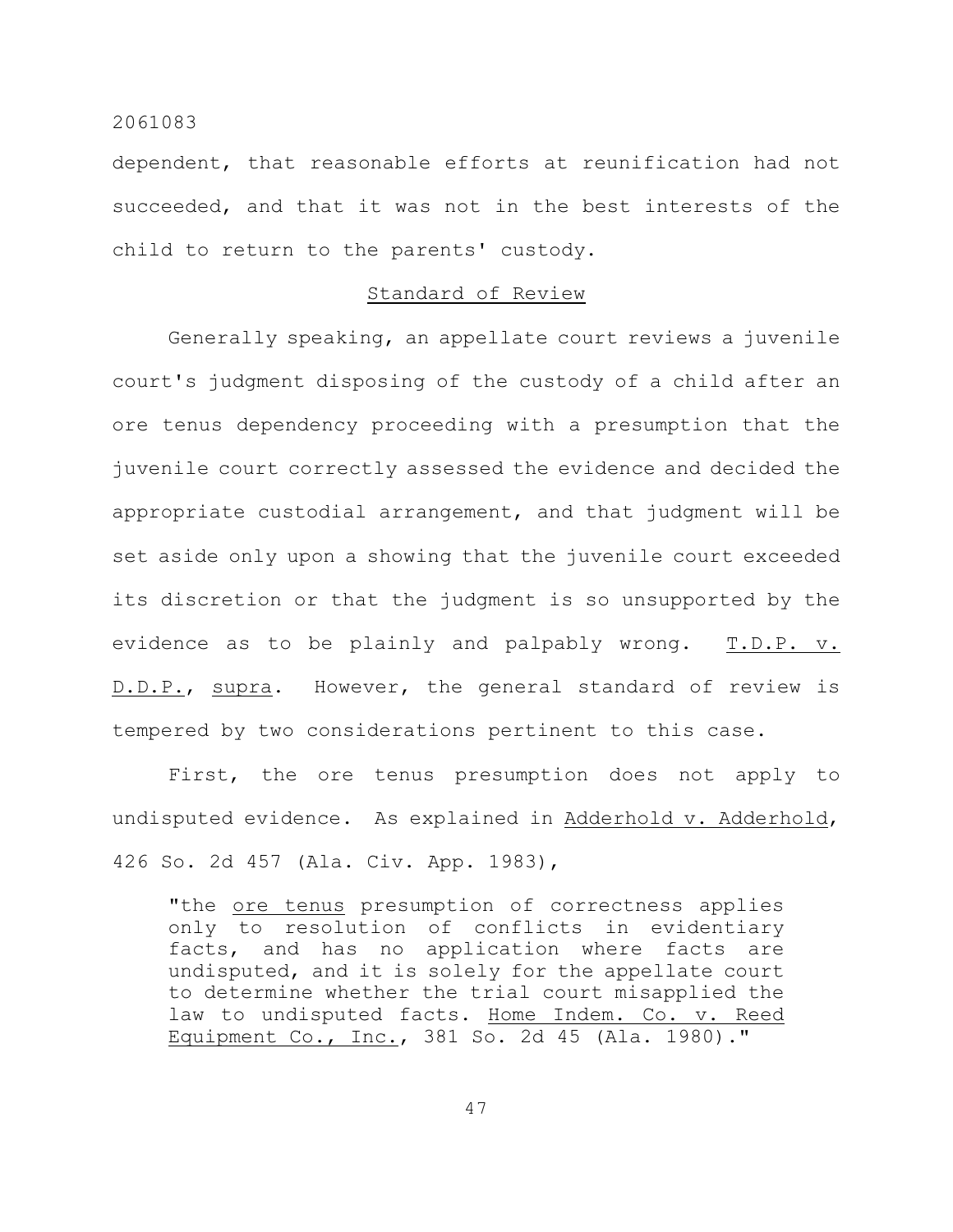dependent, that reasonable efforts at reunification had not succeeded, and that it was not in the best interests of the child to return to the parents' custody.

# Standard of Review

Generally speaking, an appellate court reviews a juvenile court's judgment disposing of the custody of a child after an ore tenus dependency proceeding with a presumption that the juvenile court correctly assessed the evidence and decided the appropriate custodial arrangement, and that judgment will be set aside only upon a showing that the juvenile court exceeded its discretion or that the judgment is so unsupported by the evidence as to be plainly and palpably wrong. T.D.P. v. D.D.P., supra. However, the general standard of review is tempered by two considerations pertinent to this case.

First, the ore tenus presumption does not apply to undisputed evidence. As explained in Adderhold v. Adderhold, 426 So. 2d 457 (Ala. Civ. App. 1983),

"the ore tenus presumption of correctness applies only to resolution of conflicts in evidentiary facts, and has no application where facts are undisputed, and it is solely for the appellate court to determine whether the trial court misapplied the law to undisputed facts. Home Indem. Co. v. Reed Equipment Co., Inc., 381 So. 2d 45 (Ala. 1980)."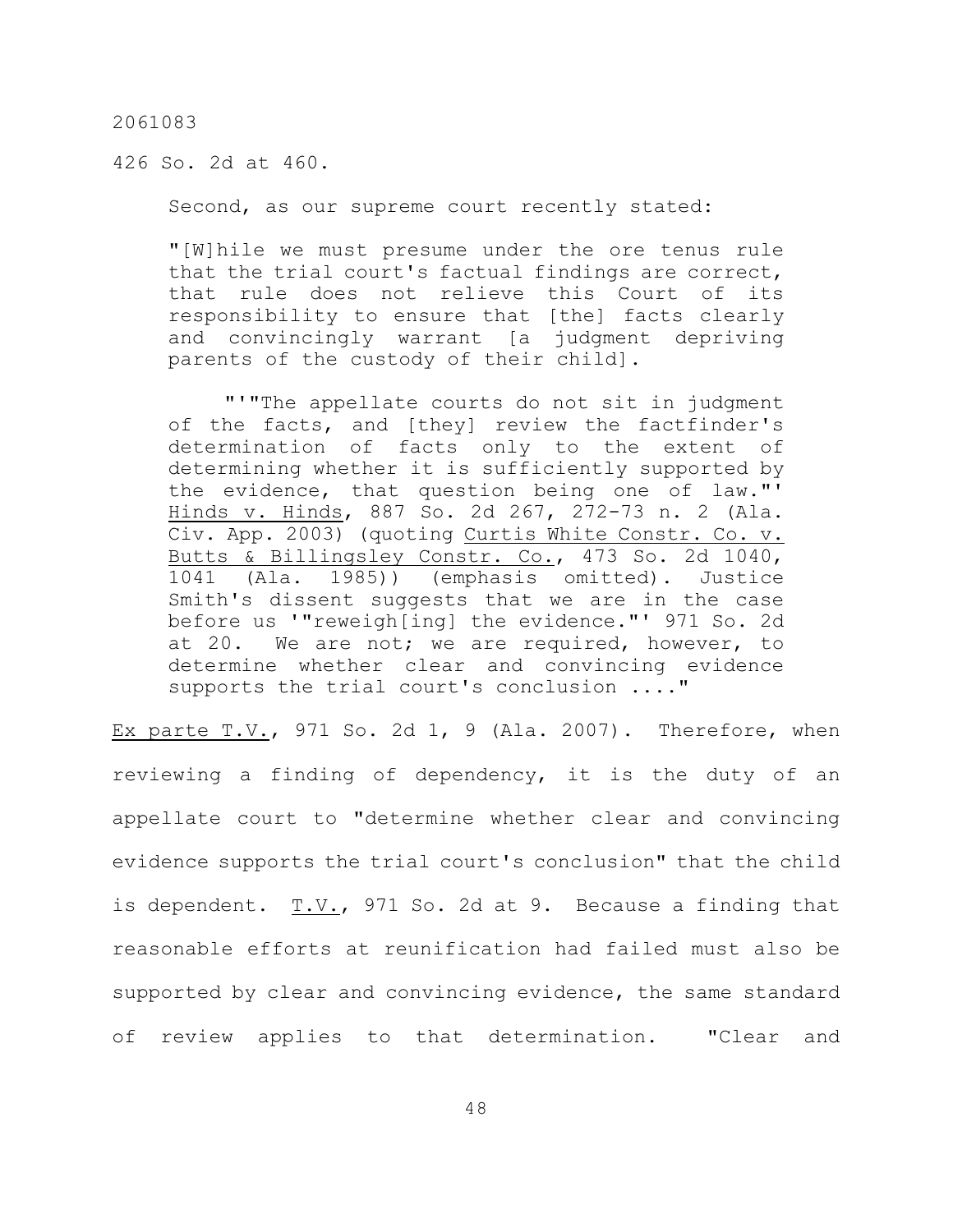426 So. 2d at 460.

Second, as our supreme court recently stated:

"[W]hile we must presume under the ore tenus rule that the trial court's factual findings are correct, that rule does not relieve this Court of its responsibility to ensure that [the] facts clearly and convincingly warrant [a judgment depriving parents of the custody of their child].

"'"The appellate courts do not sit in judgment of the facts, and [they] review the factfinder's determination of facts only to the extent of determining whether it is sufficiently supported by the evidence, that question being one of law."' Hinds v. Hinds, 887 So. 2d 267, 272-73 n. 2 (Ala. Civ. App. 2003) (quoting Curtis White Constr. Co. v. Butts & Billingsley Constr. Co., 473 So. 2d 1040, 1041 (Ala. 1985)) (emphasis omitted). Justice Smith's dissent suggests that we are in the case before us '"reweigh[ing] the evidence."' 971 So. 2d at 20. We are not; we are required, however, to determine whether clear and convincing evidence supports the trial court's conclusion ...."

Ex parte  $T.V.$ , 971 So. 2d 1, 9 (Ala. 2007). Therefore, when reviewing a finding of dependency, it is the duty of an appellate court to "determine whether clear and convincing evidence supports the trial court's conclusion" that the child is dependent.  $T.V.,$  971 So. 2d at 9. Because a finding that reasonable efforts at reunification had failed must also be supported by clear and convincing evidence, the same standard of review applies to that determination. "Clear and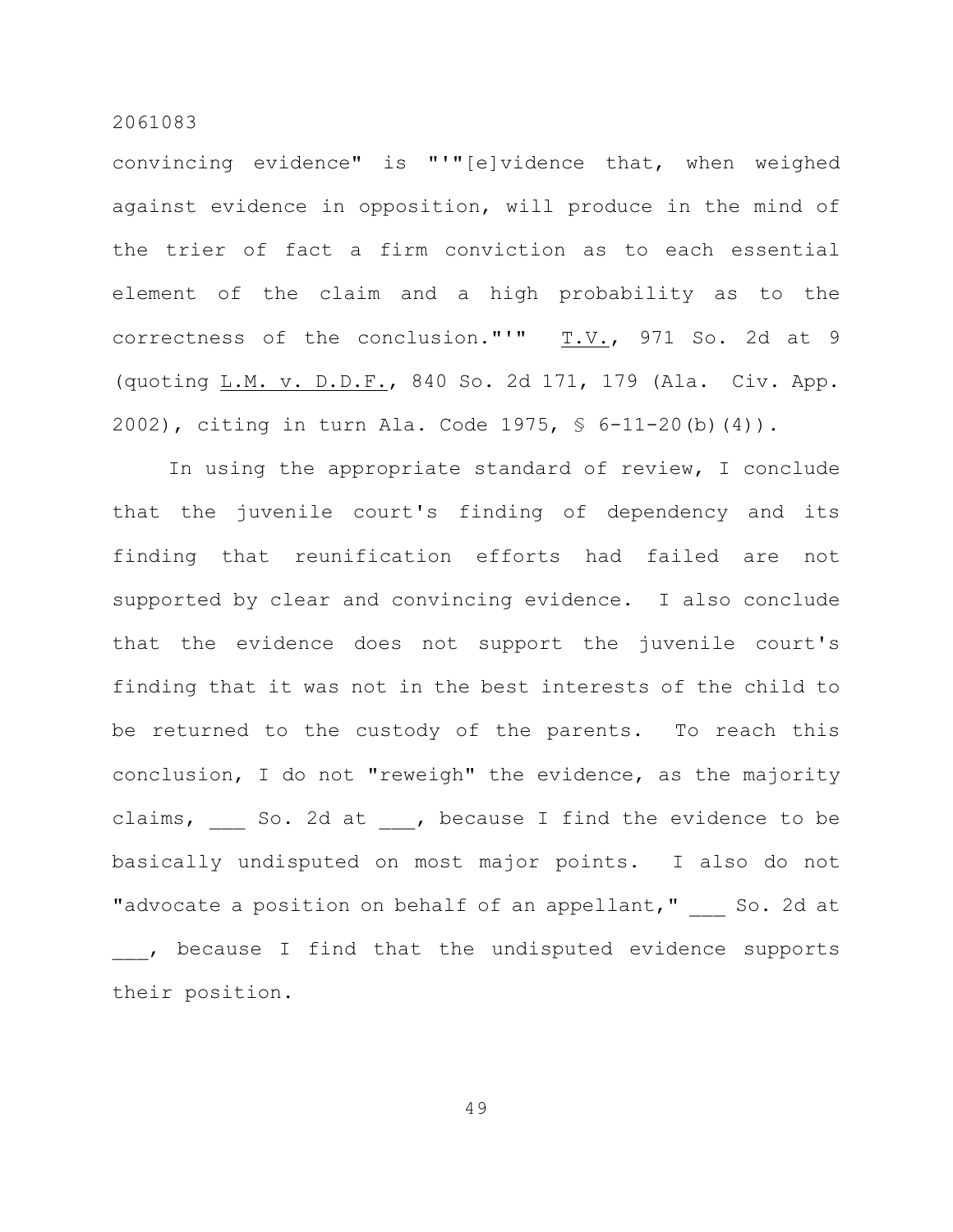convincing evidence" is "'"[e]vidence that, when weighed against evidence in opposition, will produce in the mind of the trier of fact a firm conviction as to each essential element of the claim and a high probability as to the correctness of the conclusion."'" T.V., 971 So. 2d at 9 (quoting L.M. v. D.D.F., 840 So. 2d 171, 179 (Ala. Civ. App. 2002), citing in turn Ala. Code 1975, § 6-11-20(b)(4)).

In using the appropriate standard of review, I conclude that the juvenile court's finding of dependency and its finding that reunification efforts had failed are not supported by clear and convincing evidence. I also conclude that the evidence does not support the juvenile court's finding that it was not in the best interests of the child to be returned to the custody of the parents. To reach this conclusion, I do not "reweigh" the evidence, as the majority claims, So. 2d at , because I find the evidence to be basically undisputed on most major points. I also do not "advocate a position on behalf of an appellant," So. 2d at \_\_\_, because I find that the undisputed evidence supports their position.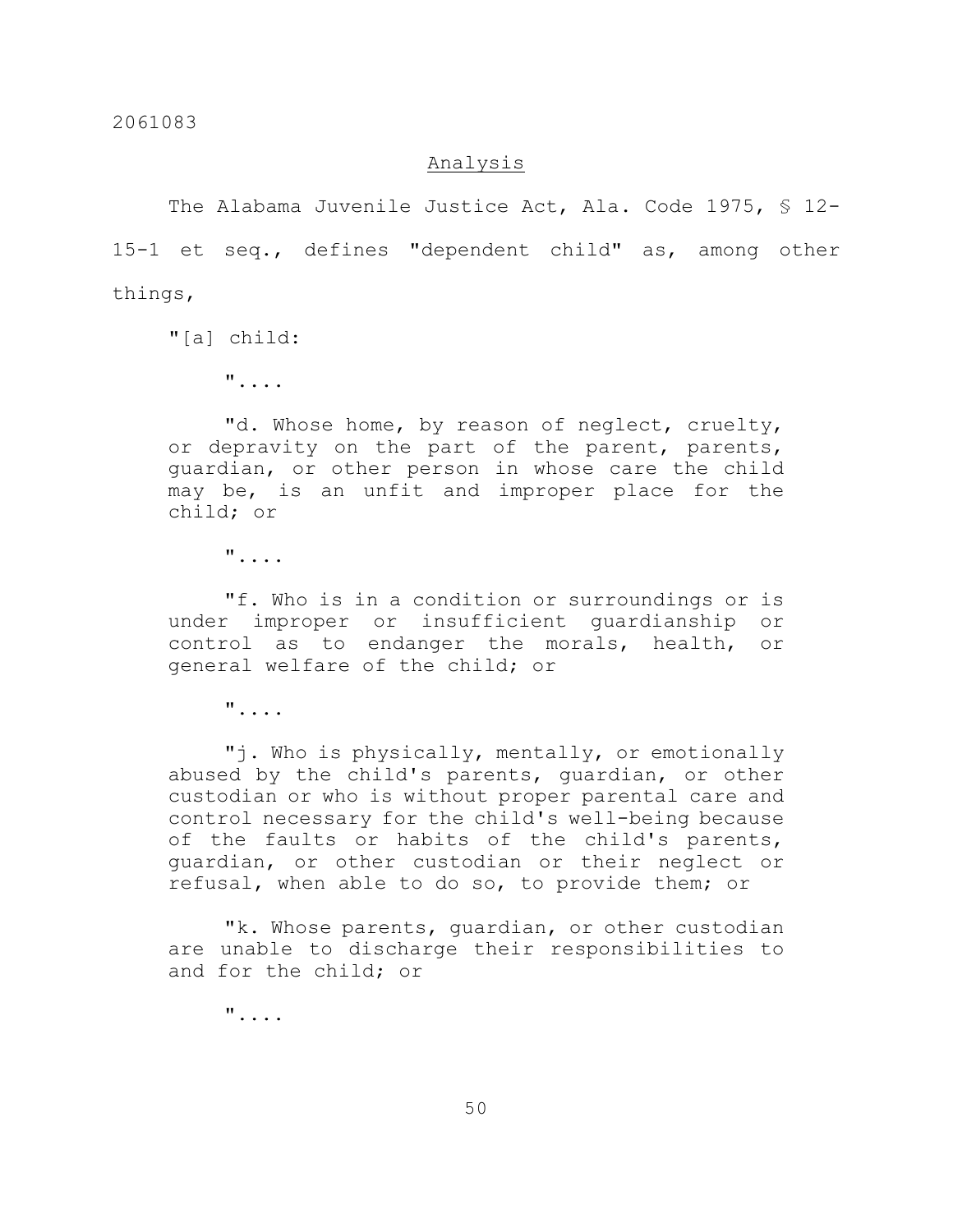## Analysis

The Alabama Juvenile Justice Act, Ala. Code 1975, § 12-15-1 et seq., defines "dependent child" as, among other things,

"[a] child:

"....

"d. Whose home, by reason of neglect, cruelty, or depravity on the part of the parent, parents, guardian, or other person in whose care the child may be, is an unfit and improper place for the child; or

"....

"f. Who is in a condition or surroundings or is under improper or insufficient guardianship or control as to endanger the morals, health, or general welfare of the child; or

"....

"j. Who is physically, mentally, or emotionally abused by the child's parents, guardian, or other custodian or who is without proper parental care and control necessary for the child's well-being because of the faults or habits of the child's parents, guardian, or other custodian or their neglect or refusal, when able to do so, to provide them; or

"k. Whose parents, guardian, or other custodian are unable to discharge their responsibilities to and for the child; or

"....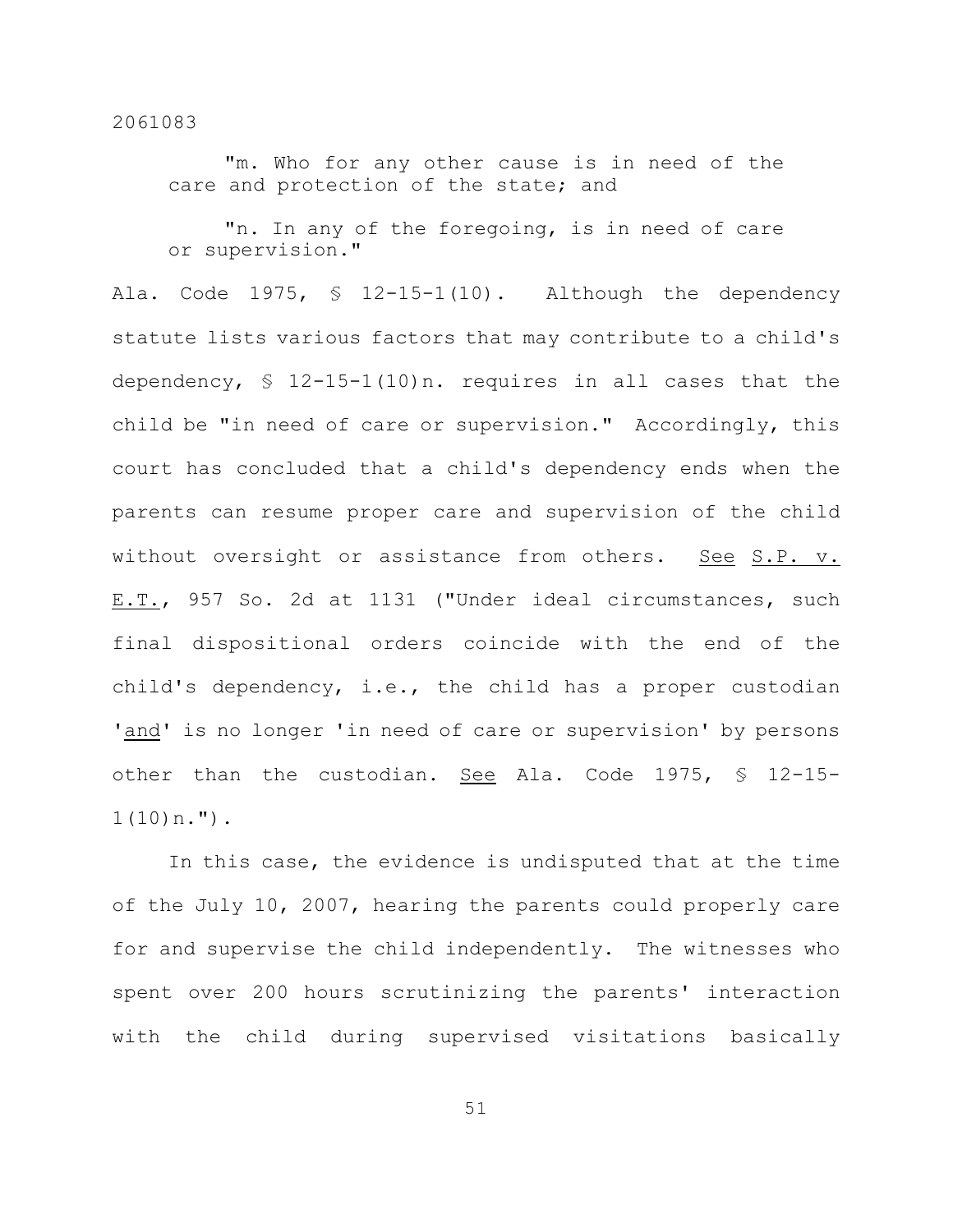"m. Who for any other cause is in need of the care and protection of the state; and

"n. In any of the foregoing, is in need of care or supervision."

Ala. Code 1975, § 12-15-1(10). Although the dependency statute lists various factors that may contribute to a child's dependency, § 12-15-1(10)n. requires in all cases that the child be "in need of care or supervision." Accordingly, this court has concluded that a child's dependency ends when the parents can resume proper care and supervision of the child without oversight or assistance from others. See S.P. v. E.T., 957 So. 2d at 1131 ("Under ideal circumstances, such final dispositional orders coincide with the end of the child's dependency, i.e., the child has a proper custodian 'and' is no longer 'in need of care or supervision' by persons other than the custodian. See Ala. Code 1975, § 12-15-  $1(10)n$ .").

In this case, the evidence is undisputed that at the time of the July 10, 2007, hearing the parents could properly care for and supervise the child independently. The witnesses who spent over 200 hours scrutinizing the parents' interaction with the child during supervised visitations basically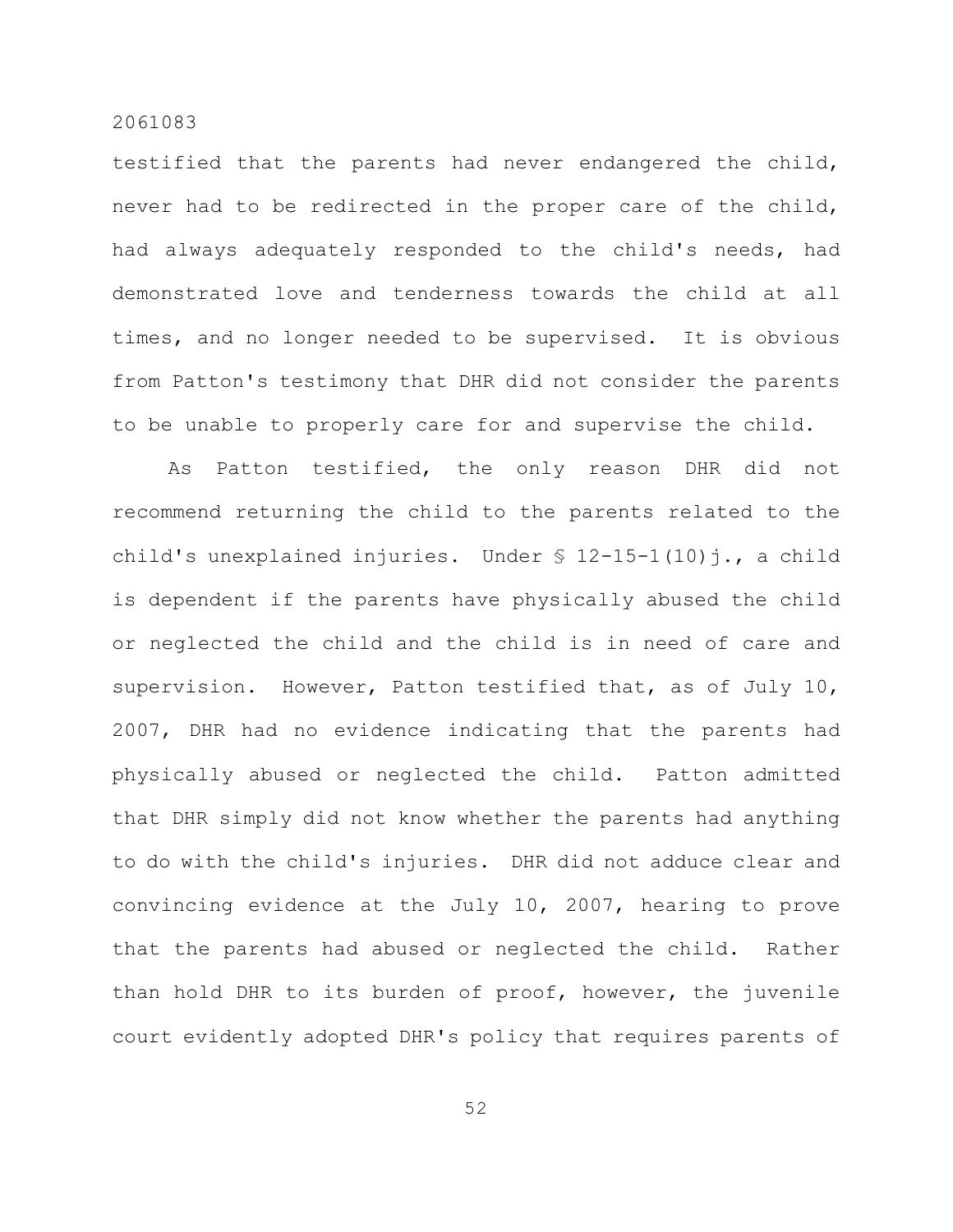testified that the parents had never endangered the child, never had to be redirected in the proper care of the child, had always adequately responded to the child's needs, had demonstrated love and tenderness towards the child at all times, and no longer needed to be supervised. It is obvious from Patton's testimony that DHR did not consider the parents to be unable to properly care for and supervise the child.

As Patton testified, the only reason DHR did not recommend returning the child to the parents related to the child's unexplained injuries. Under  $\S$  12-15-1(10)j., a child is dependent if the parents have physically abused the child or neglected the child and the child is in need of care and supervision. However, Patton testified that, as of July 10, 2007, DHR had no evidence indicating that the parents had physically abused or neglected the child. Patton admitted that DHR simply did not know whether the parents had anything to do with the child's injuries. DHR did not adduce clear and convincing evidence at the July 10, 2007, hearing to prove that the parents had abused or neglected the child. Rather than hold DHR to its burden of proof, however, the juvenile court evidently adopted DHR's policy that requires parents of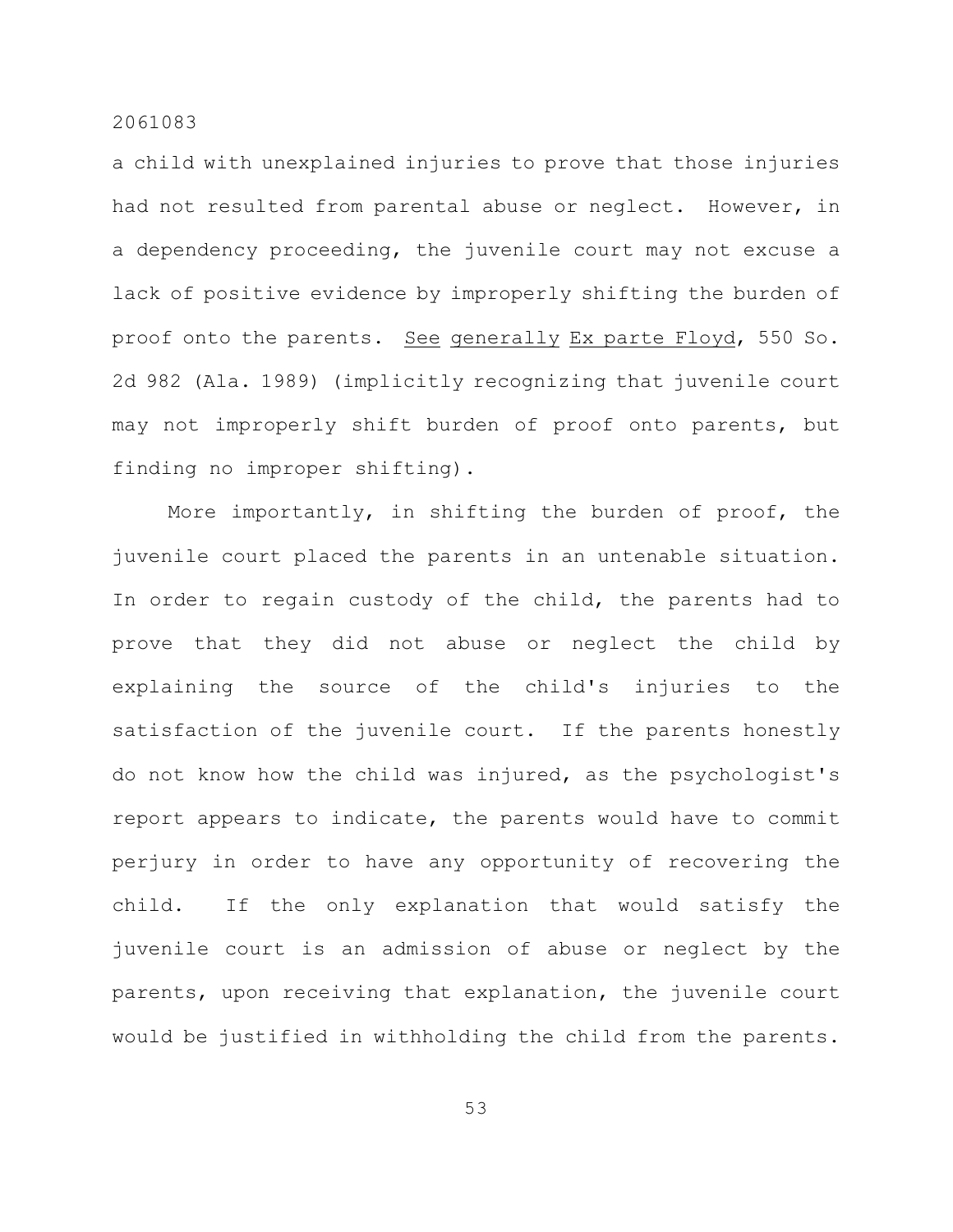a child with unexplained injuries to prove that those injuries had not resulted from parental abuse or neglect. However, in a dependency proceeding, the juvenile court may not excuse a lack of positive evidence by improperly shifting the burden of proof onto the parents. See generally Ex parte Floyd, 550 So. 2d 982 (Ala. 1989) (implicitly recognizing that juvenile court may not improperly shift burden of proof onto parents, but finding no improper shifting).

More importantly, in shifting the burden of proof, the juvenile court placed the parents in an untenable situation. In order to regain custody of the child, the parents had to prove that they did not abuse or neglect the child by explaining the source of the child's injuries to the satisfaction of the juvenile court. If the parents honestly do not know how the child was injured, as the psychologist's report appears to indicate, the parents would have to commit perjury in order to have any opportunity of recovering the child. If the only explanation that would satisfy the juvenile court is an admission of abuse or neglect by the parents, upon receiving that explanation, the juvenile court would be justified in withholding the child from the parents.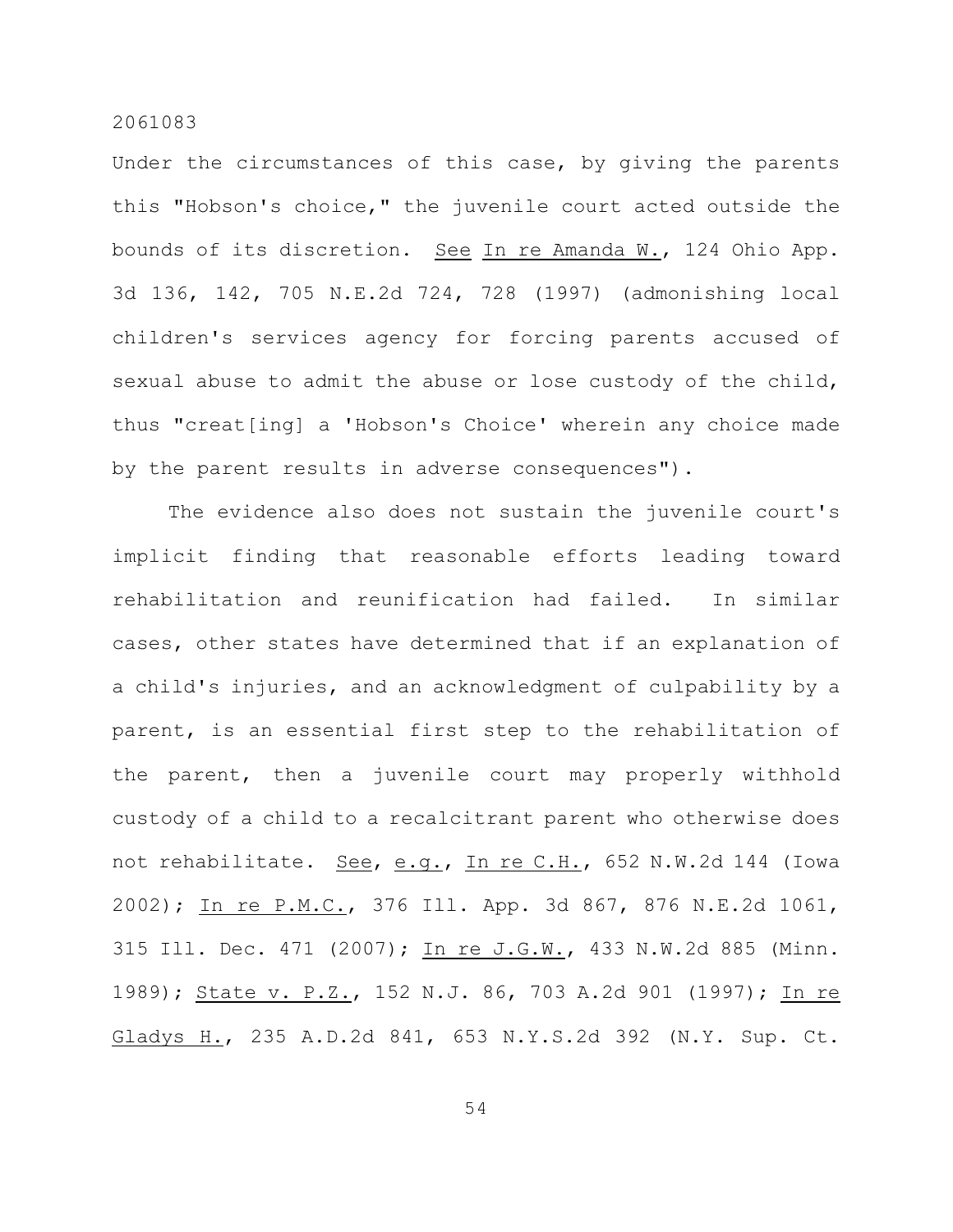Under the circumstances of this case, by giving the parents this "Hobson's choice," the juvenile court acted outside the bounds of its discretion. See In re Amanda W., 124 Ohio App. 3d 136, 142, 705 N.E.2d 724, 728 (1997) (admonishing local children's services agency for forcing parents accused of sexual abuse to admit the abuse or lose custody of the child, thus "creat[ing] a 'Hobson's Choice' wherein any choice made by the parent results in adverse consequences").

The evidence also does not sustain the juvenile court's implicit finding that reasonable efforts leading toward rehabilitation and reunification had failed. In similar cases, other states have determined that if an explanation of a child's injuries, and an acknowledgment of culpability by a parent, is an essential first step to the rehabilitation of the parent, then a juvenile court may properly withhold custody of a child to a recalcitrant parent who otherwise does not rehabilitate. See, e.g., In re C.H., 652 N.W.2d 144 (Iowa 2002); In re P.M.C., 376 Ill. App. 3d 867, 876 N.E.2d 1061, 315 Ill. Dec. 471 (2007); In re J.G.W., 433 N.W.2d 885 (Minn. 1989); State v. P.Z., 152 N.J. 86, 703 A.2d 901 (1997); In re Gladys H., 235 A.D.2d 841, 653 N.Y.S.2d 392 (N.Y. Sup. Ct.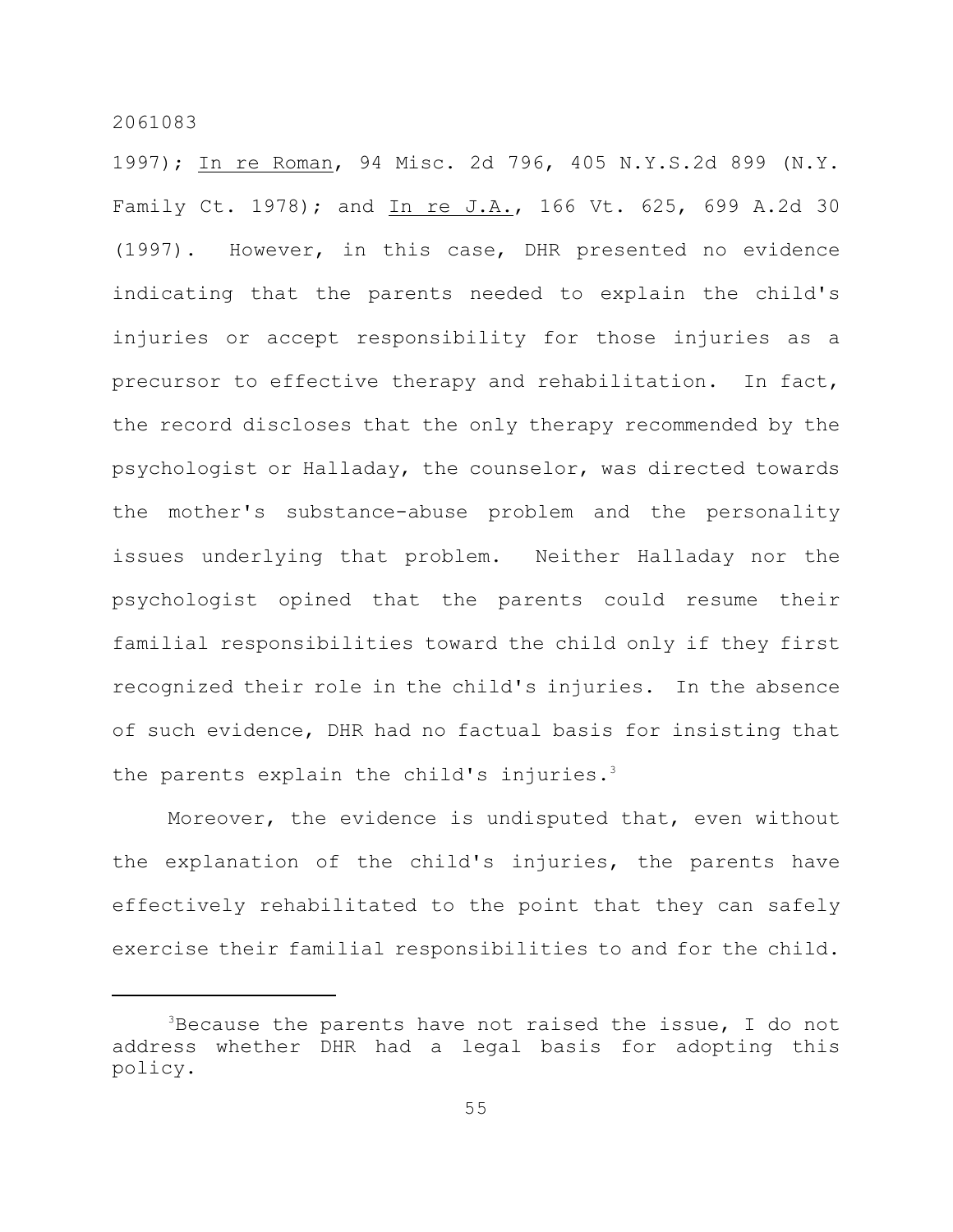1997); In re Roman, 94 Misc. 2d 796, 405 N.Y.S.2d 899 (N.Y. Family Ct. 1978); and In re J.A., 166 Vt. 625, 699 A.2d 30 (1997). However, in this case, DHR presented no evidence indicating that the parents needed to explain the child's injuries or accept responsibility for those injuries as a precursor to effective therapy and rehabilitation. In fact, the record discloses that the only therapy recommended by the psychologist or Halladay, the counselor, was directed towards the mother's substance-abuse problem and the personality issues underlying that problem. Neither Halladay nor the psychologist opined that the parents could resume their familial responsibilities toward the child only if they first recognized their role in the child's injuries. In the absence of such evidence, DHR had no factual basis for insisting that the parents explain the child's injuries.<sup>3</sup>

Moreover, the evidence is undisputed that, even without the explanation of the child's injuries, the parents have effectively rehabilitated to the point that they can safely exercise their familial responsibilities to and for the child.

 ${}^{3}$ Because the parents have not raised the issue, I do not address whether DHR had a legal basis for adopting this policy.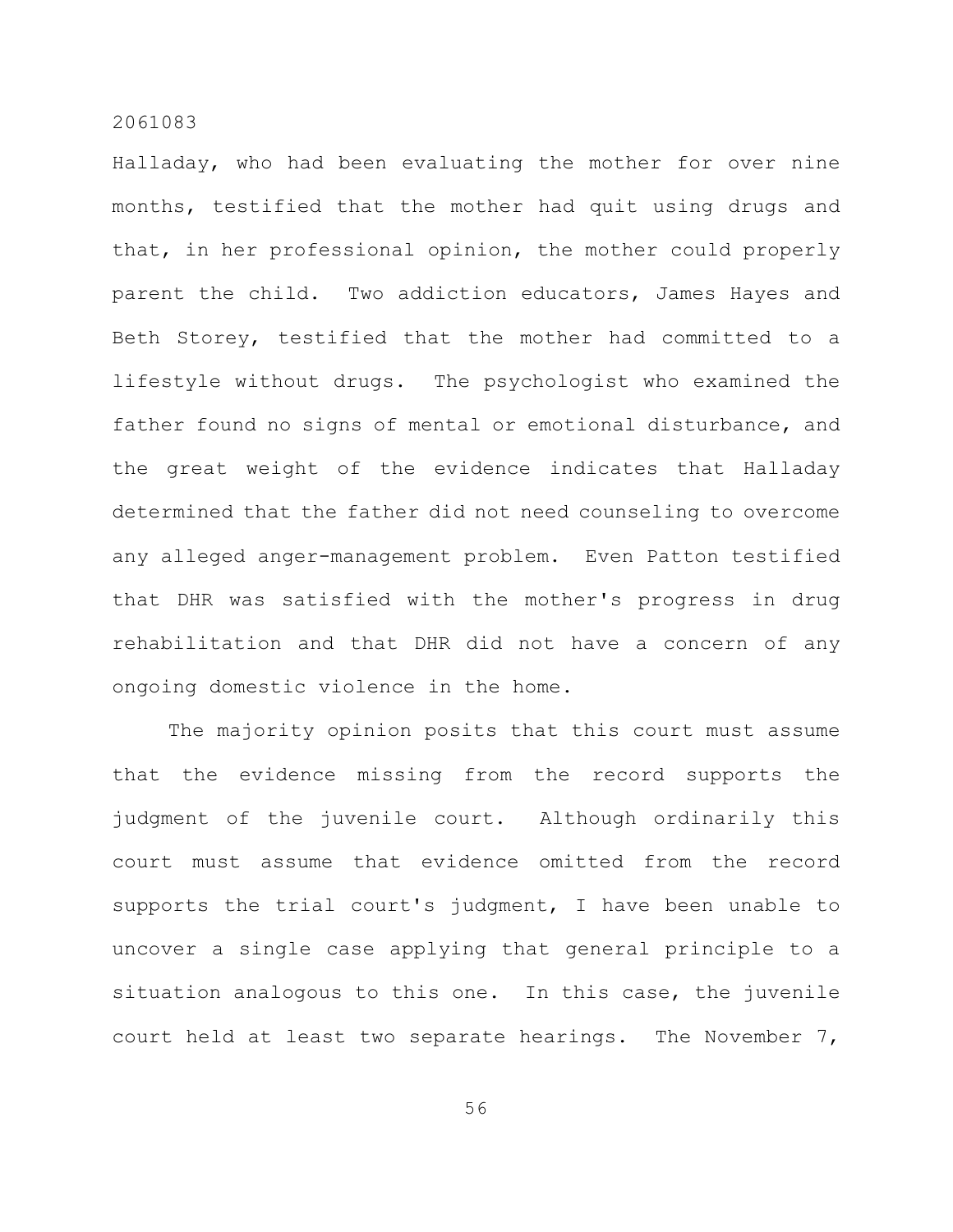Halladay, who had been evaluating the mother for over nine months, testified that the mother had quit using drugs and that, in her professional opinion, the mother could properly parent the child. Two addiction educators, James Hayes and Beth Storey, testified that the mother had committed to a lifestyle without drugs. The psychologist who examined the father found no signs of mental or emotional disturbance, and the great weight of the evidence indicates that Halladay determined that the father did not need counseling to overcome any alleged anger-management problem. Even Patton testified that DHR was satisfied with the mother's progress in drug rehabilitation and that DHR did not have a concern of any ongoing domestic violence in the home.

The majority opinion posits that this court must assume that the evidence missing from the record supports the judgment of the juvenile court. Although ordinarily this court must assume that evidence omitted from the record supports the trial court's judgment, I have been unable to uncover a single case applying that general principle to a situation analogous to this one. In this case, the juvenile court held at least two separate hearings. The November 7,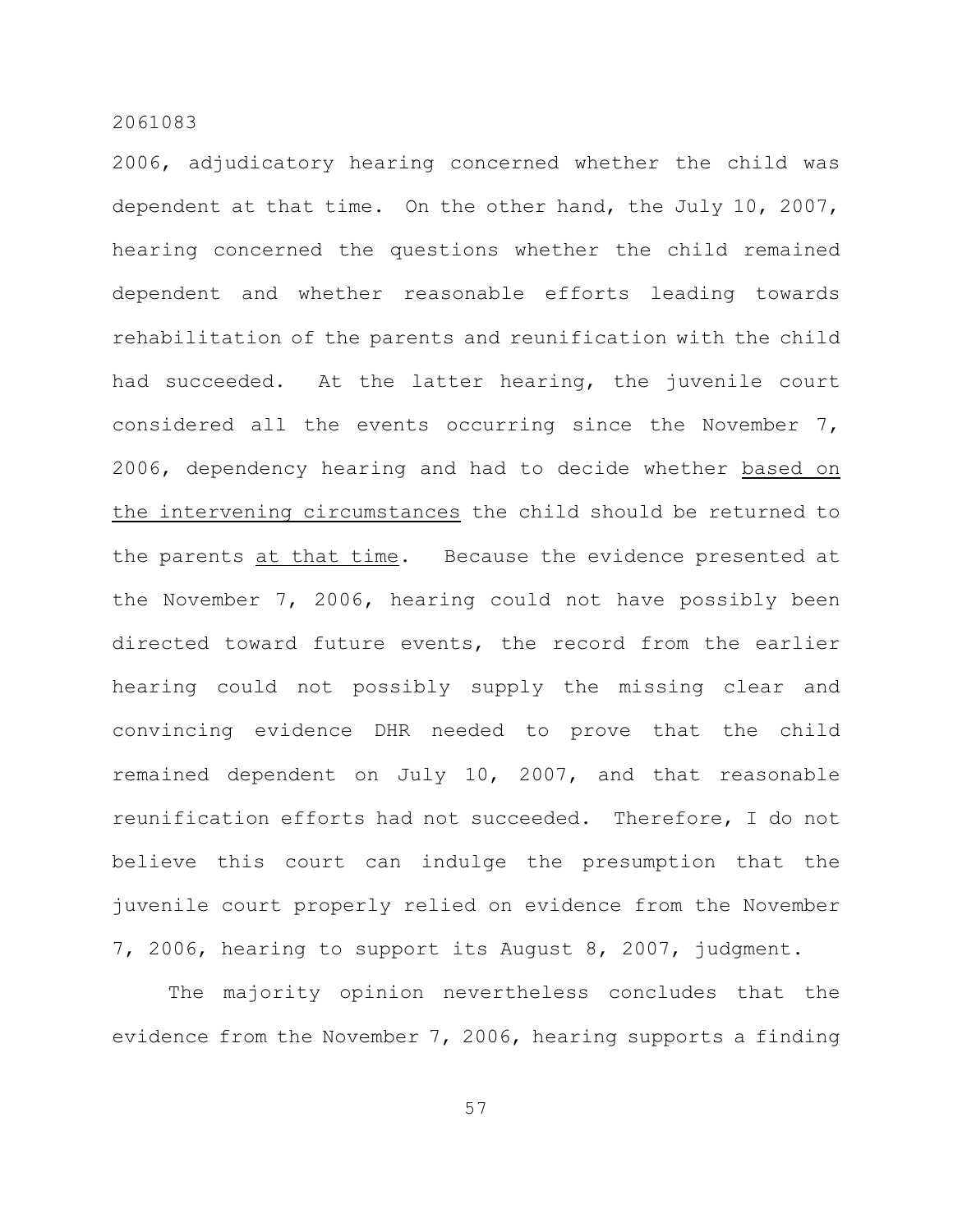2006, adjudicatory hearing concerned whether the child was dependent at that time. On the other hand, the July 10, 2007, hearing concerned the questions whether the child remained dependent and whether reasonable efforts leading towards rehabilitation of the parents and reunification with the child had succeeded. At the latter hearing, the juvenile court considered all the events occurring since the November 7, 2006, dependency hearing and had to decide whether based on the intervening circumstances the child should be returned to the parents at that time. Because the evidence presented at the November 7, 2006, hearing could not have possibly been directed toward future events, the record from the earlier hearing could not possibly supply the missing clear and convincing evidence DHR needed to prove that the child remained dependent on July 10, 2007, and that reasonable reunification efforts had not succeeded. Therefore, I do not believe this court can indulge the presumption that the juvenile court properly relied on evidence from the November 7, 2006, hearing to support its August 8, 2007, judgment.

The majority opinion nevertheless concludes that the evidence from the November 7, 2006, hearing supports a finding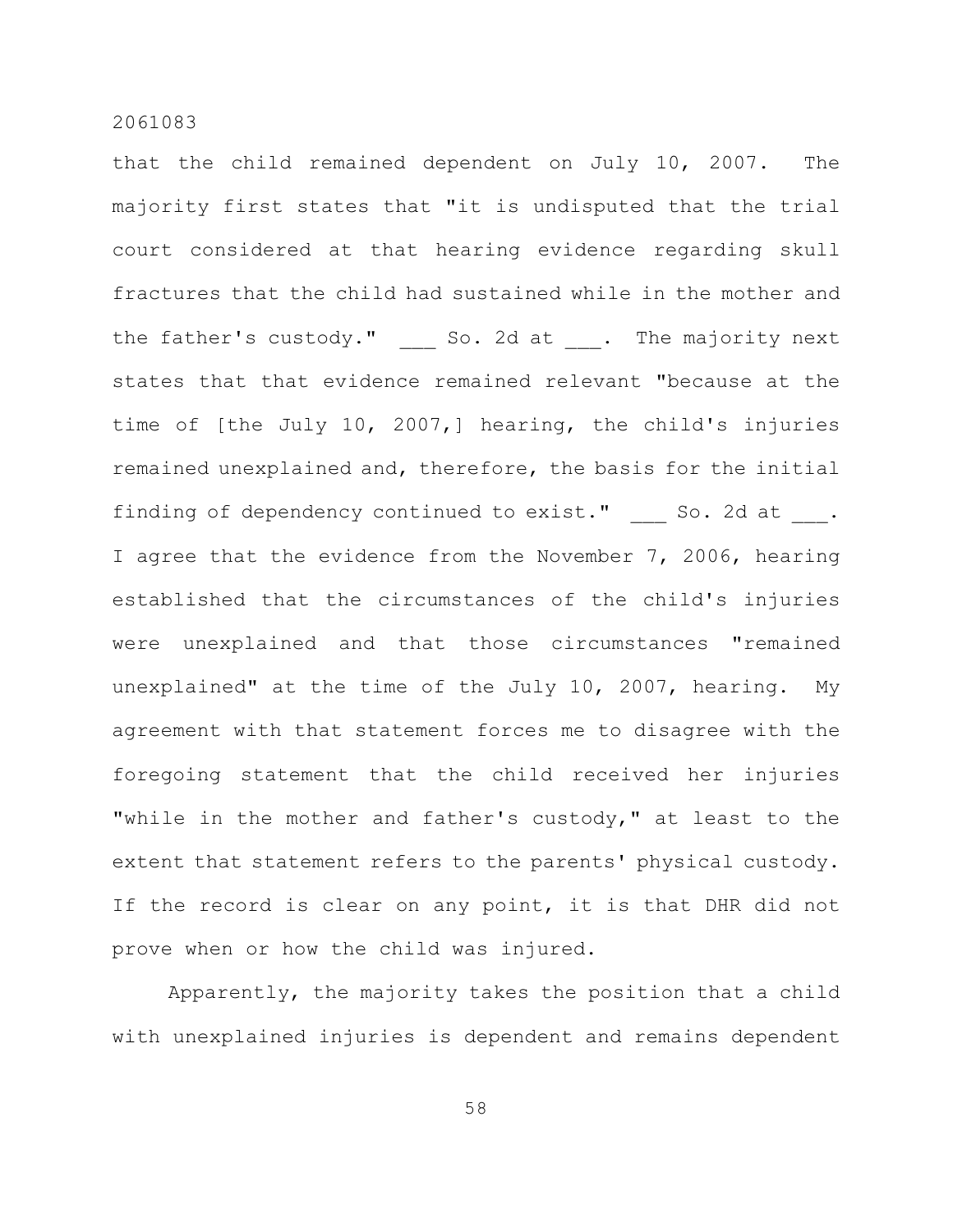that the child remained dependent on July 10, 2007. The majority first states that "it is undisputed that the trial court considered at that hearing evidence regarding skull fractures that the child had sustained while in the mother and the father's custody." So. 2d at . The majority next states that that evidence remained relevant "because at the time of [the July 10, 2007,] hearing, the child's injuries remained unexplained and, therefore, the basis for the initial finding of dependency continued to exist." So. 2d at . I agree that the evidence from the November 7, 2006, hearing established that the circumstances of the child's injuries were unexplained and that those circumstances "remained unexplained" at the time of the July 10, 2007, hearing. My agreement with that statement forces me to disagree with the foregoing statement that the child received her injuries "while in the mother and father's custody," at least to the extent that statement refers to the parents' physical custody. If the record is clear on any point, it is that DHR did not prove when or how the child was injured.

Apparently, the majority takes the position that a child with unexplained injuries is dependent and remains dependent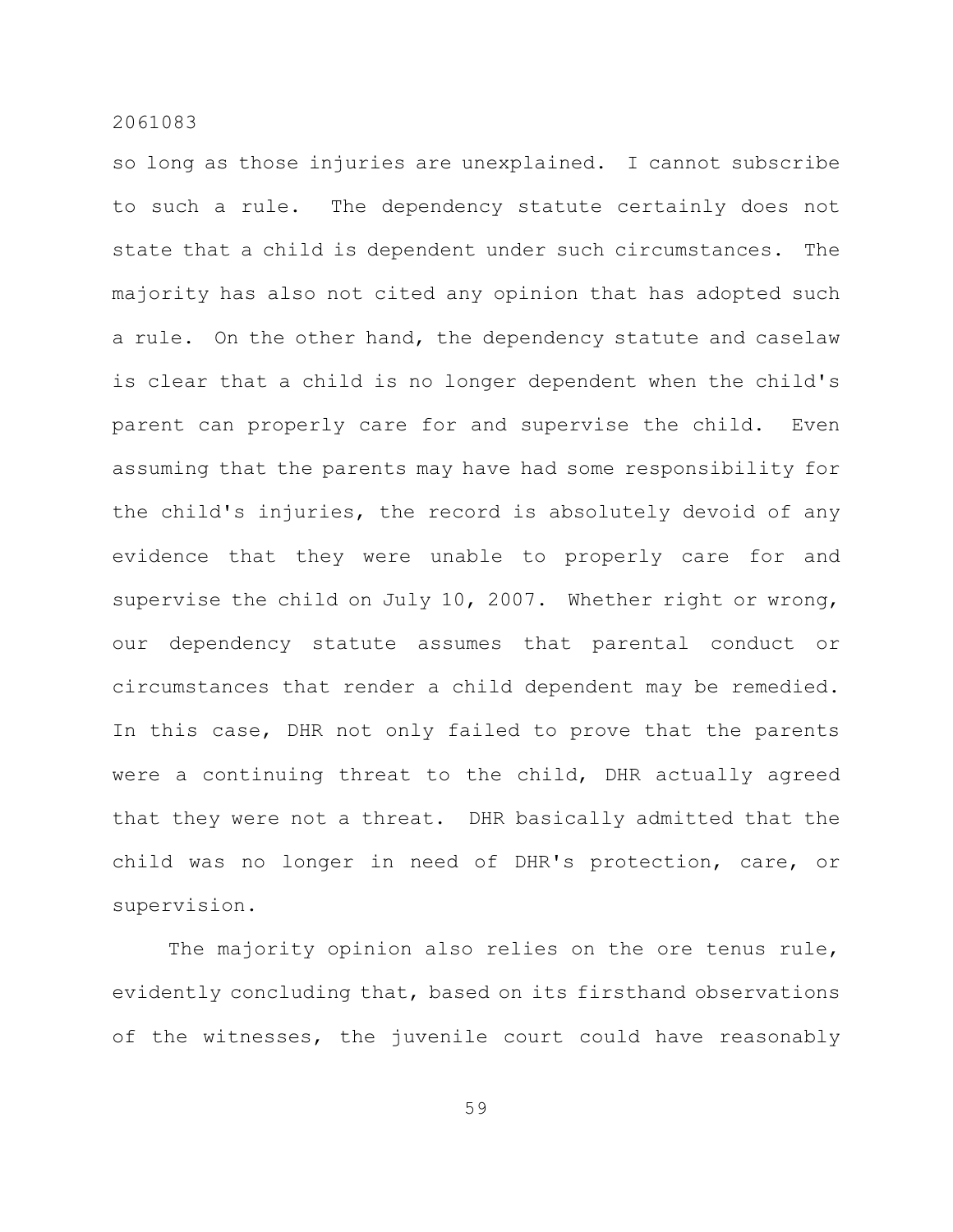so long as those injuries are unexplained. I cannot subscribe to such a rule. The dependency statute certainly does not state that a child is dependent under such circumstances. The majority has also not cited any opinion that has adopted such a rule. On the other hand, the dependency statute and caselaw is clear that a child is no longer dependent when the child's parent can properly care for and supervise the child. Even assuming that the parents may have had some responsibility for the child's injuries, the record is absolutely devoid of any evidence that they were unable to properly care for and supervise the child on July 10, 2007. Whether right or wrong, our dependency statute assumes that parental conduct or circumstances that render a child dependent may be remedied. In this case, DHR not only failed to prove that the parents were a continuing threat to the child, DHR actually agreed that they were not a threat. DHR basically admitted that the child was no longer in need of DHR's protection, care, or supervision.

The majority opinion also relies on the ore tenus rule, evidently concluding that, based on its firsthand observations of the witnesses, the juvenile court could have reasonably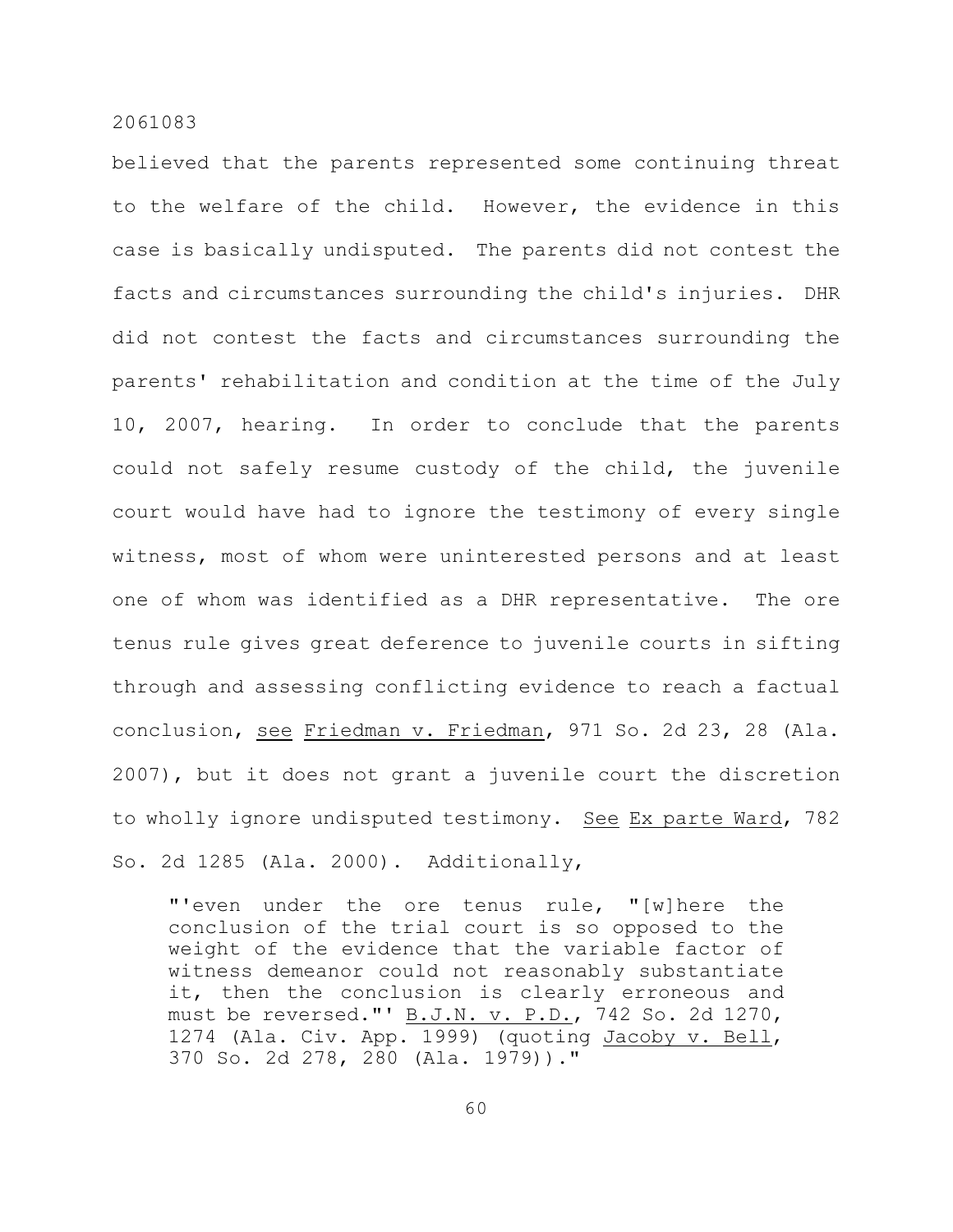believed that the parents represented some continuing threat to the welfare of the child. However, the evidence in this case is basically undisputed. The parents did not contest the facts and circumstances surrounding the child's injuries. DHR did not contest the facts and circumstances surrounding the parents' rehabilitation and condition at the time of the July 10, 2007, hearing. In order to conclude that the parents could not safely resume custody of the child, the juvenile court would have had to ignore the testimony of every single witness, most of whom were uninterested persons and at least one of whom was identified as a DHR representative. The ore tenus rule gives great deference to juvenile courts in sifting through and assessing conflicting evidence to reach a factual conclusion, see Friedman v. Friedman, 971 So. 2d 23, 28 (Ala. 2007), but it does not grant a juvenile court the discretion to wholly ignore undisputed testimony. See Ex parte Ward, 782 So. 2d 1285 (Ala. 2000). Additionally,

"'even under the ore tenus rule, "[w]here the conclusion of the trial court is so opposed to the weight of the evidence that the variable factor of witness demeanor could not reasonably substantiate it, then the conclusion is clearly erroneous and must be reversed."' B.J.N. v. P.D., 742 So. 2d 1270, 1274 (Ala. Civ. App. 1999) (quoting Jacoby v. Bell, 370 So. 2d 278, 280 (Ala. 1979))."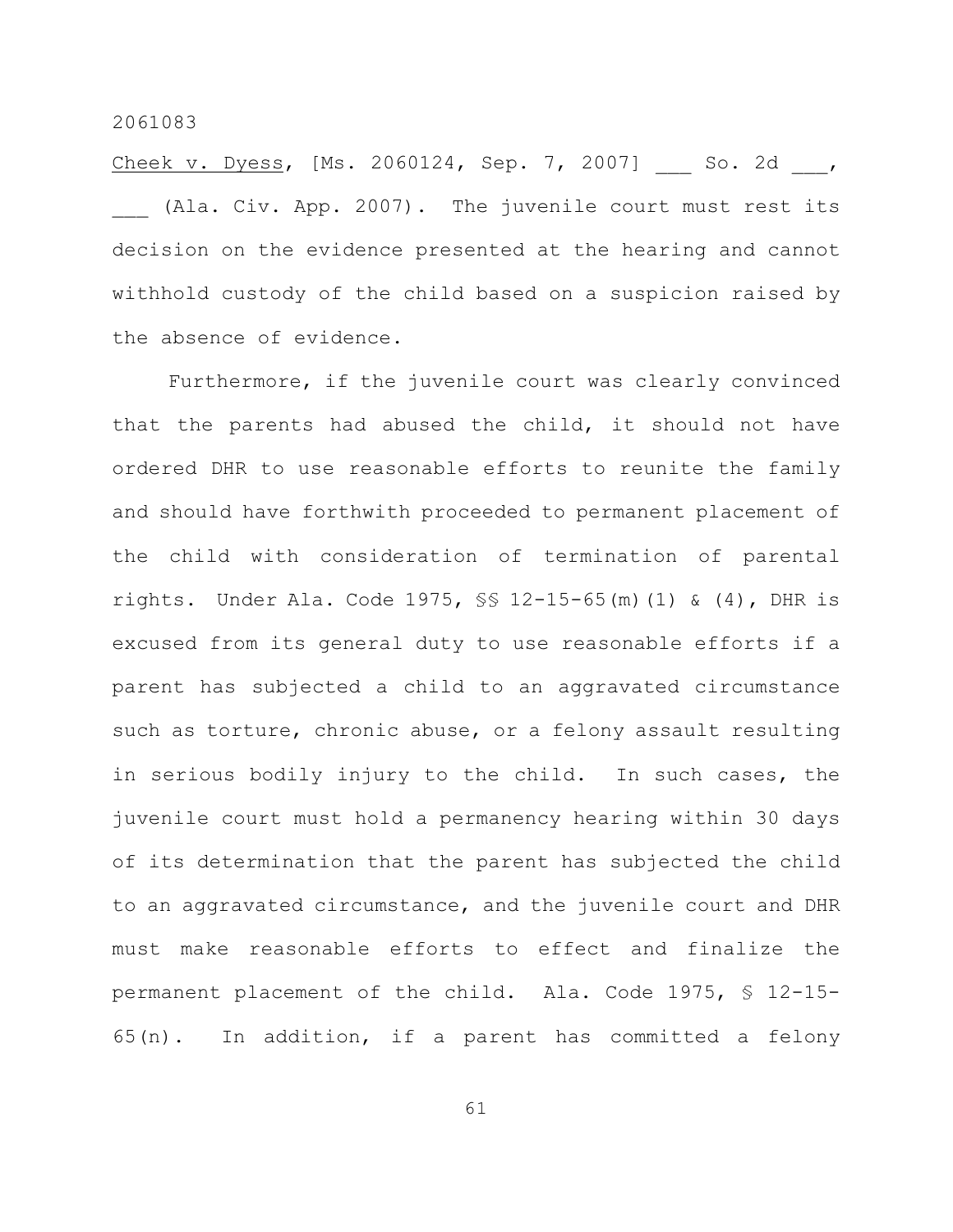Cheek v. Dyess, [Ms. 2060124, Sep. 7, 2007] \_\_\_ So. 2d \_\_\_, (Ala. Civ. App. 2007). The juvenile court must rest its decision on the evidence presented at the hearing and cannot withhold custody of the child based on a suspicion raised by the absence of evidence.

Furthermore, if the juvenile court was clearly convinced that the parents had abused the child, it should not have ordered DHR to use reasonable efforts to reunite the family and should have forthwith proceeded to permanent placement of the child with consideration of termination of parental rights. Under Ala. Code 1975, §§ 12-15-65(m)(1) & (4), DHR is excused from its general duty to use reasonable efforts if a parent has subjected a child to an aggravated circumstance such as torture, chronic abuse, or a felony assault resulting in serious bodily injury to the child. In such cases, the juvenile court must hold a permanency hearing within 30 days of its determination that the parent has subjected the child to an aggravated circumstance, and the juvenile court and DHR must make reasonable efforts to effect and finalize the permanent placement of the child. Ala. Code 1975, § 12-15- 65(n). In addition, if a parent has committed a felony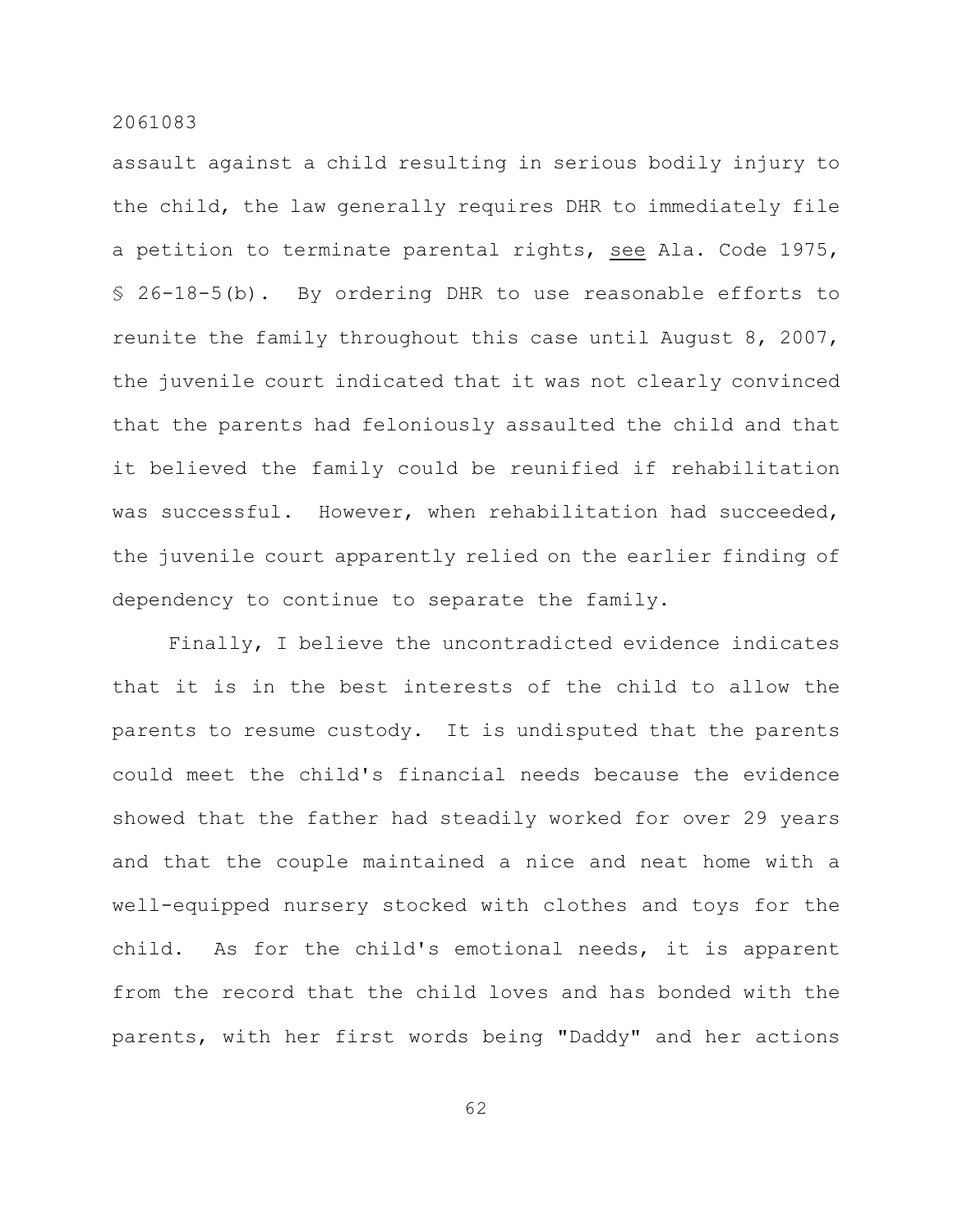assault against a child resulting in serious bodily injury to the child, the law generally requires DHR to immediately file a petition to terminate parental rights, see Ala. Code 1975, § 26-18-5(b). By ordering DHR to use reasonable efforts to reunite the family throughout this case until August 8, 2007, the juvenile court indicated that it was not clearly convinced that the parents had feloniously assaulted the child and that it believed the family could be reunified if rehabilitation was successful. However, when rehabilitation had succeeded, the juvenile court apparently relied on the earlier finding of dependency to continue to separate the family.

Finally, I believe the uncontradicted evidence indicates that it is in the best interests of the child to allow the parents to resume custody. It is undisputed that the parents could meet the child's financial needs because the evidence showed that the father had steadily worked for over 29 years and that the couple maintained a nice and neat home with a well-equipped nursery stocked with clothes and toys for the child. As for the child's emotional needs, it is apparent from the record that the child loves and has bonded with the parents, with her first words being "Daddy" and her actions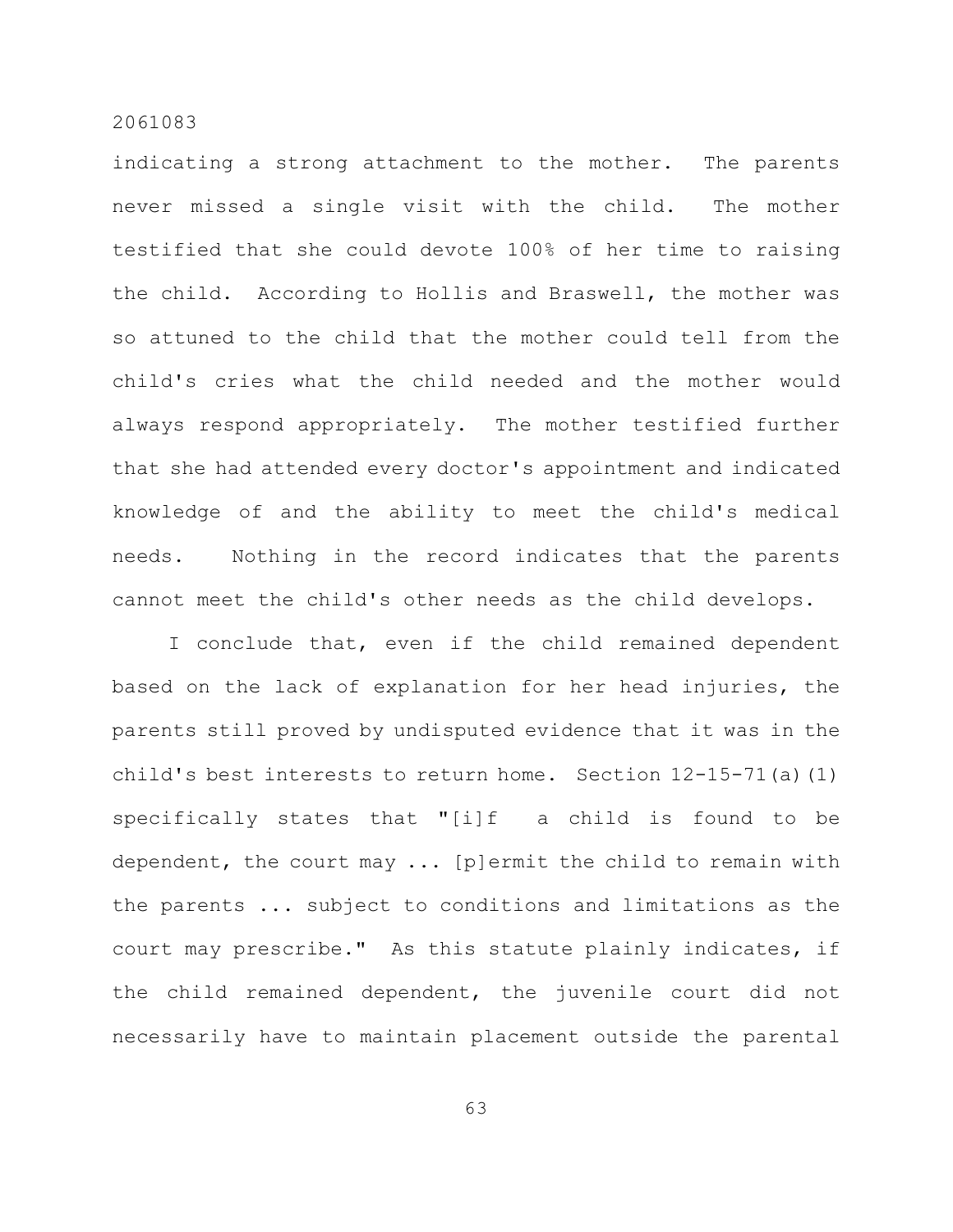indicating a strong attachment to the mother. The parents never missed a single visit with the child. The mother testified that she could devote 100% of her time to raising the child. According to Hollis and Braswell, the mother was so attuned to the child that the mother could tell from the child's cries what the child needed and the mother would always respond appropriately. The mother testified further that she had attended every doctor's appointment and indicated knowledge of and the ability to meet the child's medical needs. Nothing in the record indicates that the parents cannot meet the child's other needs as the child develops.

I conclude that, even if the child remained dependent based on the lack of explanation for her head injuries, the parents still proved by undisputed evidence that it was in the child's best interests to return home. Section  $12-15-71$  (a) (1) specifically states that "[i]f a child is found to be dependent, the court may ... [p]ermit the child to remain with the parents ... subject to conditions and limitations as the court may prescribe." As this statute plainly indicates, if the child remained dependent, the juvenile court did not necessarily have to maintain placement outside the parental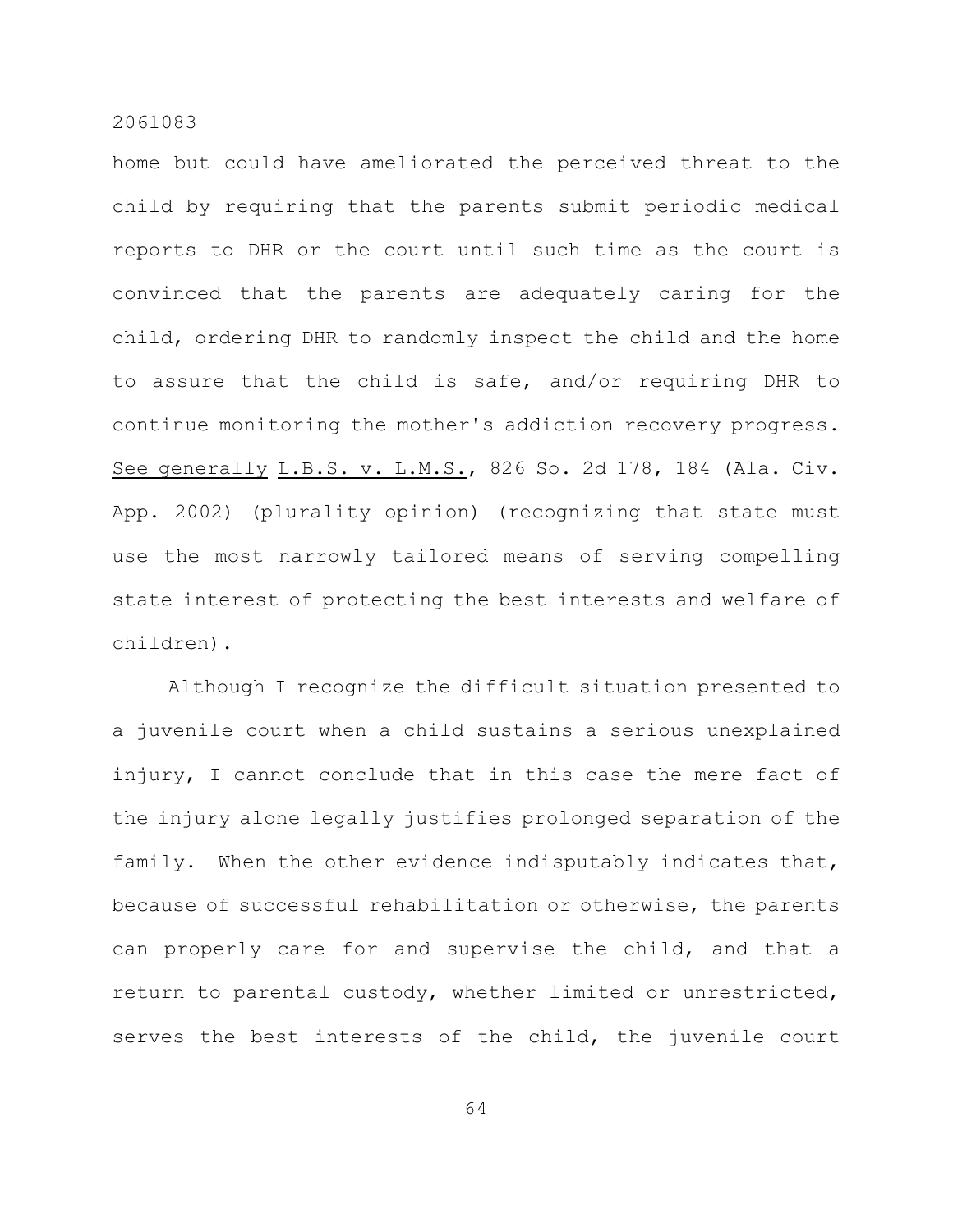home but could have ameliorated the perceived threat to the child by requiring that the parents submit periodic medical reports to DHR or the court until such time as the court is convinced that the parents are adequately caring for the child, ordering DHR to randomly inspect the child and the home to assure that the child is safe, and/or requiring DHR to continue monitoring the mother's addiction recovery progress. See generally L.B.S. v. L.M.S., 826 So. 2d 178, 184 (Ala. Civ. App. 2002) (plurality opinion) (recognizing that state must use the most narrowly tailored means of serving compelling state interest of protecting the best interests and welfare of children).

Although I recognize the difficult situation presented to a juvenile court when a child sustains a serious unexplained injury, I cannot conclude that in this case the mere fact of the injury alone legally justifies prolonged separation of the family. When the other evidence indisputably indicates that, because of successful rehabilitation or otherwise, the parents can properly care for and supervise the child, and that a return to parental custody, whether limited or unrestricted, serves the best interests of the child, the juvenile court